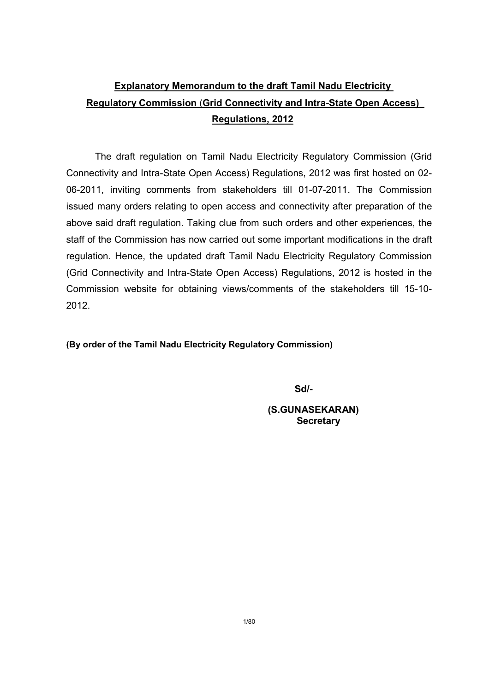# Explanatory Memorandum to the draft Tamil Nadu Electricity Regulatory Commission (Grid Connectivity and Intra-State Open Access) Regulations, 2012

The draft regulation on Tamil Nadu Electricity Regulatory Commission (Grid Connectivity and Intra-State Open Access) Regulations, 2012 was first hosted on 02- 06-2011, inviting comments from stakeholders till 01-07-2011. The Commission issued many orders relating to open access and connectivity after preparation of the above said draft regulation. Taking clue from such orders and other experiences, the staff of the Commission has now carried out some important modifications in the draft regulation. Hence, the updated draft Tamil Nadu Electricity Regulatory Commission (Grid Connectivity and Intra-State Open Access) Regulations, 2012 is hosted in the Commission website for obtaining views/comments of the stakeholders till 15-10- 2012.

#### (By order of the Tamil Nadu Electricity Regulatory Commission)

Sd/-

(S.GUNASEKARAN) **Secretary**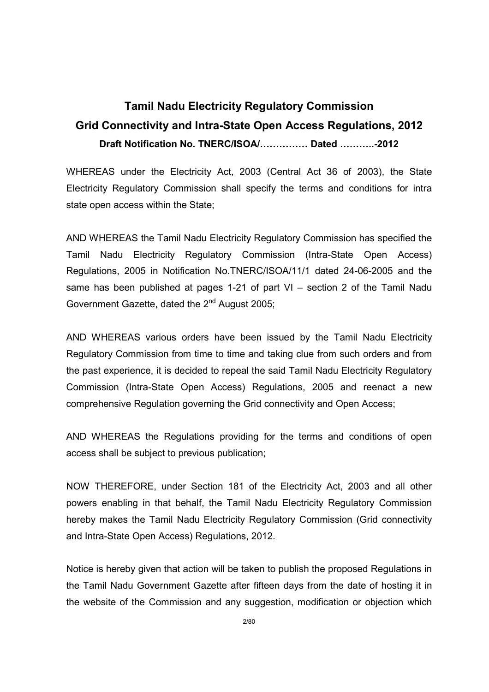# Tamil Nadu Electricity Regulatory Commission Grid Connectivity and Intra-State Open Access Regulations, 2012 Draft Notification No. TNERC/ISOA/............... Dated ...........-2012

WHEREAS under the Electricity Act, 2003 (Central Act 36 of 2003), the State Electricity Regulatory Commission shall specify the terms and conditions for intra state open access within the State;

AND WHEREAS the Tamil Nadu Electricity Regulatory Commission has specified the Tamil Nadu Electricity Regulatory Commission (Intra-State Open Access) Regulations, 2005 in Notification No.TNERC/ISOA/11/1 dated 24-06-2005 and the same has been published at pages 1-21 of part VI – section 2 of the Tamil Nadu Government Gazette, dated the 2<sup>nd</sup> August 2005;

AND WHEREAS various orders have been issued by the Tamil Nadu Electricity Regulatory Commission from time to time and taking clue from such orders and from the past experience, it is decided to repeal the said Tamil Nadu Electricity Regulatory Commission (Intra-State Open Access) Regulations, 2005 and reenact a new comprehensive Regulation governing the Grid connectivity and Open Access;

AND WHEREAS the Regulations providing for the terms and conditions of open access shall be subject to previous publication;

NOW THEREFORE, under Section 181 of the Electricity Act, 2003 and all other powers enabling in that behalf, the Tamil Nadu Electricity Regulatory Commission hereby makes the Tamil Nadu Electricity Regulatory Commission (Grid connectivity and Intra-State Open Access) Regulations, 2012.

Notice is hereby given that action will be taken to publish the proposed Regulations in the Tamil Nadu Government Gazette after fifteen days from the date of hosting it in the website of the Commission and any suggestion, modification or objection which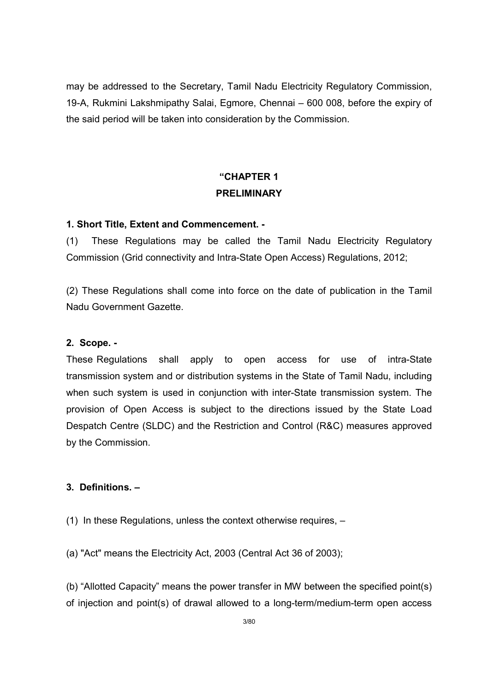may be addressed to the Secretary, Tamil Nadu Electricity Regulatory Commission, 19-A, Rukmini Lakshmipathy Salai, Egmore, Chennai – 600 008, before the expiry of the said period will be taken into consideration by the Commission.

## "CHAPTER 1 PRELIMINARY

### 1. Short Title, Extent and Commencement. -

(1) These Regulations may be called the Tamil Nadu Electricity Regulatory Commission (Grid connectivity and Intra-State Open Access) Regulations, 2012;

(2) These Regulations shall come into force on the date of publication in the Tamil Nadu Government Gazette.

#### 2. Scope. -

These Regulations shall apply to open access for use of intra-State transmission system and or distribution systems in the State of Tamil Nadu, including when such system is used in conjunction with inter-State transmission system. The provision of Open Access is subject to the directions issued by the State Load Despatch Centre (SLDC) and the Restriction and Control (R&C) measures approved by the Commission.

#### 3. Definitions. –

(1) In these Regulations, unless the context otherwise requires, –

(a) "Act" means the Electricity Act, 2003 (Central Act 36 of 2003);

(b) "Allotted Capacity" means the power transfer in MW between the specified point(s) of injection and point(s) of drawal allowed to a long-term/medium-term open access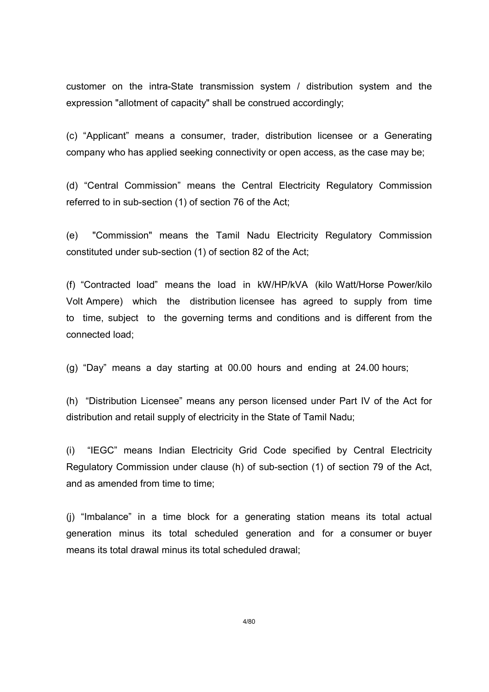customer on the intra-State transmission system / distribution system and the expression "allotment of capacity" shall be construed accordingly;

(c) "Applicant" means a consumer, trader, distribution licensee or a Generating company who has applied seeking connectivity or open access, as the case may be;

(d) "Central Commission" means the Central Electricity Regulatory Commission referred to in sub-section (1) of section 76 of the Act;

(e) "Commission" means the Tamil Nadu Electricity Regulatory Commission constituted under sub-section (1) of section 82 of the Act;

(f) "Contracted load" means the load in kW/HP/kVA (kilo Watt/Horse Power/kilo Volt Ampere) which the distribution licensee has agreed to supply from time to time, subject to the governing terms and conditions and is different from the connected load;

(g) "Day" means a day starting at 00.00 hours and ending at 24.00 hours;

(h) "Distribution Licensee" means any person licensed under Part IV of the Act for distribution and retail supply of electricity in the State of Tamil Nadu;

(i) "IEGC" means Indian Electricity Grid Code specified by Central Electricity Regulatory Commission under clause (h) of sub-section (1) of section 79 of the Act, and as amended from time to time:

(j) "Imbalance" in a time block for a generating station means its total actual generation minus its total scheduled generation and for a consumer or buyer means its total drawal minus its total scheduled drawal;

4/80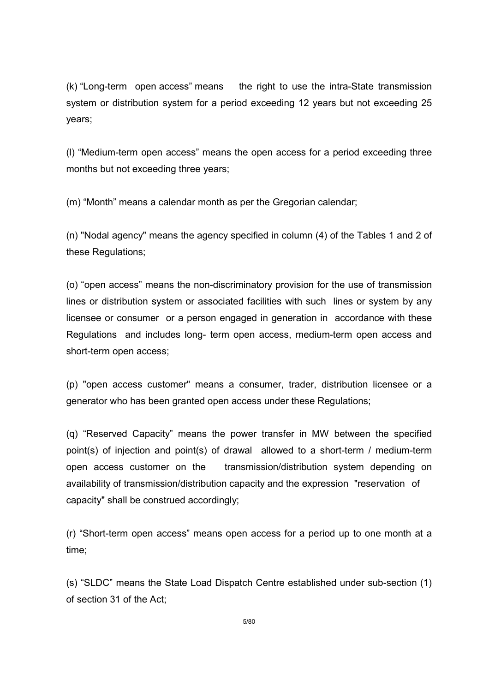(k) "Long-term open access" means the right to use the intra-State transmission system or distribution system for a period exceeding 12 years but not exceeding 25 years;

(l) "Medium-term open access" means the open access for a period exceeding three months but not exceeding three years;

(m) "Month" means a calendar month as per the Gregorian calendar;

(n) "Nodal agency" means the agency specified in column (4) of the Tables 1 and 2 of these Regulations;

(o) "open access" means the non-discriminatory provision for the use of transmission lines or distribution system or associated facilities with such lines or system by any licensee or consumer or a person engaged in generation in accordance with these Regulations and includes long- term open access, medium-term open access and short-term open access;

(p) "open access customer" means a consumer, trader, distribution licensee or a generator who has been granted open access under these Regulations;

(q) "Reserved Capacity" means the power transfer in MW between the specified point(s) of injection and point(s) of drawal allowed to a short-term / medium-term open access customer on the transmission/distribution system depending on availability of transmission/distribution capacity and the expression "reservation of capacity" shall be construed accordingly;

(r) "Short-term open access" means open access for a period up to one month at a time;

(s) "SLDC" means the State Load Dispatch Centre established under sub-section (1) of section 31 of the Act;

5/80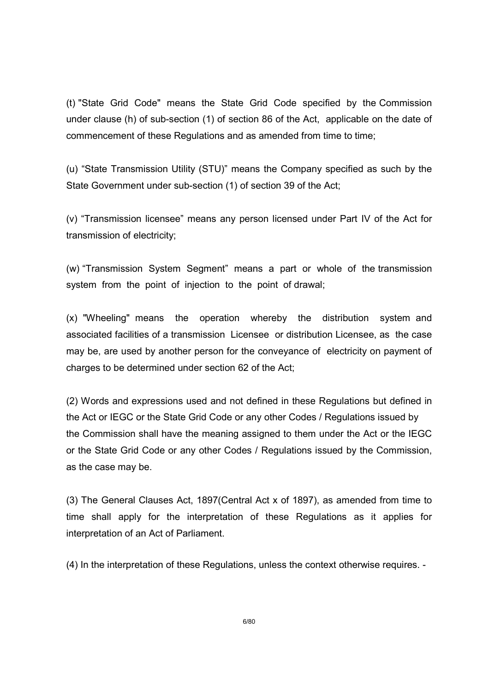(t) "State Grid Code" means the State Grid Code specified by the Commission under clause (h) of sub-section (1) of section 86 of the Act, applicable on the date of commencement of these Regulations and as amended from time to time;

(u) "State Transmission Utility (STU)" means the Company specified as such by the State Government under sub-section (1) of section 39 of the Act;

(v) "Transmission licensee" means any person licensed under Part IV of the Act for transmission of electricity;

(w) "Transmission System Segment" means a part or whole of the transmission system from the point of injection to the point of drawal;

(x) "Wheeling" means the operation whereby the distribution system and associated facilities of a transmission Licensee or distribution Licensee, as the case may be, are used by another person for the conveyance of electricity on payment of charges to be determined under section 62 of the Act;

(2) Words and expressions used and not defined in these Regulations but defined in the Act or IEGC or the State Grid Code or any other Codes / Regulations issued by the Commission shall have the meaning assigned to them under the Act or the IEGC or the State Grid Code or any other Codes / Regulations issued by the Commission, as the case may be.

(3) The General Clauses Act, 1897(Central Act x of 1897), as amended from time to time shall apply for the interpretation of these Regulations as it applies for interpretation of an Act of Parliament.

(4) In the interpretation of these Regulations, unless the context otherwise requires. -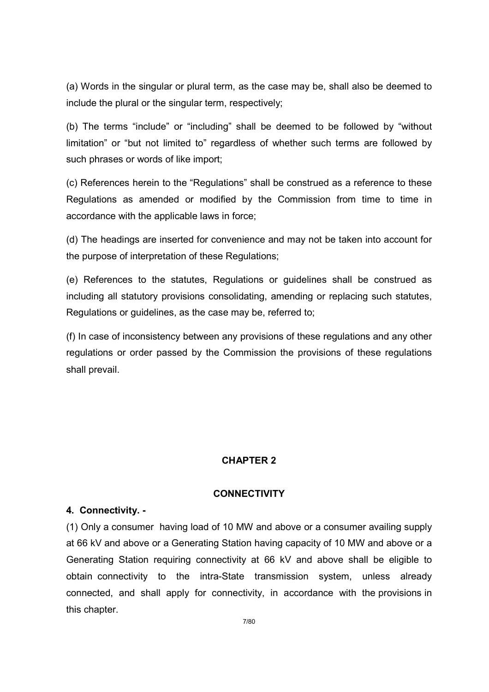(a) Words in the singular or plural term, as the case may be, shall also be deemed to include the plural or the singular term, respectively;

(b) The terms "include" or "including" shall be deemed to be followed by "without limitation" or "but not limited to" regardless of whether such terms are followed by such phrases or words of like import;

(c) References herein to the "Regulations" shall be construed as a reference to these Regulations as amended or modified by the Commission from time to time in accordance with the applicable laws in force;

(d) The headings are inserted for convenience and may not be taken into account for the purpose of interpretation of these Regulations;

(e) References to the statutes, Regulations or guidelines shall be construed as including all statutory provisions consolidating, amending or replacing such statutes, Regulations or guidelines, as the case may be, referred to;

(f) In case of inconsistency between any provisions of these regulations and any other regulations or order passed by the Commission the provisions of these regulations shall prevail.

#### CHAPTER 2

#### **CONNECTIVITY**

#### 4. Connectivity. -

(1) Only a consumer having load of 10 MW and above or a consumer availing supply at 66 kV and above or a Generating Station having capacity of 10 MW and above or a Generating Station requiring connectivity at 66 kV and above shall be eligible to obtain connectivity to the intra-State transmission system, unless already connected, and shall apply for connectivity, in accordance with the provisions in this chapter.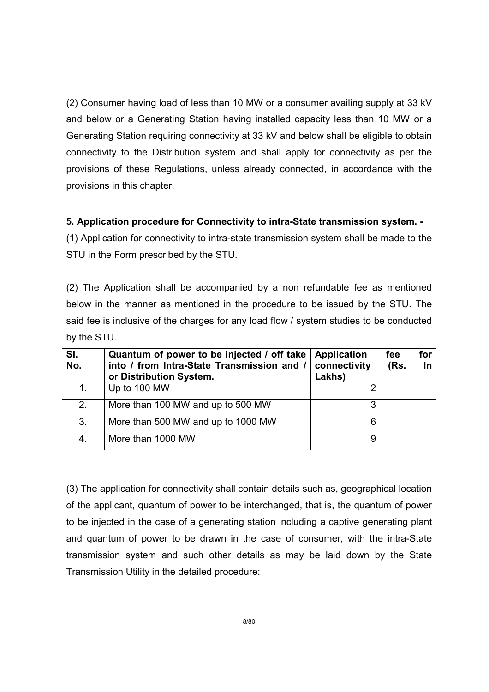(2) Consumer having load of less than 10 MW or a consumer availing supply at 33 kV and below or a Generating Station having installed capacity less than 10 MW or a Generating Station requiring connectivity at 33 kV and below shall be eligible to obtain connectivity to the Distribution system and shall apply for connectivity as per the provisions of these Regulations, unless already connected, in accordance with the provisions in this chapter.

### 5. Application procedure for Connectivity to intra-State transmission system. -

(1) Application for connectivity to intra-state transmission system shall be made to the STU in the Form prescribed by the STU.

(2) The Application shall be accompanied by a non refundable fee as mentioned below in the manner as mentioned in the procedure to be issued by the STU. The said fee is inclusive of the charges for any load flow / system studies to be conducted by the STU.

| SI.<br>No. | Quantum of power to be injected / off take<br>into / from Intra-State Transmission and /<br>or Distribution System. | <b>Application</b><br>connectivity<br>Lakhs) | fee<br>(Rs. | for<br>- In |
|------------|---------------------------------------------------------------------------------------------------------------------|----------------------------------------------|-------------|-------------|
|            | Up to 100 MW                                                                                                        |                                              |             |             |
| 2.         | More than 100 MW and up to 500 MW                                                                                   | 3                                            |             |             |
| 3.         | More than 500 MW and up to 1000 MW                                                                                  | 6                                            |             |             |
| 4.         | More than 1000 MW                                                                                                   | 9                                            |             |             |

(3) The application for connectivity shall contain details such as, geographical location of the applicant, quantum of power to be interchanged, that is, the quantum of power to be injected in the case of a generating station including a captive generating plant and quantum of power to be drawn in the case of consumer, with the intra-State transmission system and such other details as may be laid down by the State Transmission Utility in the detailed procedure: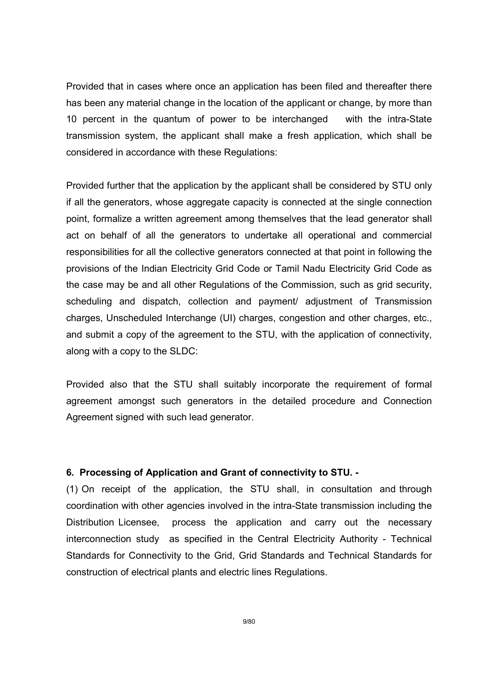Provided that in cases where once an application has been filed and thereafter there has been any material change in the location of the applicant or change, by more than 10 percent in the quantum of power to be interchanged with the intra-State transmission system, the applicant shall make a fresh application, which shall be considered in accordance with these Regulations:

Provided further that the application by the applicant shall be considered by STU only if all the generators, whose aggregate capacity is connected at the single connection point, formalize a written agreement among themselves that the lead generator shall act on behalf of all the generators to undertake all operational and commercial responsibilities for all the collective generators connected at that point in following the provisions of the Indian Electricity Grid Code or Tamil Nadu Electricity Grid Code as the case may be and all other Regulations of the Commission, such as grid security, scheduling and dispatch, collection and payment/ adjustment of Transmission charges, Unscheduled Interchange (UI) charges, congestion and other charges, etc., and submit a copy of the agreement to the STU, with the application of connectivity, along with a copy to the SLDC:

Provided also that the STU shall suitably incorporate the requirement of formal agreement amongst such generators in the detailed procedure and Connection Agreement signed with such lead generator.

#### 6. Processing of Application and Grant of connectivity to STU. -

(1) On receipt of the application, the STU shall, in consultation and through coordination with other agencies involved in the intra-State transmission including the Distribution Licensee, process the application and carry out the necessary interconnection study as specified in the Central Electricity Authority - Technical Standards for Connectivity to the Grid, Grid Standards and Technical Standards for construction of electrical plants and electric lines Regulations.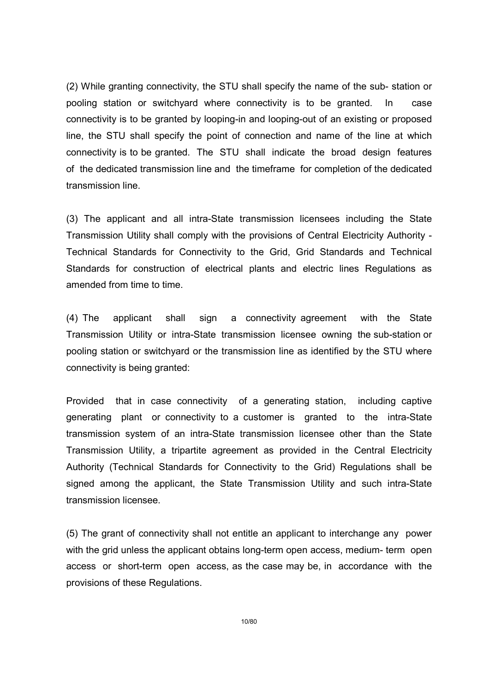(2) While granting connectivity, the STU shall specify the name of the sub- station or pooling station or switchyard where connectivity is to be granted. In case connectivity is to be granted by looping-in and looping-out of an existing or proposed line, the STU shall specify the point of connection and name of the line at which connectivity is to be granted. The STU shall indicate the broad design features of the dedicated transmission line and the timeframe for completion of the dedicated transmission line.

(3) The applicant and all intra-State transmission licensees including the State Transmission Utility shall comply with the provisions of Central Electricity Authority - Technical Standards for Connectivity to the Grid, Grid Standards and Technical Standards for construction of electrical plants and electric lines Regulations as amended from time to time.

(4) The applicant shall sign a connectivity agreement with the State Transmission Utility or intra-State transmission licensee owning the sub-station or pooling station or switchyard or the transmission line as identified by the STU where connectivity is being granted:

Provided that in case connectivity of a generating station, including captive generating plant or connectivity to a customer is granted to the intra-State transmission system of an intra-State transmission licensee other than the State Transmission Utility, a tripartite agreement as provided in the Central Electricity Authority (Technical Standards for Connectivity to the Grid) Regulations shall be signed among the applicant, the State Transmission Utility and such intra-State transmission licensee.

(5) The grant of connectivity shall not entitle an applicant to interchange any power with the grid unless the applicant obtains long-term open access, medium- term open access or short-term open access, as the case may be, in accordance with the provisions of these Regulations.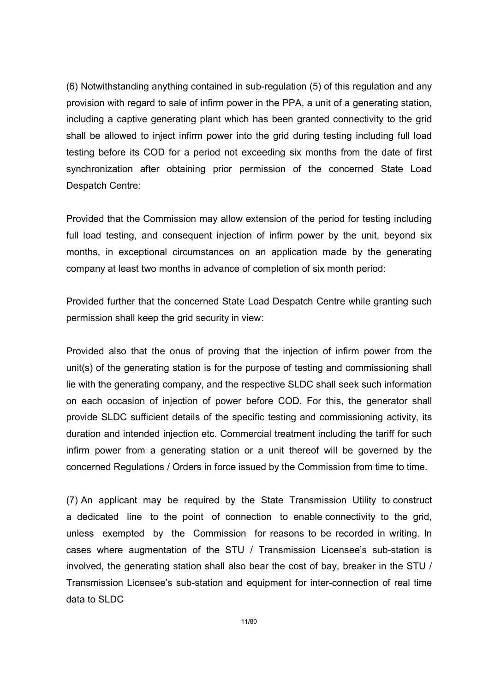(6) Notwithstanding anything contained in sub-regulation (5) of this regulation and any provision with regard to sale of infirm power in the PPA, a unit of a generating station, including a captive generating plant which has been granted connectivity to the grid shall be allowed to inject infirm power into the grid during testing including full load testing before its COD for a period not exceeding six months from the date of first synchronization after obtaining prior permission of the concerned State Load Despatch Centre:

Provided that the Commission may allow extension of the period for testing including full load testing, and consequent injection of infirm power by the unit, beyond six months, in exceptional circumstances on an application made by the generating company at least two months in advance of completion of six month period:

Provided further that the concerned State Load Despatch Centre while granting such permission shall keep the grid security in view:

Provided also that the onus of proving that the injection of infirm power from the unit(s) of the generating station is for the purpose of testing and commissioning shall lie with the generating company, and the respective SLDC shall seek such information on each occasion of injection of power before COD. For this, the generator shall provide SLDC sufficient details of the specific testing and commissioning activity, its duration and intended injection etc. Commercial treatment including the tariff for such infirm power from a generating station or a unit thereof will be governed by the concerned Regulations / Orders in force issued by the Commission from time to time.

(7) An applicant may be required by the State Transmission Utility to construct a dedicated line to the point of connection to enable connectivity to the grid, unless exempted by the Commission for reasons to be recorded in writing. In cases where augmentation of the STU / Transmission Licensee's sub-station is involved, the generating station shall also bear the cost of bay, breaker in the STU / Transmission Licensee's sub-station and equipment for inter-connection of real time data to SLDC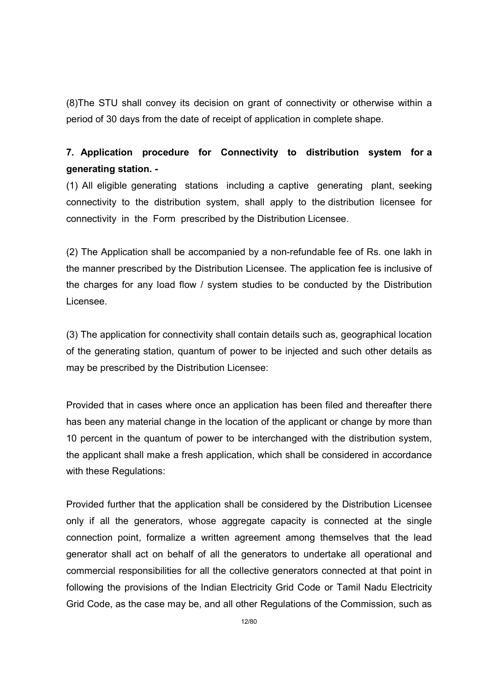(8)The STU shall convey its decision on grant of connectivity or otherwise within a period of 30 days from the date of receipt of application in complete shape.

## 7. Application procedure for Connectivity to distribution system for a generating station. -

(1) All eligible generating stations including a captive generating plant, seeking connectivity to the distribution system, shall apply to the distribution licensee for connectivity in the Form prescribed by the Distribution Licensee.

(2) The Application shall be accompanied by a non-refundable fee of Rs. one lakh in the manner prescribed by the Distribution Licensee. The application fee is inclusive of the charges for any load flow / system studies to be conducted by the Distribution Licensee.

(3) The application for connectivity shall contain details such as, geographical location of the generating station, quantum of power to be injected and such other details as may be prescribed by the Distribution Licensee:

Provided that in cases where once an application has been filed and thereafter there has been any material change in the location of the applicant or change by more than 10 percent in the quantum of power to be interchanged with the distribution system, the applicant shall make a fresh application, which shall be considered in accordance with these Regulations:

Provided further that the application shall be considered by the Distribution Licensee only if all the generators, whose aggregate capacity is connected at the single connection point, formalize a written agreement among themselves that the lead generator shall act on behalf of all the generators to undertake all operational and commercial responsibilities for all the collective generators connected at that point in following the provisions of the Indian Electricity Grid Code or Tamil Nadu Electricity Grid Code, as the case may be, and all other Regulations of the Commission, such as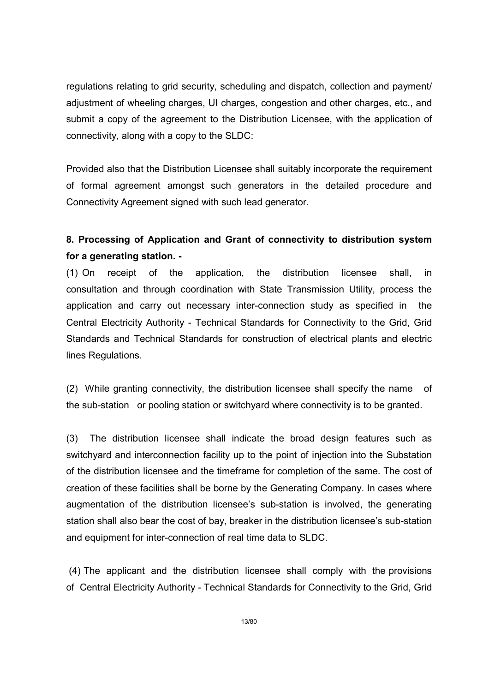regulations relating to grid security, scheduling and dispatch, collection and payment/ adjustment of wheeling charges, UI charges, congestion and other charges, etc., and submit a copy of the agreement to the Distribution Licensee, with the application of connectivity, along with a copy to the SLDC:

Provided also that the Distribution Licensee shall suitably incorporate the requirement of formal agreement amongst such generators in the detailed procedure and Connectivity Agreement signed with such lead generator.

## 8. Processing of Application and Grant of connectivity to distribution system for a generating station. -

(1) On receipt of the application, the distribution licensee shall, in consultation and through coordination with State Transmission Utility, process the application and carry out necessary inter-connection study as specified in the Central Electricity Authority - Technical Standards for Connectivity to the Grid, Grid Standards and Technical Standards for construction of electrical plants and electric lines Regulations.

(2) While granting connectivity, the distribution licensee shall specify the name of the sub-station or pooling station or switchyard where connectivity is to be granted.

(3) The distribution licensee shall indicate the broad design features such as switchyard and interconnection facility up to the point of injection into the Substation of the distribution licensee and the timeframe for completion of the same. The cost of creation of these facilities shall be borne by the Generating Company. In cases where augmentation of the distribution licensee's sub-station is involved, the generating station shall also bear the cost of bay, breaker in the distribution licensee's sub-station and equipment for inter-connection of real time data to SLDC.

 (4) The applicant and the distribution licensee shall comply with the provisions of Central Electricity Authority - Technical Standards for Connectivity to the Grid, Grid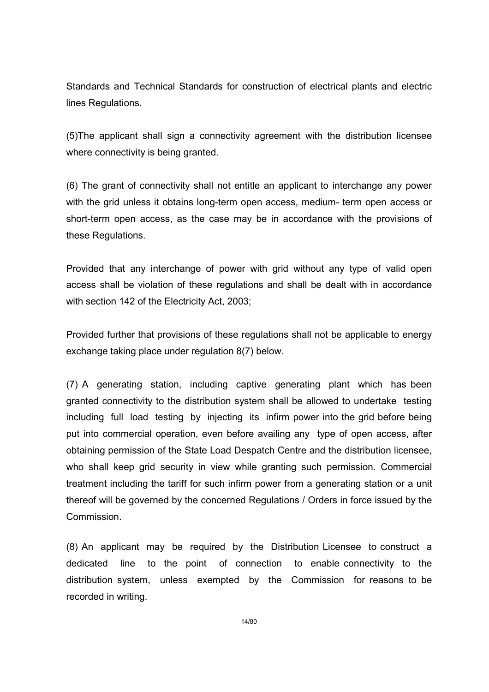Standards and Technical Standards for construction of electrical plants and electric lines Regulations.

(5)The applicant shall sign a connectivity agreement with the distribution licensee where connectivity is being granted.

(6) The grant of connectivity shall not entitle an applicant to interchange any power with the grid unless it obtains long-term open access, medium- term open access or short-term open access, as the case may be in accordance with the provisions of these Regulations.

Provided that any interchange of power with grid without any type of valid open access shall be violation of these regulations and shall be dealt with in accordance with section 142 of the Electricity Act, 2003;

Provided further that provisions of these regulations shall not be applicable to energy exchange taking place under regulation 8(7) below.

(7) A generating station, including captive generating plant which has been granted connectivity to the distribution system shall be allowed to undertake testing including full load testing by injecting its infirm power into the grid before being put into commercial operation, even before availing any type of open access, after obtaining permission of the State Load Despatch Centre and the distribution licensee, who shall keep grid security in view while granting such permission. Commercial treatment including the tariff for such infirm power from a generating station or a unit thereof will be governed by the concerned Regulations / Orders in force issued by the Commission.

(8) An applicant may be required by the Distribution Licensee to construct a dedicated line to the point of connection to enable connectivity to the distribution system, unless exempted by the Commission for reasons to be recorded in writing.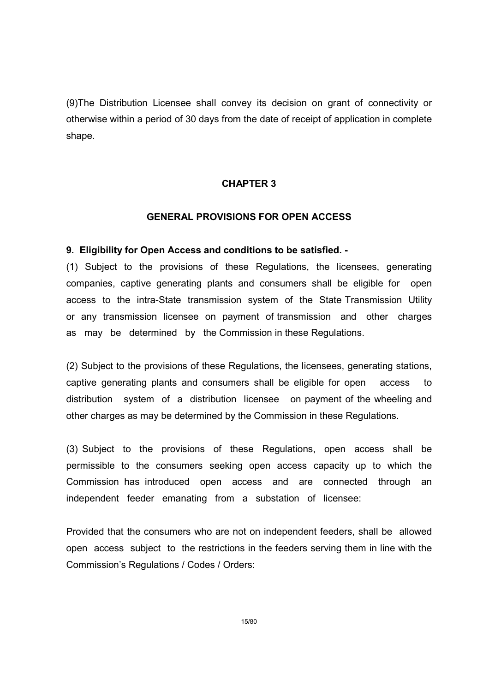(9)The Distribution Licensee shall convey its decision on grant of connectivity or otherwise within a period of 30 days from the date of receipt of application in complete shape.

#### CHAPTER 3

#### GENERAL PROVISIONS FOR OPEN ACCESS

#### 9. Eligibility for Open Access and conditions to be satisfied. -

(1) Subject to the provisions of these Regulations, the licensees, generating companies, captive generating plants and consumers shall be eligible for open access to the intra-State transmission system of the State Transmission Utility or any transmission licensee on payment of transmission and other charges as may be determined by the Commission in these Regulations.

(2) Subject to the provisions of these Regulations, the licensees, generating stations, captive generating plants and consumers shall be eligible for open access to distribution system of a distribution licensee on payment of the wheeling and other charges as may be determined by the Commission in these Regulations.

(3) Subject to the provisions of these Regulations, open access shall be permissible to the consumers seeking open access capacity up to which the Commission has introduced open access and are connected through an independent feeder emanating from a substation of licensee:

Provided that the consumers who are not on independent feeders, shall be allowed open access subject to the restrictions in the feeders serving them in line with the Commission's Regulations / Codes / Orders:

15/80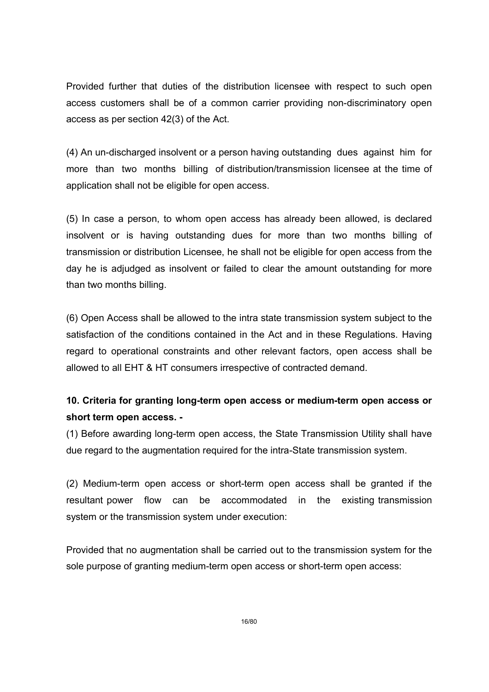Provided further that duties of the distribution licensee with respect to such open access customers shall be of a common carrier providing non-discriminatory open access as per section 42(3) of the Act.

(4) An un-discharged insolvent or a person having outstanding dues against him for more than two months billing of distribution/transmission licensee at the time of application shall not be eligible for open access.

(5) In case a person, to whom open access has already been allowed, is declared insolvent or is having outstanding dues for more than two months billing of transmission or distribution Licensee, he shall not be eligible for open access from the day he is adjudged as insolvent or failed to clear the amount outstanding for more than two months billing.

(6) Open Access shall be allowed to the intra state transmission system subject to the satisfaction of the conditions contained in the Act and in these Regulations. Having regard to operational constraints and other relevant factors, open access shall be allowed to all EHT & HT consumers irrespective of contracted demand.

## 10. Criteria for granting long-term open access or medium-term open access or short term open access. -

(1) Before awarding long-term open access, the State Transmission Utility shall have due regard to the augmentation required for the intra-State transmission system.

(2) Medium-term open access or short-term open access shall be granted if the resultant power flow can be accommodated in the existing transmission system or the transmission system under execution:

Provided that no augmentation shall be carried out to the transmission system for the sole purpose of granting medium-term open access or short-term open access: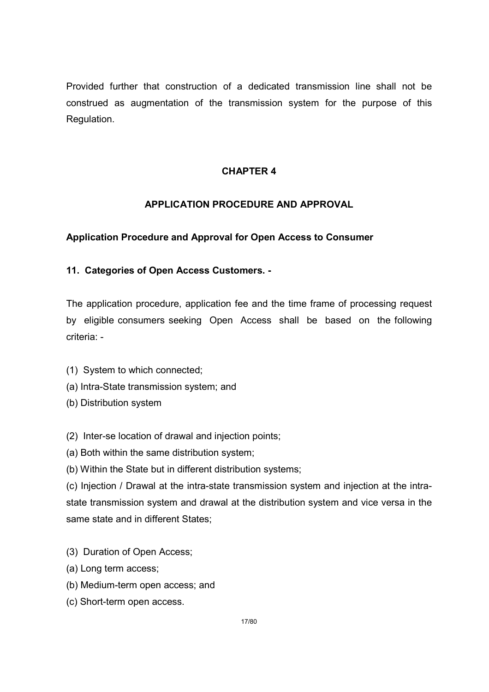Provided further that construction of a dedicated transmission line shall not be construed as augmentation of the transmission system for the purpose of this Regulation.

### CHAPTER 4

### APPLICATION PROCEDURE AND APPROVAL

### Application Procedure and Approval for Open Access to Consumer

### 11. Categories of Open Access Customers. -

The application procedure, application fee and the time frame of processing request by eligible consumers seeking Open Access shall be based on the following criteria: -

- (1) System to which connected;
- (a) Intra-State transmission system; and
- (b) Distribution system
- (2) Inter-se location of drawal and injection points;
- (a) Both within the same distribution system;
- (b) Within the State but in different distribution systems;

(c) Injection / Drawal at the intra-state transmission system and injection at the intrastate transmission system and drawal at the distribution system and vice versa in the same state and in different States;

- (3) Duration of Open Access;
- (a) Long term access;
- (b) Medium-term open access; and
- (c) Short-term open access.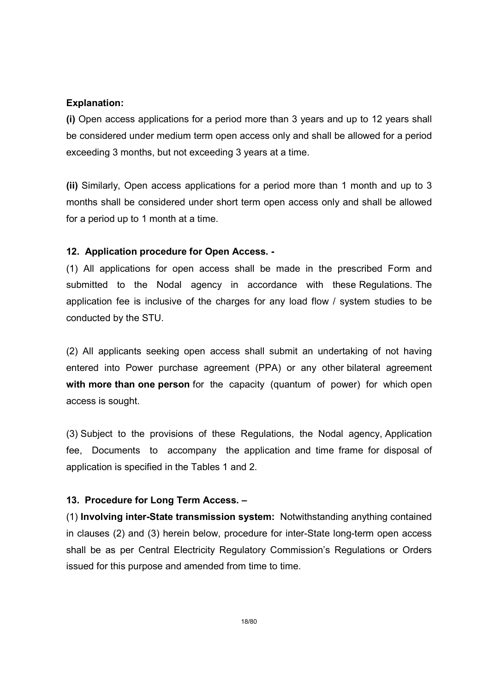#### Explanation:

(i) Open access applications for a period more than 3 years and up to 12 years shall be considered under medium term open access only and shall be allowed for a period exceeding 3 months, but not exceeding 3 years at a time.

(ii) Similarly, Open access applications for a period more than 1 month and up to 3 months shall be considered under short term open access only and shall be allowed for a period up to 1 month at a time.

### 12. Application procedure for Open Access. -

(1) All applications for open access shall be made in the prescribed Form and submitted to the Nodal agency in accordance with these Regulations. The application fee is inclusive of the charges for any load flow / system studies to be conducted by the STU.

(2) All applicants seeking open access shall submit an undertaking of not having entered into Power purchase agreement (PPA) or any other bilateral agreement with more than one person for the capacity (quantum of power) for which open access is sought.

(3) Subject to the provisions of these Regulations, the Nodal agency, Application fee, Documents to accompany the application and time frame for disposal of application is specified in the Tables 1 and 2.

### 13. Procedure for Long Term Access. –

(1) Involving inter-State transmission system: Notwithstanding anything contained in clauses (2) and (3) herein below, procedure for inter-State long-term open access shall be as per Central Electricity Regulatory Commission's Regulations or Orders issued for this purpose and amended from time to time.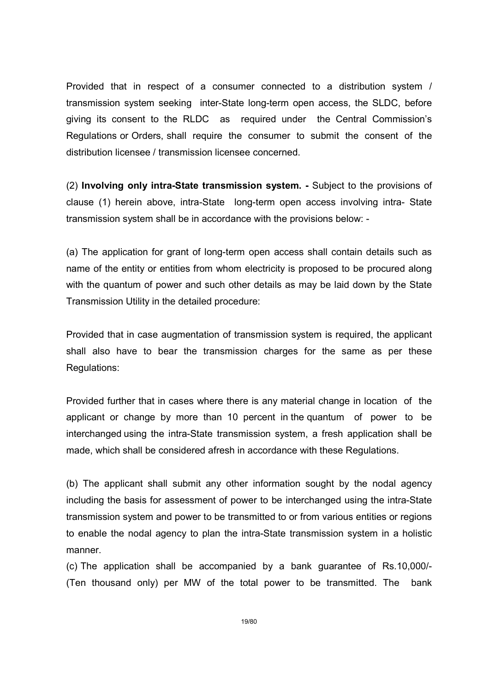Provided that in respect of a consumer connected to a distribution system / transmission system seeking inter-State long-term open access, the SLDC, before giving its consent to the RLDC as required under the Central Commission's Regulations or Orders, shall require the consumer to submit the consent of the distribution licensee / transmission licensee concerned.

(2) Involving only intra-State transmission system. - Subject to the provisions of clause (1) herein above, intra-State long-term open access involving intra- State transmission system shall be in accordance with the provisions below: -

(a) The application for grant of long-term open access shall contain details such as name of the entity or entities from whom electricity is proposed to be procured along with the quantum of power and such other details as may be laid down by the State Transmission Utility in the detailed procedure:

Provided that in case augmentation of transmission system is required, the applicant shall also have to bear the transmission charges for the same as per these Regulations:

Provided further that in cases where there is any material change in location of the applicant or change by more than 10 percent in the quantum of power to be interchanged using the intra-State transmission system, a fresh application shall be made, which shall be considered afresh in accordance with these Regulations.

(b) The applicant shall submit any other information sought by the nodal agency including the basis for assessment of power to be interchanged using the intra-State transmission system and power to be transmitted to or from various entities or regions to enable the nodal agency to plan the intra-State transmission system in a holistic manner.

(c) The application shall be accompanied by a bank guarantee of Rs.10,000/- (Ten thousand only) per MW of the total power to be transmitted. The bank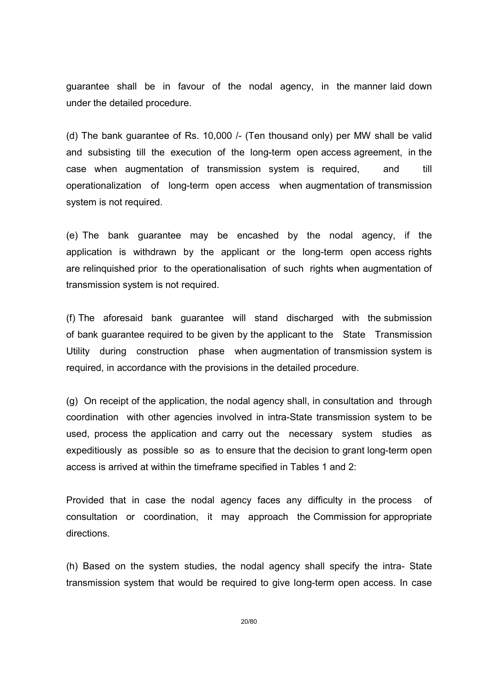guarantee shall be in favour of the nodal agency, in the manner laid down under the detailed procedure.

(d) The bank guarantee of Rs. 10,000 /- (Ten thousand only) per MW shall be valid and subsisting till the execution of the long-term open access agreement, in the case when augmentation of transmission system is required, and till operationalization of long-term open access when augmentation of transmission system is not required.

(e) The bank guarantee may be encashed by the nodal agency, if the application is withdrawn by the applicant or the long-term open access rights are relinquished prior to the operationalisation of such rights when augmentation of transmission system is not required.

(f) The aforesaid bank guarantee will stand discharged with the submission of bank guarantee required to be given by the applicant to the State Transmission Utility during construction phase when augmentation of transmission system is required, in accordance with the provisions in the detailed procedure.

(g) On receipt of the application, the nodal agency shall, in consultation and through coordination with other agencies involved in intra-State transmission system to be used, process the application and carry out the necessary system studies as expeditiously as possible so as to ensure that the decision to grant long-term open access is arrived at within the timeframe specified in Tables 1 and 2:

Provided that in case the nodal agency faces any difficulty in the process of consultation or coordination, it may approach the Commission for appropriate directions.

(h) Based on the system studies, the nodal agency shall specify the intra- State transmission system that would be required to give long-term open access. In case

20/80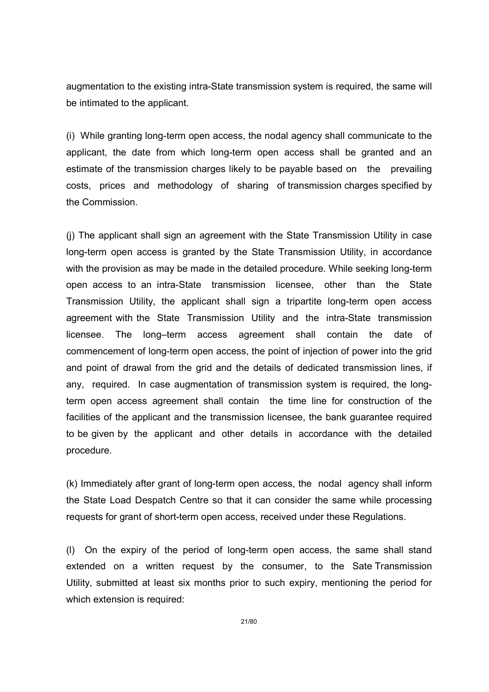augmentation to the existing intra-State transmission system is required, the same will be intimated to the applicant.

(i) While granting long-term open access, the nodal agency shall communicate to the applicant, the date from which long-term open access shall be granted and an estimate of the transmission charges likely to be payable based on the prevailing costs, prices and methodology of sharing of transmission charges specified by the Commission.

(j) The applicant shall sign an agreement with the State Transmission Utility in case long-term open access is granted by the State Transmission Utility, in accordance with the provision as may be made in the detailed procedure. While seeking long-term open access to an intra-State transmission licensee, other than the State Transmission Utility, the applicant shall sign a tripartite long-term open access agreement with the State Transmission Utility and the intra-State transmission licensee. The long–term access agreement shall contain the date of commencement of long-term open access, the point of injection of power into the grid and point of drawal from the grid and the details of dedicated transmission lines, if any, required. In case augmentation of transmission system is required, the longterm open access agreement shall contain the time line for construction of the facilities of the applicant and the transmission licensee, the bank guarantee required to be given by the applicant and other details in accordance with the detailed procedure.

(k) Immediately after grant of long-term open access, the nodal agency shall inform the State Load Despatch Centre so that it can consider the same while processing requests for grant of short-term open access, received under these Regulations.

(l) On the expiry of the period of long-term open access, the same shall stand extended on a written request by the consumer, to the Sate Transmission Utility, submitted at least six months prior to such expiry, mentioning the period for which extension is required: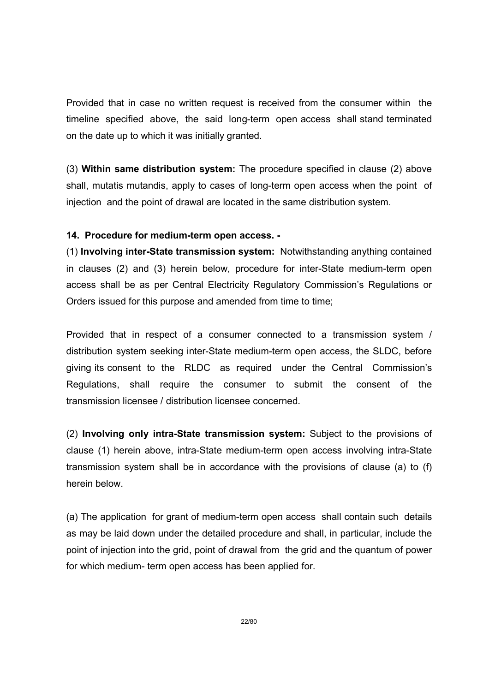Provided that in case no written request is received from the consumer within the timeline specified above, the said long-term open access shall stand terminated on the date up to which it was initially granted.

(3) Within same distribution system: The procedure specified in clause (2) above shall, mutatis mutandis, apply to cases of long-term open access when the point of injection and the point of drawal are located in the same distribution system.

#### 14. Procedure for medium-term open access. -

(1) Involving inter-State transmission system: Notwithstanding anything contained in clauses (2) and (3) herein below, procedure for inter-State medium-term open access shall be as per Central Electricity Regulatory Commission's Regulations or Orders issued for this purpose and amended from time to time;

Provided that in respect of a consumer connected to a transmission system / distribution system seeking inter-State medium-term open access, the SLDC, before giving its consent to the RLDC as required under the Central Commission's Regulations, shall require the consumer to submit the consent of the transmission licensee / distribution licensee concerned.

(2) Involving only intra-State transmission system: Subject to the provisions of clause (1) herein above, intra-State medium-term open access involving intra-State transmission system shall be in accordance with the provisions of clause (a) to (f) herein below.

(a) The application for grant of medium-term open access shall contain such details as may be laid down under the detailed procedure and shall, in particular, include the point of injection into the grid, point of drawal from the grid and the quantum of power for which medium- term open access has been applied for.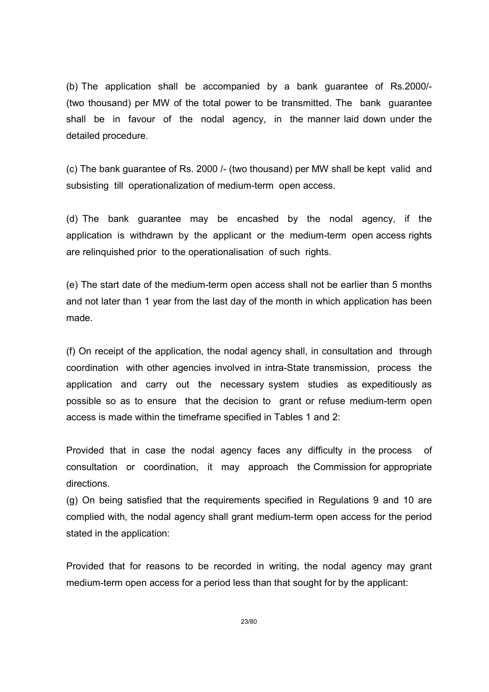(b) The application shall be accompanied by a bank guarantee of Rs.2000/- (two thousand) per MW of the total power to be transmitted. The bank guarantee shall be in favour of the nodal agency, in the manner laid down under the detailed procedure.

(c) The bank guarantee of Rs. 2000 /- (two thousand) per MW shall be kept valid and subsisting till operationalization of medium-term open access.

(d) The bank guarantee may be encashed by the nodal agency, if the application is withdrawn by the applicant or the medium-term open access rights are relinquished prior to the operationalisation of such rights.

(e) The start date of the medium-term open access shall not be earlier than 5 months and not later than 1 year from the last day of the month in which application has been made.

(f) On receipt of the application, the nodal agency shall, in consultation and through coordination with other agencies involved in intra-State transmission, process the application and carry out the necessary system studies as expeditiously as possible so as to ensure that the decision to grant or refuse medium-term open access is made within the timeframe specified in Tables 1 and 2:

Provided that in case the nodal agency faces any difficulty in the process of consultation or coordination, it may approach the Commission for appropriate directions.

(g) On being satisfied that the requirements specified in Regulations 9 and 10 are complied with, the nodal agency shall grant medium-term open access for the period stated in the application:

Provided that for reasons to be recorded in writing, the nodal agency may grant medium-term open access for a period less than that sought for by the applicant: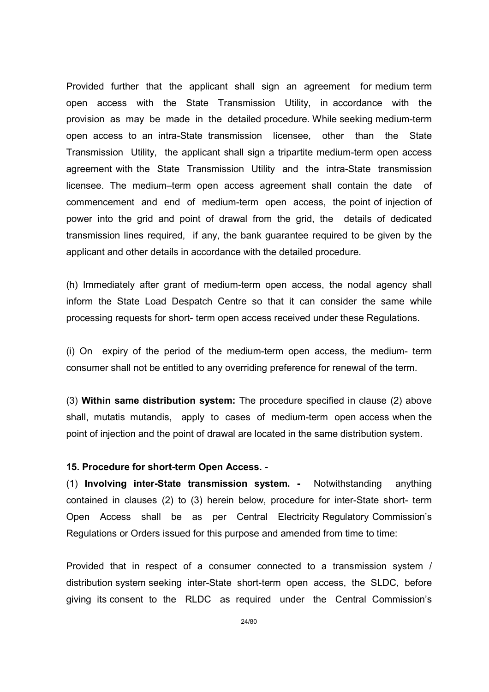Provided further that the applicant shall sign an agreement for medium term open access with the State Transmission Utility, in accordance with the provision as may be made in the detailed procedure. While seeking medium-term open access to an intra-State transmission licensee, other than the State Transmission Utility, the applicant shall sign a tripartite medium-term open access agreement with the State Transmission Utility and the intra-State transmission licensee. The medium–term open access agreement shall contain the date of commencement and end of medium-term open access, the point of injection of power into the grid and point of drawal from the grid, the details of dedicated transmission lines required, if any, the bank guarantee required to be given by the applicant and other details in accordance with the detailed procedure.

(h) Immediately after grant of medium-term open access, the nodal agency shall inform the State Load Despatch Centre so that it can consider the same while processing requests for short- term open access received under these Regulations.

(i) On expiry of the period of the medium-term open access, the medium- term consumer shall not be entitled to any overriding preference for renewal of the term.

(3) Within same distribution system: The procedure specified in clause (2) above shall, mutatis mutandis, apply to cases of medium-term open access when the point of injection and the point of drawal are located in the same distribution system.

#### 15. Procedure for short-term Open Access. -

(1) Involving inter-State transmission system. - Notwithstanding anything contained in clauses (2) to (3) herein below, procedure for inter-State short- term Open Access shall be as per Central Electricity Regulatory Commission's Regulations or Orders issued for this purpose and amended from time to time:

Provided that in respect of a consumer connected to a transmission system / distribution system seeking inter-State short-term open access, the SLDC, before giving its consent to the RLDC as required under the Central Commission's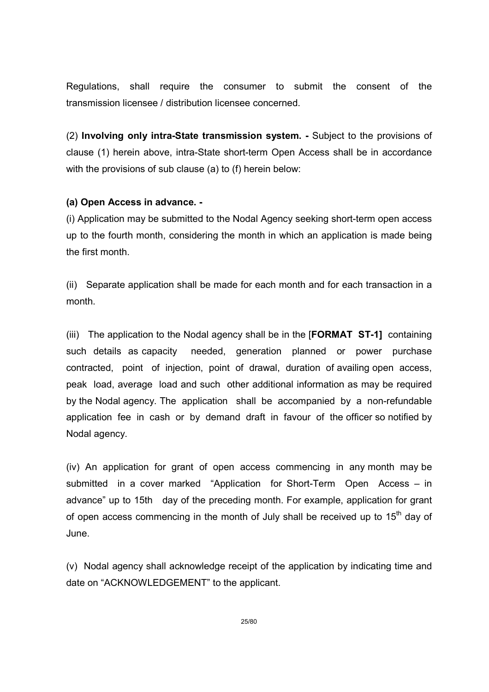Regulations, shall require the consumer to submit the consent of the transmission licensee / distribution licensee concerned.

(2) Involving only intra-State transmission system. - Subject to the provisions of clause (1) herein above, intra-State short-term Open Access shall be in accordance with the provisions of sub clause (a) to (f) herein below:

### (a) Open Access in advance. -

(i) Application may be submitted to the Nodal Agency seeking short-term open access up to the fourth month, considering the month in which an application is made being the first month.

(ii) Separate application shall be made for each month and for each transaction in a month.

(iii) The application to the Nodal agency shall be in the [FORMAT ST-1] containing such details as capacity needed, generation planned or power purchase contracted, point of injection, point of drawal, duration of availing open access, peak load, average load and such other additional information as may be required by the Nodal agency. The application shall be accompanied by a non-refundable application fee in cash or by demand draft in favour of the officer so notified by Nodal agency.

(iv) An application for grant of open access commencing in any month may be submitted in a cover marked "Application for Short-Term Open Access – in advance" up to 15th day of the preceding month. For example, application for grant of open access commencing in the month of July shall be received up to  $15<sup>th</sup>$  day of June.

(v) Nodal agency shall acknowledge receipt of the application by indicating time and date on "ACKNOWLEDGEMENT" to the applicant.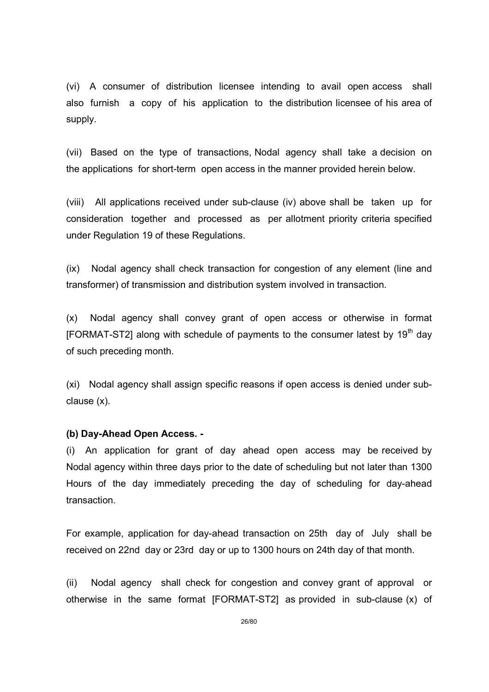(vi) A consumer of distribution licensee intending to avail open access shall also furnish a copy of his application to the distribution licensee of his area of supply.

(vii) Based on the type of transactions, Nodal agency shall take a decision on the applications for short-term open access in the manner provided herein below.

(viii) All applications received under sub-clause (iv) above shall be taken up for consideration together and processed as per allotment priority criteria specified under Regulation 19 of these Regulations.

(ix) Nodal agency shall check transaction for congestion of any element (line and transformer) of transmission and distribution system involved in transaction.

(x) Nodal agency shall convey grant of open access or otherwise in format [FORMAT-ST2] along with schedule of payments to the consumer latest by  $19<sup>th</sup>$  dav of such preceding month.

(xi) Nodal agency shall assign specific reasons if open access is denied under subclause (x).

#### (b) Day-Ahead Open Access. -

(i) An application for grant of day ahead open access may be received by Nodal agency within three days prior to the date of scheduling but not later than 1300 Hours of the day immediately preceding the day of scheduling for day-ahead transaction.

For example, application for day-ahead transaction on 25th day of July shall be received on 22nd day or 23rd day or up to 1300 hours on 24th day of that month.

(ii) Nodal agency shall check for congestion and convey grant of approval or otherwise in the same format [FORMAT-ST2] as provided in sub-clause (x) of

26/80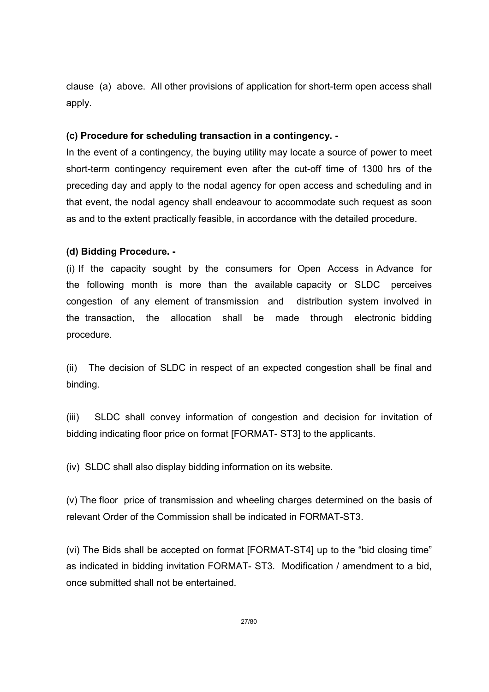clause (a) above. All other provisions of application for short-term open access shall apply.

### (c) Procedure for scheduling transaction in a contingency. -

In the event of a contingency, the buying utility may locate a source of power to meet short-term contingency requirement even after the cut-off time of 1300 hrs of the preceding day and apply to the nodal agency for open access and scheduling and in that event, the nodal agency shall endeavour to accommodate such request as soon as and to the extent practically feasible, in accordance with the detailed procedure.

### (d) Bidding Procedure. -

(i) If the capacity sought by the consumers for Open Access in Advance for the following month is more than the available capacity or SLDC perceives congestion of any element of transmission and distribution system involved in the transaction, the allocation shall be made through electronic bidding procedure.

(ii) The decision of SLDC in respect of an expected congestion shall be final and binding.

(iii) SLDC shall convey information of congestion and decision for invitation of bidding indicating floor price on format [FORMAT- ST3] to the applicants.

(iv) SLDC shall also display bidding information on its website.

(v) The floor price of transmission and wheeling charges determined on the basis of relevant Order of the Commission shall be indicated in FORMAT-ST3.

(vi) The Bids shall be accepted on format [FORMAT-ST4] up to the "bid closing time" as indicated in bidding invitation FORMAT- ST3. Modification / amendment to a bid, once submitted shall not be entertained.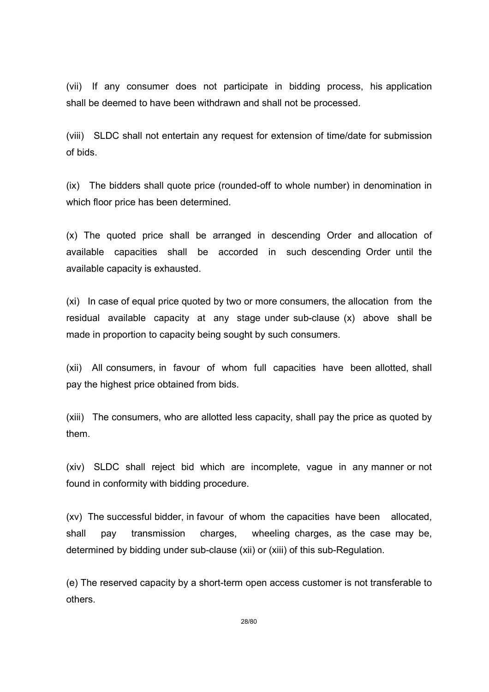(vii) If any consumer does not participate in bidding process, his application shall be deemed to have been withdrawn and shall not be processed.

(viii) SLDC shall not entertain any request for extension of time/date for submission of bids.

(ix) The bidders shall quote price (rounded-off to whole number) in denomination in which floor price has been determined.

(x) The quoted price shall be arranged in descending Order and allocation of available capacities shall be accorded in such descending Order until the available capacity is exhausted.

(xi) In case of equal price quoted by two or more consumers, the allocation from the residual available capacity at any stage under sub-clause (x) above shall be made in proportion to capacity being sought by such consumers.

(xii) All consumers, in favour of whom full capacities have been allotted, shall pay the highest price obtained from bids.

(xiii) The consumers, who are allotted less capacity, shall pay the price as quoted by them.

(xiv) SLDC shall reject bid which are incomplete, vague in any manner or not found in conformity with bidding procedure.

(xv) The successful bidder, in favour of whom the capacities have been allocated, shall pay transmission charges, wheeling charges, as the case may be, determined by bidding under sub-clause (xii) or (xiii) of this sub-Regulation.

(e) The reserved capacity by a short-term open access customer is not transferable to others.

28/80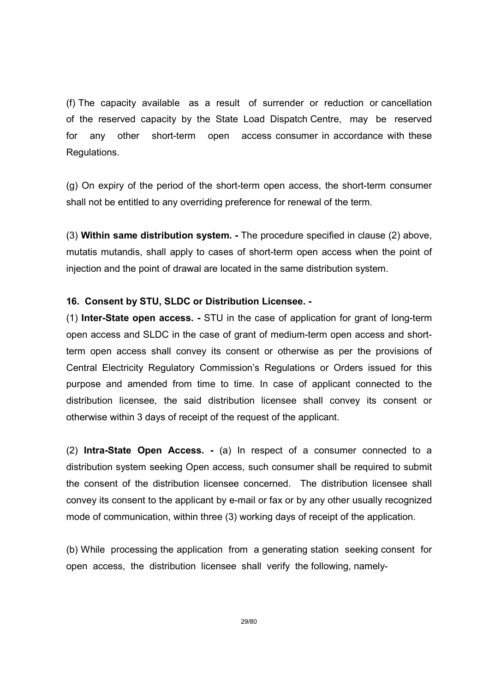(f) The capacity available as a result of surrender or reduction or cancellation of the reserved capacity by the State Load Dispatch Centre, may be reserved for any other short-term open access consumer in accordance with these Regulations.

(g) On expiry of the period of the short-term open access, the short-term consumer shall not be entitled to any overriding preference for renewal of the term.

(3) Within same distribution system. - The procedure specified in clause (2) above, mutatis mutandis, shall apply to cases of short-term open access when the point of injection and the point of drawal are located in the same distribution system.

### 16. Consent by STU, SLDC or Distribution Licensee. -

(1) Inter-State open access. - STU in the case of application for grant of long-term open access and SLDC in the case of grant of medium-term open access and shortterm open access shall convey its consent or otherwise as per the provisions of Central Electricity Regulatory Commission's Regulations or Orders issued for this purpose and amended from time to time. In case of applicant connected to the distribution licensee, the said distribution licensee shall convey its consent or otherwise within 3 days of receipt of the request of the applicant.

(2) Intra-State Open Access. - (a) In respect of a consumer connected to a distribution system seeking Open access, such consumer shall be required to submit the consent of the distribution licensee concerned. The distribution licensee shall convey its consent to the applicant by e-mail or fax or by any other usually recognized mode of communication, within three (3) working days of receipt of the application.

(b) While processing the application from a generating station seeking consent for open access, the distribution licensee shall verify the following, namely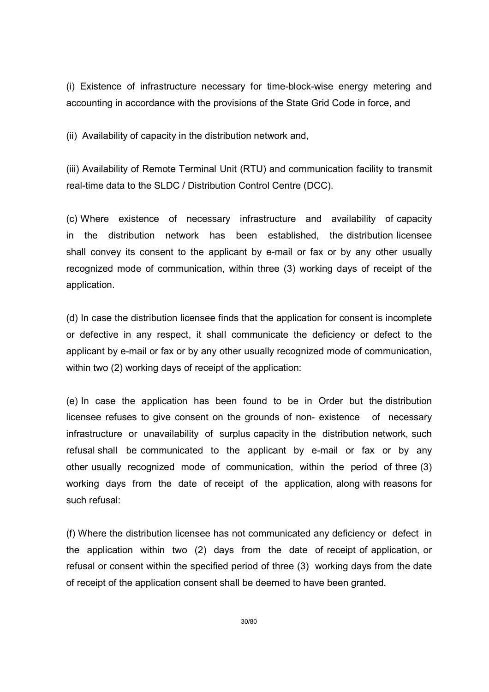(i) Existence of infrastructure necessary for time-block-wise energy metering and accounting in accordance with the provisions of the State Grid Code in force, and

(ii) Availability of capacity in the distribution network and,

(iii) Availability of Remote Terminal Unit (RTU) and communication facility to transmit real-time data to the SLDC / Distribution Control Centre (DCC).

(c) Where existence of necessary infrastructure and availability of capacity in the distribution network has been established, the distribution licensee shall convey its consent to the applicant by e-mail or fax or by any other usually recognized mode of communication, within three (3) working days of receipt of the application.

(d) In case the distribution licensee finds that the application for consent is incomplete or defective in any respect, it shall communicate the deficiency or defect to the applicant by e-mail or fax or by any other usually recognized mode of communication, within two (2) working days of receipt of the application:

(e) In case the application has been found to be in Order but the distribution licensee refuses to give consent on the grounds of non- existence of necessary infrastructure or unavailability of surplus capacity in the distribution network, such refusal shall be communicated to the applicant by e-mail or fax or by any other usually recognized mode of communication, within the period of three (3) working days from the date of receipt of the application, along with reasons for such refusal:

(f) Where the distribution licensee has not communicated any deficiency or defect in the application within two (2) days from the date of receipt of application, or refusal or consent within the specified period of three (3) working days from the date of receipt of the application consent shall be deemed to have been granted.

30/80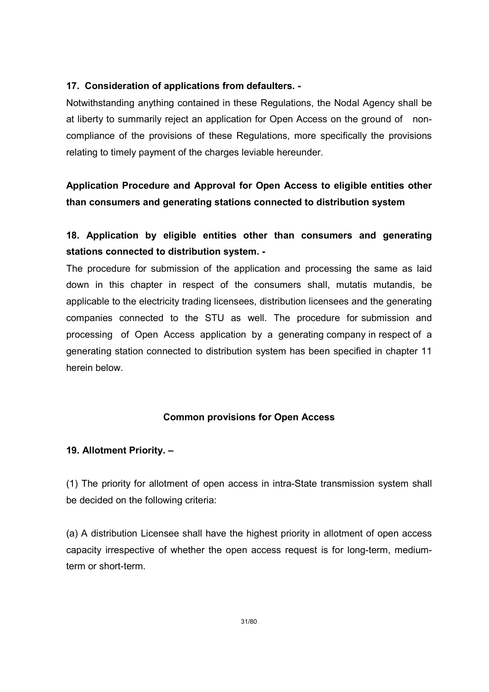### 17. Consideration of applications from defaulters. -

Notwithstanding anything contained in these Regulations, the Nodal Agency shall be at liberty to summarily reject an application for Open Access on the ground of noncompliance of the provisions of these Regulations, more specifically the provisions relating to timely payment of the charges leviable hereunder.

## Application Procedure and Approval for Open Access to eligible entities other than consumers and generating stations connected to distribution system

## 18. Application by eligible entities other than consumers and generating stations connected to distribution system. -

The procedure for submission of the application and processing the same as laid down in this chapter in respect of the consumers shall, mutatis mutandis, be applicable to the electricity trading licensees, distribution licensees and the generating companies connected to the STU as well. The procedure for submission and processing of Open Access application by a generating company in respect of a generating station connected to distribution system has been specified in chapter 11 herein below.

### Common provisions for Open Access

#### 19. Allotment Priority. –

(1) The priority for allotment of open access in intra-State transmission system shall be decided on the following criteria:

(a) A distribution Licensee shall have the highest priority in allotment of open access capacity irrespective of whether the open access request is for long-term, mediumterm or short-term.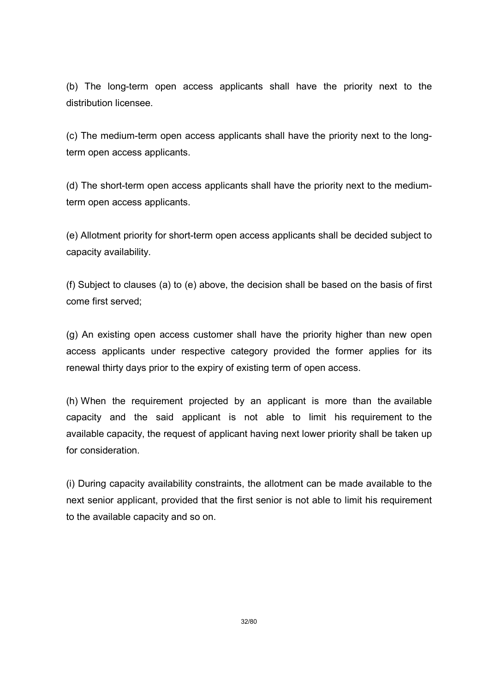(b) The long-term open access applicants shall have the priority next to the distribution licensee.

(c) The medium-term open access applicants shall have the priority next to the longterm open access applicants.

(d) The short-term open access applicants shall have the priority next to the mediumterm open access applicants.

(e) Allotment priority for short-term open access applicants shall be decided subject to capacity availability.

(f) Subject to clauses (a) to (e) above, the decision shall be based on the basis of first come first served;

(g) An existing open access customer shall have the priority higher than new open access applicants under respective category provided the former applies for its renewal thirty days prior to the expiry of existing term of open access.

(h) When the requirement projected by an applicant is more than the available capacity and the said applicant is not able to limit his requirement to the available capacity, the request of applicant having next lower priority shall be taken up for consideration.

(i) During capacity availability constraints, the allotment can be made available to the next senior applicant, provided that the first senior is not able to limit his requirement to the available capacity and so on.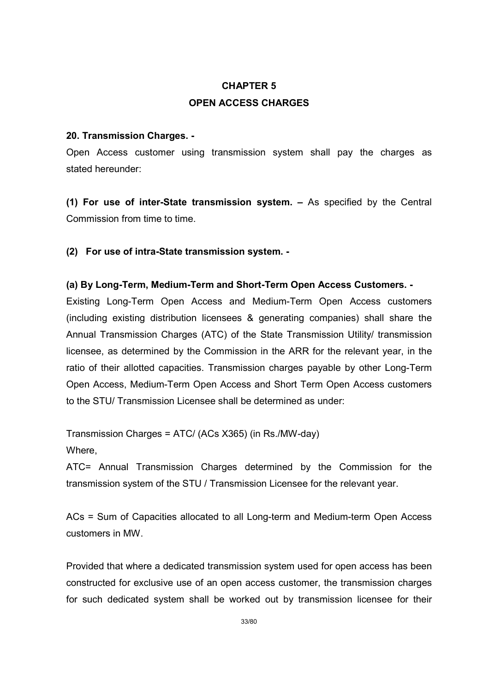# CHAPTER 5 OPEN ACCESS CHARGES

### 20. Transmission Charges. -

Open Access customer using transmission system shall pay the charges as stated hereunder:

(1) For use of inter-State transmission system. – As specified by the Central Commission from time to time.

(2) For use of intra-State transmission system. -

### (a) By Long-Term, Medium-Term and Short-Term Open Access Customers. -

Existing Long-Term Open Access and Medium-Term Open Access customers (including existing distribution licensees & generating companies) shall share the Annual Transmission Charges (ATC) of the State Transmission Utility/ transmission licensee, as determined by the Commission in the ARR for the relevant year, in the ratio of their allotted capacities. Transmission charges payable by other Long-Term Open Access, Medium-Term Open Access and Short Term Open Access customers to the STU/ Transmission Licensee shall be determined as under:

Transmission Charges = ATC/ (ACs X365) (in Rs./MW-day)

Where,

ATC= Annual Transmission Charges determined by the Commission for the transmission system of the STU / Transmission Licensee for the relevant year.

ACs = Sum of Capacities allocated to all Long-term and Medium-term Open Access customers in MW.

Provided that where a dedicated transmission system used for open access has been constructed for exclusive use of an open access customer, the transmission charges for such dedicated system shall be worked out by transmission licensee for their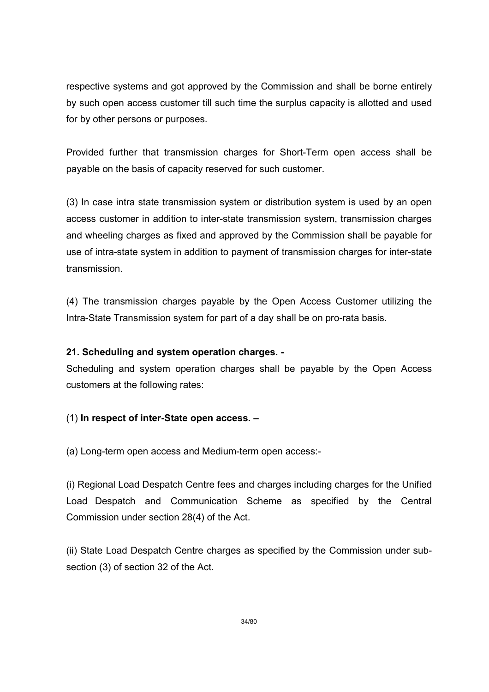respective systems and got approved by the Commission and shall be borne entirely by such open access customer till such time the surplus capacity is allotted and used for by other persons or purposes.

Provided further that transmission charges for Short-Term open access shall be payable on the basis of capacity reserved for such customer.

(3) In case intra state transmission system or distribution system is used by an open access customer in addition to inter-state transmission system, transmission charges and wheeling charges as fixed and approved by the Commission shall be payable for use of intra-state system in addition to payment of transmission charges for inter-state transmission.

(4) The transmission charges payable by the Open Access Customer utilizing the Intra-State Transmission system for part of a day shall be on pro-rata basis.

### 21. Scheduling and system operation charges. -

Scheduling and system operation charges shall be payable by the Open Access customers at the following rates:

### (1) In respect of inter-State open access. –

(a) Long-term open access and Medium-term open access:-

(i) Regional Load Despatch Centre fees and charges including charges for the Unified Load Despatch and Communication Scheme as specified by the Central Commission under section 28(4) of the Act.

(ii) State Load Despatch Centre charges as specified by the Commission under subsection (3) of section 32 of the Act.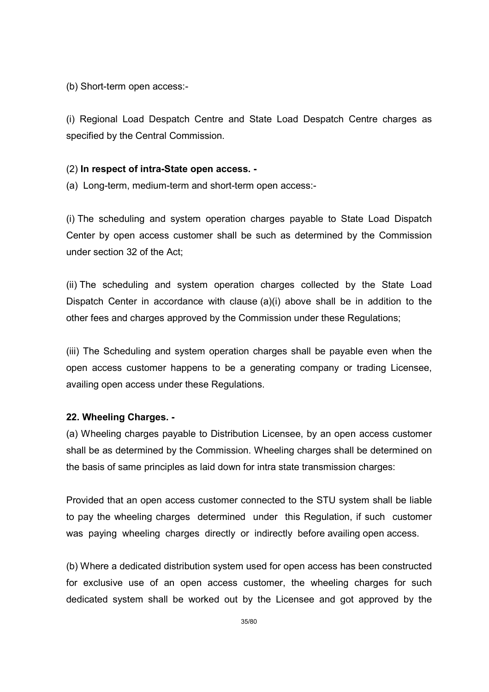(b) Short-term open access:-

(i) Regional Load Despatch Centre and State Load Despatch Centre charges as specified by the Central Commission.

### (2) In respect of intra-State open access. -

(a) Long-term, medium-term and short-term open access:-

(i) The scheduling and system operation charges payable to State Load Dispatch Center by open access customer shall be such as determined by the Commission under section 32 of the Act;

(ii) The scheduling and system operation charges collected by the State Load Dispatch Center in accordance with clause (a)(i) above shall be in addition to the other fees and charges approved by the Commission under these Regulations;

(iii) The Scheduling and system operation charges shall be payable even when the open access customer happens to be a generating company or trading Licensee, availing open access under these Regulations.

#### 22. Wheeling Charges. -

(a) Wheeling charges payable to Distribution Licensee, by an open access customer shall be as determined by the Commission. Wheeling charges shall be determined on the basis of same principles as laid down for intra state transmission charges:

Provided that an open access customer connected to the STU system shall be liable to pay the wheeling charges determined under this Regulation, if such customer was paying wheeling charges directly or indirectly before availing open access.

(b) Where a dedicated distribution system used for open access has been constructed for exclusive use of an open access customer, the wheeling charges for such dedicated system shall be worked out by the Licensee and got approved by the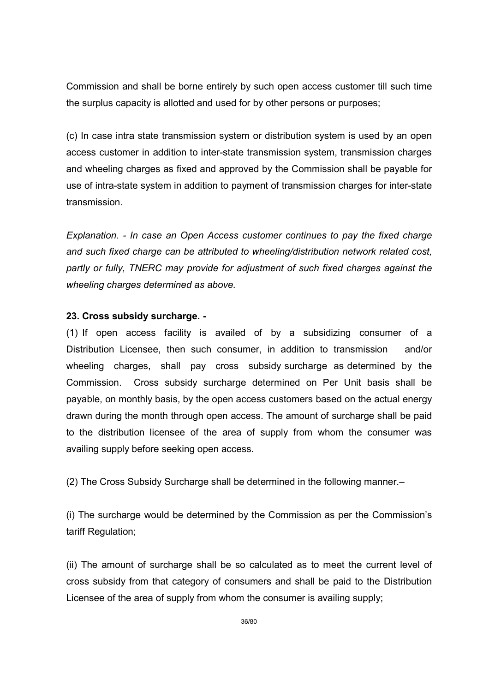Commission and shall be borne entirely by such open access customer till such time the surplus capacity is allotted and used for by other persons or purposes;

(c) In case intra state transmission system or distribution system is used by an open access customer in addition to inter-state transmission system, transmission charges and wheeling charges as fixed and approved by the Commission shall be payable for use of intra-state system in addition to payment of transmission charges for inter-state transmission.

Explanation. - In case an Open Access customer continues to pay the fixed charge and such fixed charge can be attributed to wheeling/distribution network related cost, partly or fully, TNERC may provide for adjustment of such fixed charges against the wheeling charges determined as above.

### 23. Cross subsidy surcharge. -

(1) If open access facility is availed of by a subsidizing consumer of a Distribution Licensee, then such consumer, in addition to transmission and/or wheeling charges, shall pay cross subsidy surcharge as determined by the Commission. Cross subsidy surcharge determined on Per Unit basis shall be payable, on monthly basis, by the open access customers based on the actual energy drawn during the month through open access. The amount of surcharge shall be paid to the distribution licensee of the area of supply from whom the consumer was availing supply before seeking open access.

(2) The Cross Subsidy Surcharge shall be determined in the following manner.–

(i) The surcharge would be determined by the Commission as per the Commission's tariff Regulation;

(ii) The amount of surcharge shall be so calculated as to meet the current level of cross subsidy from that category of consumers and shall be paid to the Distribution Licensee of the area of supply from whom the consumer is availing supply;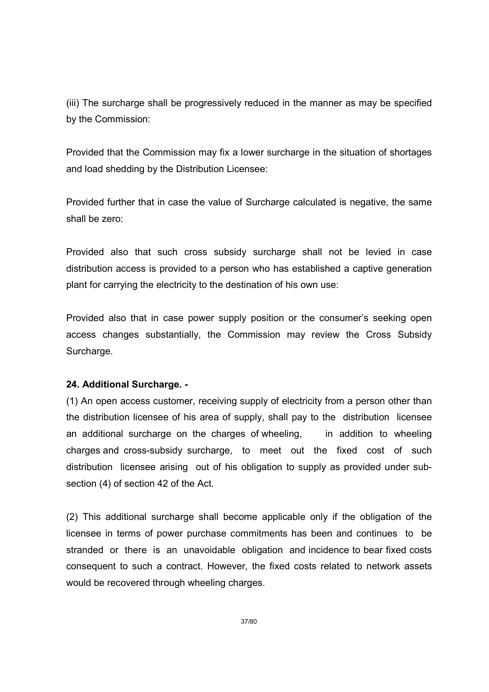(iii) The surcharge shall be progressively reduced in the manner as may be specified by the Commission:

Provided that the Commission may fix a lower surcharge in the situation of shortages and load shedding by the Distribution Licensee:

Provided further that in case the value of Surcharge calculated is negative, the same shall be zero:

Provided also that such cross subsidy surcharge shall not be levied in case distribution access is provided to a person who has established a captive generation plant for carrying the electricity to the destination of his own use:

Provided also that in case power supply position or the consumer's seeking open access changes substantially, the Commission may review the Cross Subsidy Surcharge.

## 24. Additional Surcharge. -

(1) An open access customer, receiving supply of electricity from a person other than the distribution licensee of his area of supply, shall pay to the distribution licensee an additional surcharge on the charges of wheeling, in addition to wheeling charges and cross-subsidy surcharge, to meet out the fixed cost of such distribution licensee arising out of his obligation to supply as provided under subsection (4) of section 42 of the Act.

(2) This additional surcharge shall become applicable only if the obligation of the licensee in terms of power purchase commitments has been and continues to be stranded or there is an unavoidable obligation and incidence to bear fixed costs consequent to such a contract. However, the fixed costs related to network assets would be recovered through wheeling charges.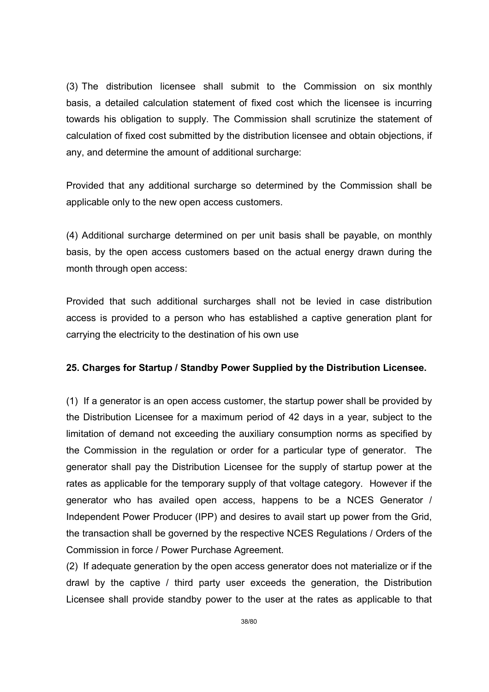(3) The distribution licensee shall submit to the Commission on six monthly basis, a detailed calculation statement of fixed cost which the licensee is incurring towards his obligation to supply. The Commission shall scrutinize the statement of calculation of fixed cost submitted by the distribution licensee and obtain objections, if any, and determine the amount of additional surcharge:

Provided that any additional surcharge so determined by the Commission shall be applicable only to the new open access customers.

(4) Additional surcharge determined on per unit basis shall be payable, on monthly basis, by the open access customers based on the actual energy drawn during the month through open access:

Provided that such additional surcharges shall not be levied in case distribution access is provided to a person who has established a captive generation plant for carrying the electricity to the destination of his own use

# 25. Charges for Startup / Standby Power Supplied by the Distribution Licensee.

(1) If a generator is an open access customer, the startup power shall be provided by the Distribution Licensee for a maximum period of 42 days in a year, subject to the limitation of demand not exceeding the auxiliary consumption norms as specified by the Commission in the regulation or order for a particular type of generator. The generator shall pay the Distribution Licensee for the supply of startup power at the rates as applicable for the temporary supply of that voltage category. However if the generator who has availed open access, happens to be a NCES Generator / Independent Power Producer (IPP) and desires to avail start up power from the Grid, the transaction shall be governed by the respective NCES Regulations / Orders of the Commission in force / Power Purchase Agreement.

(2) If adequate generation by the open access generator does not materialize or if the drawl by the captive / third party user exceeds the generation, the Distribution Licensee shall provide standby power to the user at the rates as applicable to that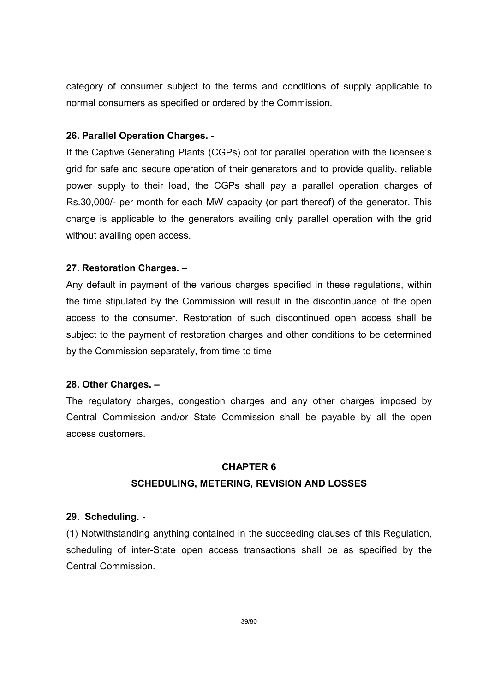category of consumer subject to the terms and conditions of supply applicable to normal consumers as specified or ordered by the Commission.

## 26. Parallel Operation Charges. -

If the Captive Generating Plants (CGPs) opt for parallel operation with the licensee's grid for safe and secure operation of their generators and to provide quality, reliable power supply to their load, the CGPs shall pay a parallel operation charges of Rs.30,000/- per month for each MW capacity (or part thereof) of the generator. This charge is applicable to the generators availing only parallel operation with the grid without availing open access.

## 27. Restoration Charges. –

Any default in payment of the various charges specified in these regulations, within the time stipulated by the Commission will result in the discontinuance of the open access to the consumer. Restoration of such discontinued open access shall be subject to the payment of restoration charges and other conditions to be determined by the Commission separately, from time to time

## 28. Other Charges. –

The regulatory charges, congestion charges and any other charges imposed by Central Commission and/or State Commission shall be payable by all the open access customers.

## CHAPTER 6

## SCHEDULING, METERING, REVISION AND LOSSES

## 29. Scheduling. -

(1) Notwithstanding anything contained in the succeeding clauses of this Regulation, scheduling of inter-State open access transactions shall be as specified by the Central Commission.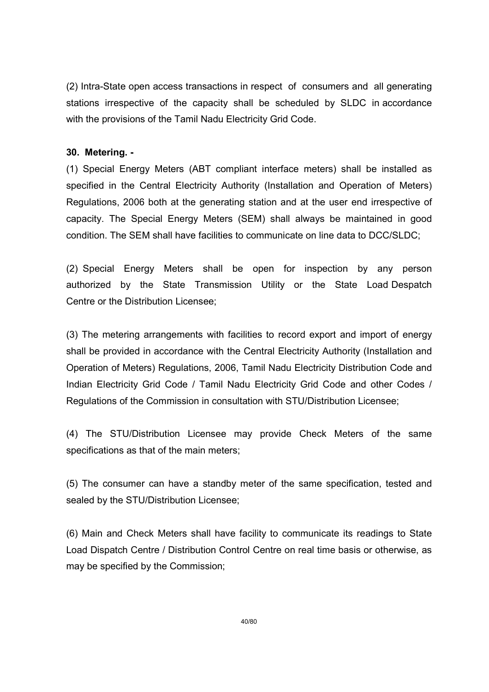(2) Intra-State open access transactions in respect of consumers and all generating stations irrespective of the capacity shall be scheduled by SLDC in accordance with the provisions of the Tamil Nadu Electricity Grid Code.

## 30. Metering. -

(1) Special Energy Meters (ABT compliant interface meters) shall be installed as specified in the Central Electricity Authority (Installation and Operation of Meters) Regulations, 2006 both at the generating station and at the user end irrespective of capacity. The Special Energy Meters (SEM) shall always be maintained in good condition. The SEM shall have facilities to communicate on line data to DCC/SLDC;

(2) Special Energy Meters shall be open for inspection by any person authorized by the State Transmission Utility or the State Load Despatch Centre or the Distribution Licensee;

(3) The metering arrangements with facilities to record export and import of energy shall be provided in accordance with the Central Electricity Authority (Installation and Operation of Meters) Regulations, 2006, Tamil Nadu Electricity Distribution Code and Indian Electricity Grid Code / Tamil Nadu Electricity Grid Code and other Codes / Regulations of the Commission in consultation with STU/Distribution Licensee;

(4) The STU/Distribution Licensee may provide Check Meters of the same specifications as that of the main meters;

(5) The consumer can have a standby meter of the same specification, tested and sealed by the STU/Distribution Licensee;

(6) Main and Check Meters shall have facility to communicate its readings to State Load Dispatch Centre / Distribution Control Centre on real time basis or otherwise, as may be specified by the Commission;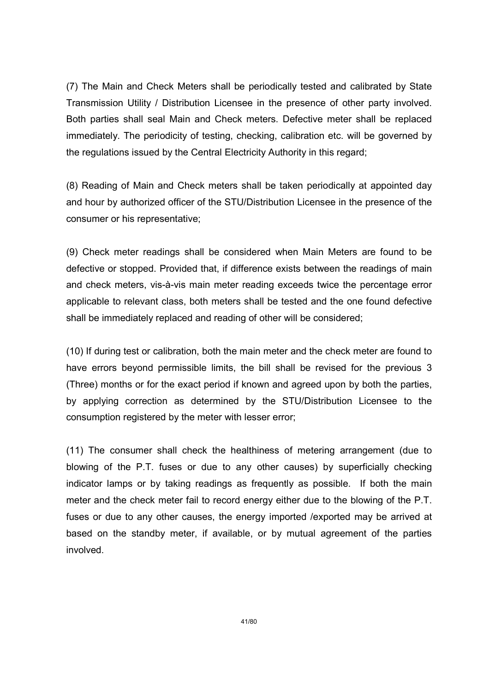(7) The Main and Check Meters shall be periodically tested and calibrated by State Transmission Utility / Distribution Licensee in the presence of other party involved. Both parties shall seal Main and Check meters. Defective meter shall be replaced immediately. The periodicity of testing, checking, calibration etc. will be governed by the regulations issued by the Central Electricity Authority in this regard;

(8) Reading of Main and Check meters shall be taken periodically at appointed day and hour by authorized officer of the STU/Distribution Licensee in the presence of the consumer or his representative;

(9) Check meter readings shall be considered when Main Meters are found to be defective or stopped. Provided that, if difference exists between the readings of main and check meters, vis-à-vis main meter reading exceeds twice the percentage error applicable to relevant class, both meters shall be tested and the one found defective shall be immediately replaced and reading of other will be considered;

(10) If during test or calibration, both the main meter and the check meter are found to have errors beyond permissible limits, the bill shall be revised for the previous 3 (Three) months or for the exact period if known and agreed upon by both the parties, by applying correction as determined by the STU/Distribution Licensee to the consumption registered by the meter with lesser error;

(11) The consumer shall check the healthiness of metering arrangement (due to blowing of the P.T. fuses or due to any other causes) by superficially checking indicator lamps or by taking readings as frequently as possible. If both the main meter and the check meter fail to record energy either due to the blowing of the P.T. fuses or due to any other causes, the energy imported /exported may be arrived at based on the standby meter, if available, or by mutual agreement of the parties involved.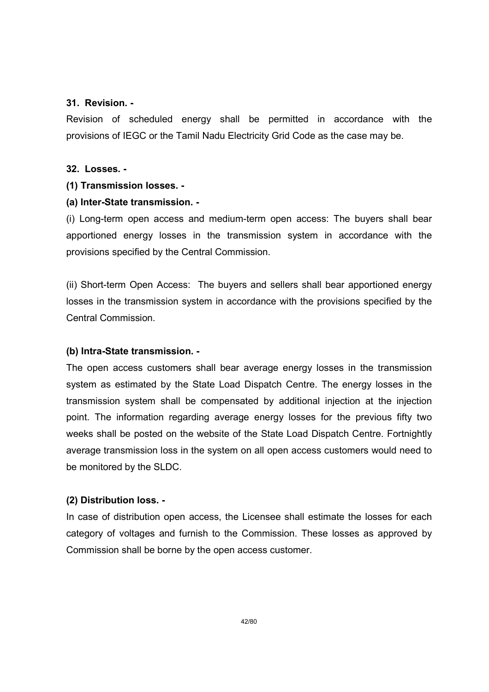## 31. Revision. -

Revision of scheduled energy shall be permitted in accordance with the provisions of IEGC or the Tamil Nadu Electricity Grid Code as the case may be.

## 32. Losses. -

## (1) Transmission losses. -

## (a) Inter-State transmission. -

(i) Long-term open access and medium-term open access: The buyers shall bear apportioned energy losses in the transmission system in accordance with the provisions specified by the Central Commission.

(ii) Short-term Open Access: The buyers and sellers shall bear apportioned energy losses in the transmission system in accordance with the provisions specified by the Central Commission.

## (b) Intra-State transmission. -

The open access customers shall bear average energy losses in the transmission system as estimated by the State Load Dispatch Centre. The energy losses in the transmission system shall be compensated by additional injection at the injection point. The information regarding average energy losses for the previous fifty two weeks shall be posted on the website of the State Load Dispatch Centre. Fortnightly average transmission loss in the system on all open access customers would need to be monitored by the SLDC.

## (2) Distribution loss. -

In case of distribution open access, the Licensee shall estimate the losses for each category of voltages and furnish to the Commission. These losses as approved by Commission shall be borne by the open access customer.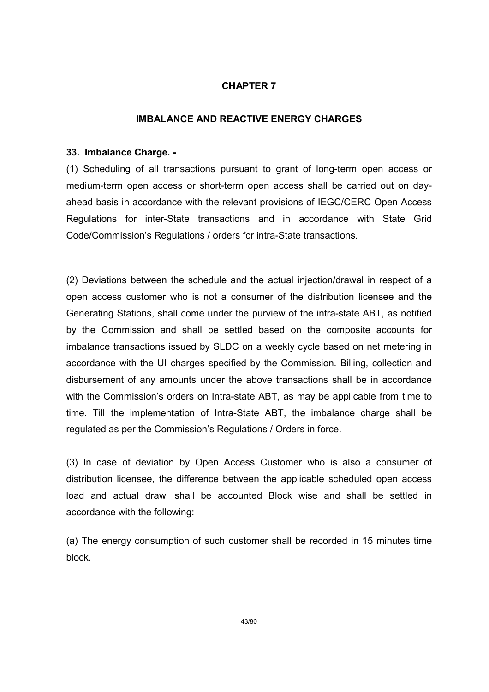## CHAPTER 7

## IMBALANCE AND REACTIVE ENERGY CHARGES

#### 33. Imbalance Charge. -

(1) Scheduling of all transactions pursuant to grant of long-term open access or medium-term open access or short-term open access shall be carried out on dayahead basis in accordance with the relevant provisions of IEGC/CERC Open Access Regulations for inter-State transactions and in accordance with State Grid Code/Commission's Regulations / orders for intra-State transactions.

(2) Deviations between the schedule and the actual injection/drawal in respect of a open access customer who is not a consumer of the distribution licensee and the Generating Stations, shall come under the purview of the intra-state ABT, as notified by the Commission and shall be settled based on the composite accounts for imbalance transactions issued by SLDC on a weekly cycle based on net metering in accordance with the UI charges specified by the Commission. Billing, collection and disbursement of any amounts under the above transactions shall be in accordance with the Commission's orders on Intra-state ABT, as may be applicable from time to time. Till the implementation of Intra-State ABT, the imbalance charge shall be regulated as per the Commission's Regulations / Orders in force.

(3) In case of deviation by Open Access Customer who is also a consumer of distribution licensee, the difference between the applicable scheduled open access load and actual drawl shall be accounted Block wise and shall be settled in accordance with the following:

(a) The energy consumption of such customer shall be recorded in 15 minutes time block.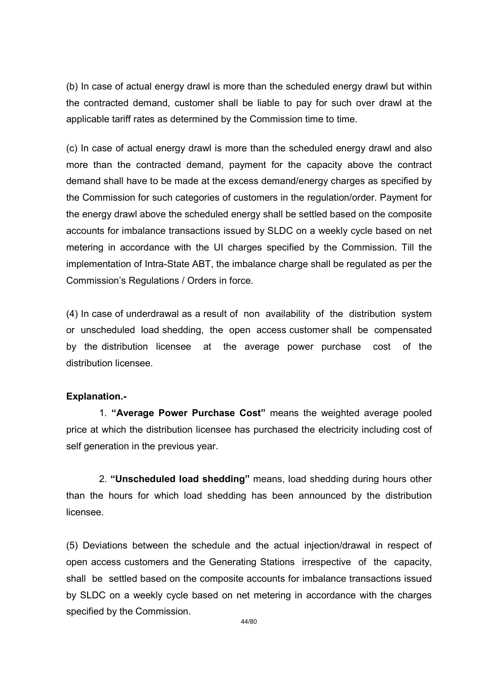(b) In case of actual energy drawl is more than the scheduled energy drawl but within the contracted demand, customer shall be liable to pay for such over drawl at the applicable tariff rates as determined by the Commission time to time.

(c) In case of actual energy drawl is more than the scheduled energy drawl and also more than the contracted demand, payment for the capacity above the contract demand shall have to be made at the excess demand/energy charges as specified by the Commission for such categories of customers in the regulation/order. Payment for the energy drawl above the scheduled energy shall be settled based on the composite accounts for imbalance transactions issued by SLDC on a weekly cycle based on net metering in accordance with the UI charges specified by the Commission. Till the implementation of Intra-State ABT, the imbalance charge shall be regulated as per the Commission's Regulations / Orders in force.

(4) In case of underdrawal as a result of non availability of the distribution system or unscheduled load shedding, the open access customer shall be compensated by the distribution licensee at the average power purchase cost of the distribution licensee.

## Explanation.-

 1. "Average Power Purchase Cost" means the weighted average pooled price at which the distribution licensee has purchased the electricity including cost of self generation in the previous year.

 2. "Unscheduled load shedding" means, load shedding during hours other than the hours for which load shedding has been announced by the distribution licensee.

(5) Deviations between the schedule and the actual injection/drawal in respect of open access customers and the Generating Stations irrespective of the capacity, shall be settled based on the composite accounts for imbalance transactions issued by SLDC on a weekly cycle based on net metering in accordance with the charges specified by the Commission.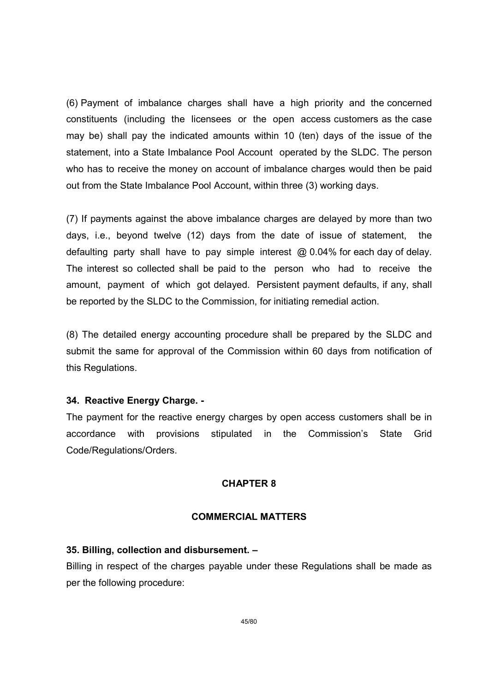(6) Payment of imbalance charges shall have a high priority and the concerned constituents (including the licensees or the open access customers as the case may be) shall pay the indicated amounts within 10 (ten) days of the issue of the statement, into a State Imbalance Pool Account operated by the SLDC. The person who has to receive the money on account of imbalance charges would then be paid out from the State Imbalance Pool Account, within three (3) working days.

(7) If payments against the above imbalance charges are delayed by more than two days, i.e., beyond twelve (12) days from the date of issue of statement, the defaulting party shall have to pay simple interest @ 0.04% for each day of delay. The interest so collected shall be paid to the person who had to receive the amount, payment of which got delayed. Persistent payment defaults, if any, shall be reported by the SLDC to the Commission, for initiating remedial action.

(8) The detailed energy accounting procedure shall be prepared by the SLDC and submit the same for approval of the Commission within 60 days from notification of this Regulations.

#### 34. Reactive Energy Charge. -

The payment for the reactive energy charges by open access customers shall be in accordance with provisions stipulated in the Commission's State Grid Code/Regulations/Orders.

## CHAPTER 8

#### COMMERCIAL MATTERS

#### 35. Billing, collection and disbursement. –

Billing in respect of the charges payable under these Regulations shall be made as per the following procedure: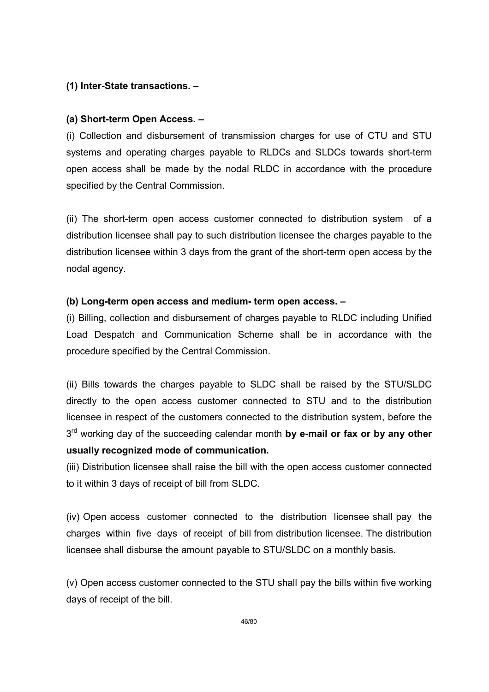# (1) Inter-State transactions. –

# (a) Short-term Open Access. –

(i) Collection and disbursement of transmission charges for use of CTU and STU systems and operating charges payable to RLDCs and SLDCs towards short-term open access shall be made by the nodal RLDC in accordance with the procedure specified by the Central Commission.

(ii) The short-term open access customer connected to distribution system of a distribution licensee shall pay to such distribution licensee the charges payable to the distribution licensee within 3 days from the grant of the short-term open access by the nodal agency.

## (b) Long-term open access and medium- term open access. –

(i) Billing, collection and disbursement of charges payable to RLDC including Unified Load Despatch and Communication Scheme shall be in accordance with the procedure specified by the Central Commission.

(ii) Bills towards the charges payable to SLDC shall be raised by the STU/SLDC directly to the open access customer connected to STU and to the distribution licensee in respect of the customers connected to the distribution system, before the 3<sup>rd</sup> working day of the succeeding calendar month by e-mail or fax or by any other usually recognized mode of communication.

(iii) Distribution licensee shall raise the bill with the open access customer connected to it within 3 days of receipt of bill from SLDC.

(iv) Open access customer connected to the distribution licensee shall pay the charges within five days of receipt of bill from distribution licensee. The distribution licensee shall disburse the amount payable to STU/SLDC on a monthly basis.

(v) Open access customer connected to the STU shall pay the bills within five working days of receipt of the bill.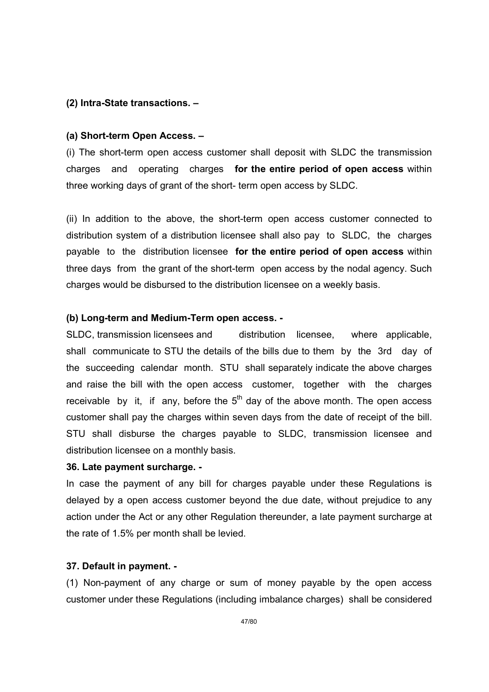### (2) Intra-State transactions. –

#### (a) Short-term Open Access. –

(i) The short-term open access customer shall deposit with SLDC the transmission charges and operating charges for the entire period of open access within three working days of grant of the short- term open access by SLDC.

(ii) In addition to the above, the short-term open access customer connected to distribution system of a distribution licensee shall also pay to SLDC, the charges payable to the distribution licensee for the entire period of open access within three days from the grant of the short-term open access by the nodal agency. Such charges would be disbursed to the distribution licensee on a weekly basis.

#### (b) Long-term and Medium-Term open access. -

SLDC, transmission licensees and distribution licensee, where applicable, shall communicate to STU the details of the bills due to them by the 3rd day of the succeeding calendar month. STU shall separately indicate the above charges and raise the bill with the open access customer, together with the charges receivable by it, if any, before the  $5<sup>th</sup>$  day of the above month. The open access customer shall pay the charges within seven days from the date of receipt of the bill. STU shall disburse the charges payable to SLDC, transmission licensee and distribution licensee on a monthly basis.

#### 36. Late payment surcharge. -

In case the payment of any bill for charges payable under these Regulations is delayed by a open access customer beyond the due date, without prejudice to any action under the Act or any other Regulation thereunder, a late payment surcharge at the rate of 1.5% per month shall be levied.

## 37. Default in payment. -

(1) Non-payment of any charge or sum of money payable by the open access customer under these Regulations (including imbalance charges) shall be considered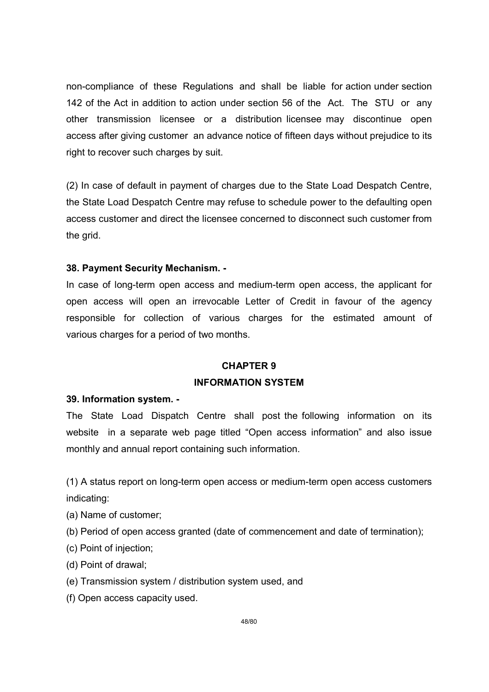non-compliance of these Regulations and shall be liable for action under section 142 of the Act in addition to action under section 56 of the Act. The STU or any other transmission licensee or a distribution licensee may discontinue open access after giving customer an advance notice of fifteen days without prejudice to its right to recover such charges by suit.

(2) In case of default in payment of charges due to the State Load Despatch Centre, the State Load Despatch Centre may refuse to schedule power to the defaulting open access customer and direct the licensee concerned to disconnect such customer from the grid.

## 38. Payment Security Mechanism. -

In case of long-term open access and medium-term open access, the applicant for open access will open an irrevocable Letter of Credit in favour of the agency responsible for collection of various charges for the estimated amount of various charges for a period of two months.

## CHAPTER 9

## INFORMATION SYSTEM

## 39. Information system. -

The State Load Dispatch Centre shall post the following information on its website in a separate web page titled "Open access information" and also issue monthly and annual report containing such information.

(1) A status report on long-term open access or medium-term open access customers indicating:

- (a) Name of customer;
- (b) Period of open access granted (date of commencement and date of termination);
- (c) Point of injection;
- (d) Point of drawal;
- (e) Transmission system / distribution system used, and
- (f) Open access capacity used.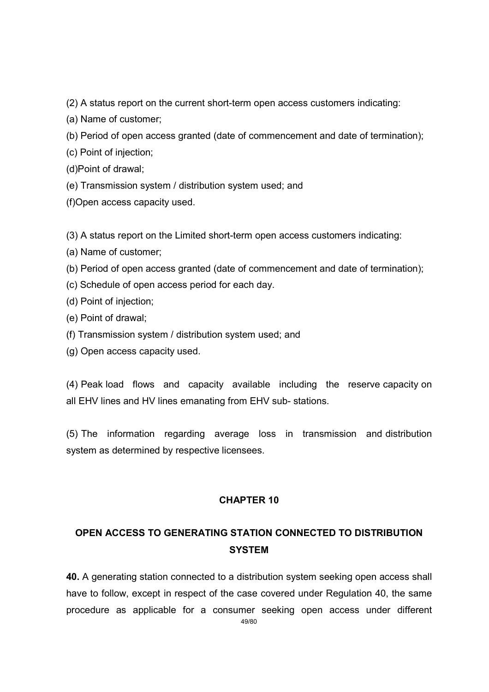(2) A status report on the current short-term open access customers indicating:

(a) Name of customer;

(b) Period of open access granted (date of commencement and date of termination);

(c) Point of injection;

(d)Point of drawal;

(e) Transmission system / distribution system used; and

(f)Open access capacity used.

(3) A status report on the Limited short-term open access customers indicating:

(a) Name of customer;

(b) Period of open access granted (date of commencement and date of termination);

(c) Schedule of open access period for each day.

(d) Point of injection;

- (e) Point of drawal;
- (f) Transmission system / distribution system used; and
- (g) Open access capacity used.

(4) Peak load flows and capacity available including the reserve capacity on all EHV lines and HV lines emanating from EHV sub- stations.

(5) The information regarding average loss in transmission and distribution system as determined by respective licensees.

# CHAPTER 10

# OPEN ACCESS TO GENERATING STATION CONNECTED TO DISTRIBUTION **SYSTEM**

40. A generating station connected to a distribution system seeking open access shall have to follow, except in respect of the case covered under Regulation 40, the same procedure as applicable for a consumer seeking open access under different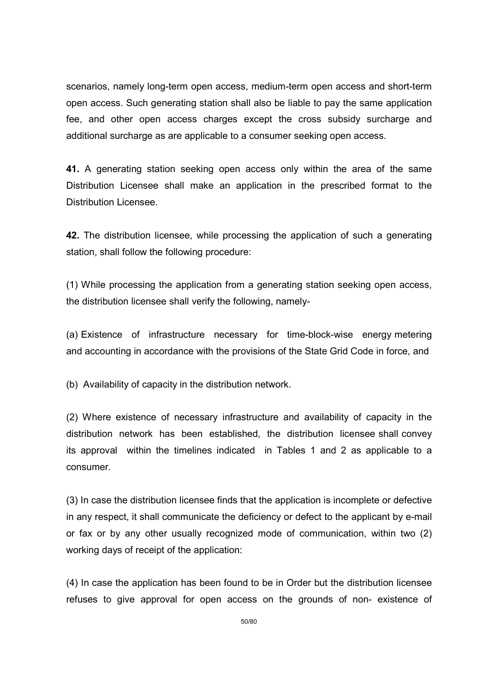scenarios, namely long-term open access, medium-term open access and short-term open access. Such generating station shall also be liable to pay the same application fee, and other open access charges except the cross subsidy surcharge and additional surcharge as are applicable to a consumer seeking open access.

41. A generating station seeking open access only within the area of the same Distribution Licensee shall make an application in the prescribed format to the Distribution Licensee.

42. The distribution licensee, while processing the application of such a generating station, shall follow the following procedure:

(1) While processing the application from a generating station seeking open access, the distribution licensee shall verify the following, namely-

(a) Existence of infrastructure necessary for time-block-wise energy metering and accounting in accordance with the provisions of the State Grid Code in force, and

(b) Availability of capacity in the distribution network.

(2) Where existence of necessary infrastructure and availability of capacity in the distribution network has been established, the distribution licensee shall convey its approval within the timelines indicated in Tables 1 and 2 as applicable to a consumer.

(3) In case the distribution licensee finds that the application is incomplete or defective in any respect, it shall communicate the deficiency or defect to the applicant by e-mail or fax or by any other usually recognized mode of communication, within two (2) working days of receipt of the application:

(4) In case the application has been found to be in Order but the distribution licensee refuses to give approval for open access on the grounds of non- existence of

50/80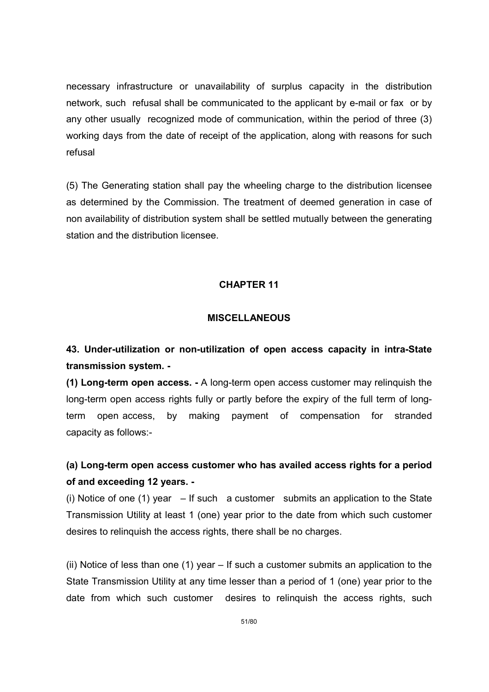necessary infrastructure or unavailability of surplus capacity in the distribution network, such refusal shall be communicated to the applicant by e-mail or fax or by any other usually recognized mode of communication, within the period of three (3) working days from the date of receipt of the application, along with reasons for such refusal

(5) The Generating station shall pay the wheeling charge to the distribution licensee as determined by the Commission. The treatment of deemed generation in case of non availability of distribution system shall be settled mutually between the generating station and the distribution licensee.

## CHAPTER 11

## **MISCELLANEOUS**

# 43. Under-utilization or non-utilization of open access capacity in intra-State transmission system. -

(1) Long-term open access. - A long-term open access customer may relinquish the long-term open access rights fully or partly before the expiry of the full term of longterm open access, by making payment of compensation for stranded capacity as follows:-

# (a) Long-term open access customer who has availed access rights for a period of and exceeding 12 years. -

(i) Notice of one (1) year  $-$  If such a customer submits an application to the State Transmission Utility at least 1 (one) year prior to the date from which such customer desires to relinquish the access rights, there shall be no charges.

(ii) Notice of less than one (1) year – If such a customer submits an application to the State Transmission Utility at any time lesser than a period of 1 (one) year prior to the date from which such customer desires to relinquish the access rights, such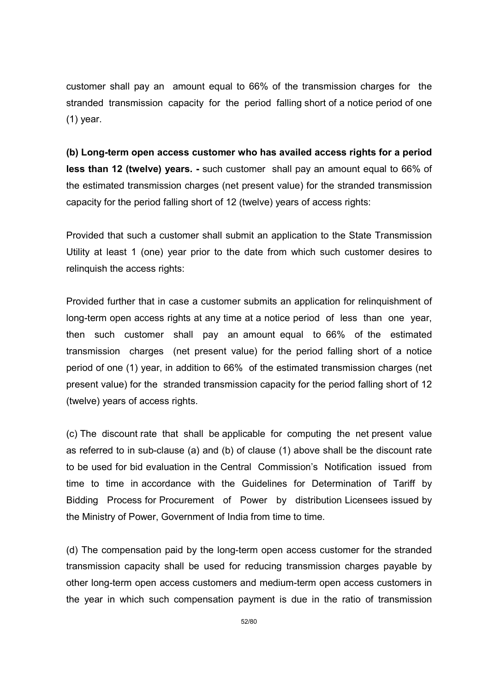customer shall pay an amount equal to 66% of the transmission charges for the stranded transmission capacity for the period falling short of a notice period of one (1) year.

(b) Long-term open access customer who has availed access rights for a period less than 12 (twelve) years. - such customer shall pay an amount equal to 66% of the estimated transmission charges (net present value) for the stranded transmission capacity for the period falling short of 12 (twelve) years of access rights:

Provided that such a customer shall submit an application to the State Transmission Utility at least 1 (one) year prior to the date from which such customer desires to relinquish the access rights:

Provided further that in case a customer submits an application for relinquishment of long-term open access rights at any time at a notice period of less than one year, then such customer shall pay an amount equal to 66% of the estimated transmission charges (net present value) for the period falling short of a notice period of one (1) year, in addition to 66% of the estimated transmission charges (net present value) for the stranded transmission capacity for the period falling short of 12 (twelve) years of access rights.

(c) The discount rate that shall be applicable for computing the net present value as referred to in sub-clause (a) and (b) of clause (1) above shall be the discount rate to be used for bid evaluation in the Central Commission's Notification issued from time to time in accordance with the Guidelines for Determination of Tariff by Bidding Process for Procurement of Power by distribution Licensees issued by the Ministry of Power, Government of India from time to time.

(d) The compensation paid by the long-term open access customer for the stranded transmission capacity shall be used for reducing transmission charges payable by other long-term open access customers and medium-term open access customers in the year in which such compensation payment is due in the ratio of transmission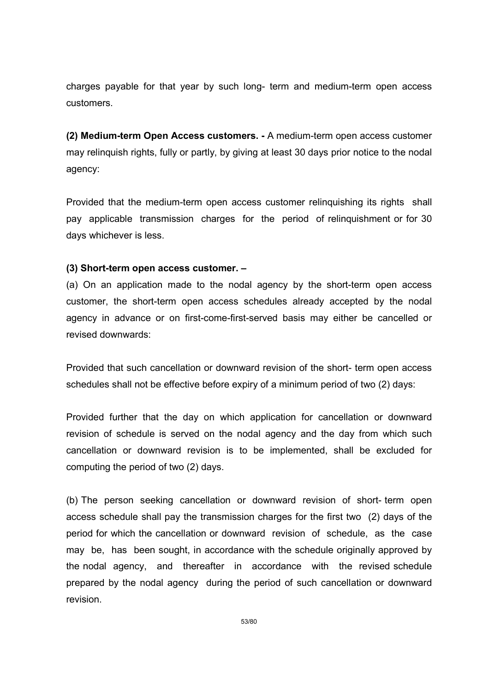charges payable for that year by such long- term and medium-term open access customers.

(2) Medium-term Open Access customers. - A medium-term open access customer may relinquish rights, fully or partly, by giving at least 30 days prior notice to the nodal agency:

Provided that the medium-term open access customer relinquishing its rights shall pay applicable transmission charges for the period of relinquishment or for 30 days whichever is less.

## (3) Short-term open access customer. –

(a) On an application made to the nodal agency by the short-term open access customer, the short-term open access schedules already accepted by the nodal agency in advance or on first-come-first-served basis may either be cancelled or revised downwards:

Provided that such cancellation or downward revision of the short- term open access schedules shall not be effective before expiry of a minimum period of two (2) days:

Provided further that the day on which application for cancellation or downward revision of schedule is served on the nodal agency and the day from which such cancellation or downward revision is to be implemented, shall be excluded for computing the period of two (2) days.

(b) The person seeking cancellation or downward revision of short- term open access schedule shall pay the transmission charges for the first two (2) days of the period for which the cancellation or downward revision of schedule, as the case may be, has been sought, in accordance with the schedule originally approved by the nodal agency, and thereafter in accordance with the revised schedule prepared by the nodal agency during the period of such cancellation or downward revision.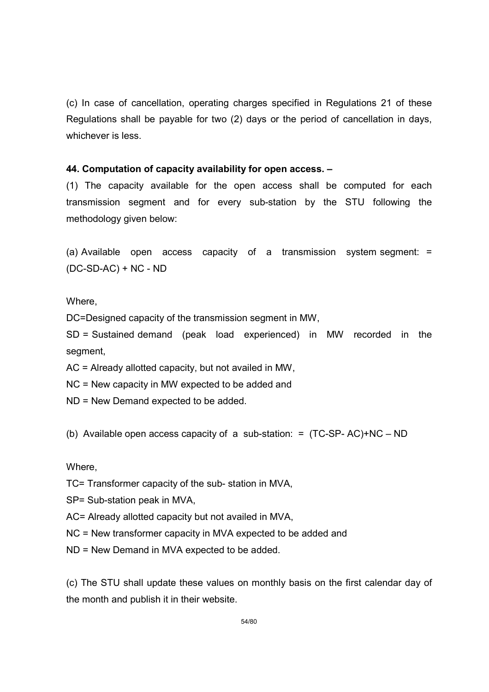(c) In case of cancellation, operating charges specified in Regulations 21 of these Regulations shall be payable for two (2) days or the period of cancellation in days, whichever is less.

## 44. Computation of capacity availability for open access. –

(1) The capacity available for the open access shall be computed for each transmission segment and for every sub-station by the STU following the methodology given below:

(a) Available open access capacity of a transmission system segment: = (DC-SD-AC) + NC - ND

Where,

DC=Designed capacity of the transmission segment in MW,

SD = Sustained demand (peak load experienced) in MW recorded in the segment,

AC = Already allotted capacity, but not availed in MW,

NC = New capacity in MW expected to be added and

ND = New Demand expected to be added.

(b) Available open access capacity of a sub-station: = (TC-SP- AC)+NC – ND

Where,

- TC= Transformer capacity of the sub- station in MVA,
- SP= Sub-station peak in MVA,
- AC= Already allotted capacity but not availed in MVA,

NC = New transformer capacity in MVA expected to be added and

ND = New Demand in MVA expected to be added.

(c) The STU shall update these values on monthly basis on the first calendar day of the month and publish it in their website.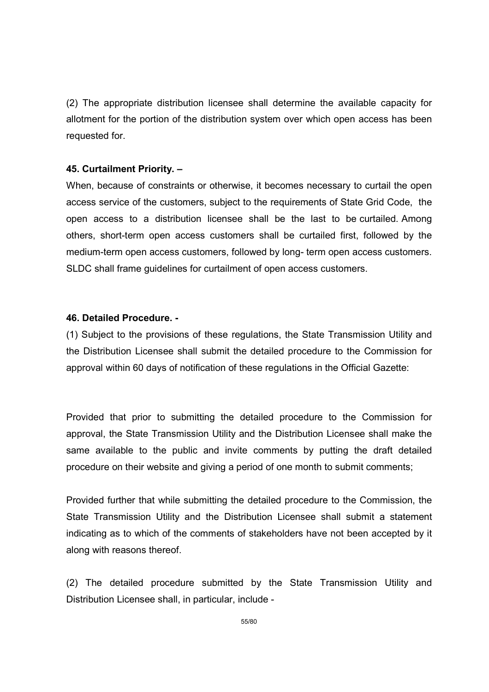(2) The appropriate distribution licensee shall determine the available capacity for allotment for the portion of the distribution system over which open access has been requested for.

### 45. Curtailment Priority. –

When, because of constraints or otherwise, it becomes necessary to curtail the open access service of the customers, subject to the requirements of State Grid Code, the open access to a distribution licensee shall be the last to be curtailed. Among others, short-term open access customers shall be curtailed first, followed by the medium-term open access customers, followed by long- term open access customers. SLDC shall frame guidelines for curtailment of open access customers.

#### 46. Detailed Procedure. -

(1) Subject to the provisions of these regulations, the State Transmission Utility and the Distribution Licensee shall submit the detailed procedure to the Commission for approval within 60 days of notification of these regulations in the Official Gazette:

Provided that prior to submitting the detailed procedure to the Commission for approval, the State Transmission Utility and the Distribution Licensee shall make the same available to the public and invite comments by putting the draft detailed procedure on their website and giving a period of one month to submit comments;

Provided further that while submitting the detailed procedure to the Commission, the State Transmission Utility and the Distribution Licensee shall submit a statement indicating as to which of the comments of stakeholders have not been accepted by it along with reasons thereof.

(2) The detailed procedure submitted by the State Transmission Utility and Distribution Licensee shall, in particular, include -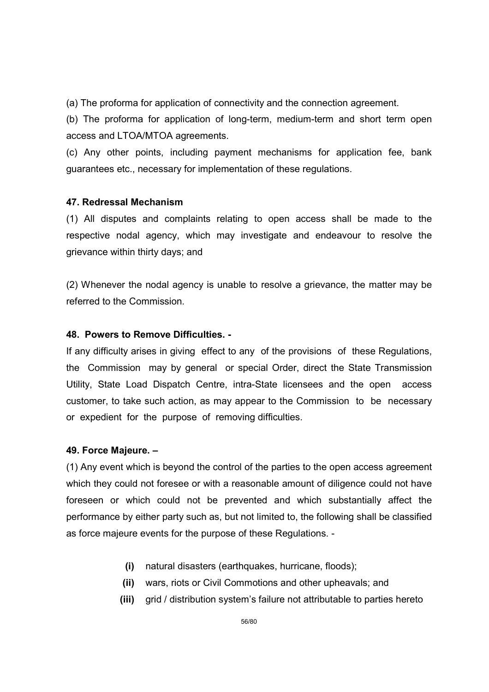(a) The proforma for application of connectivity and the connection agreement.

(b) The proforma for application of long-term, medium-term and short term open access and LTOA/MTOA agreements.

(c) Any other points, including payment mechanisms for application fee, bank guarantees etc., necessary for implementation of these regulations.

## 47. Redressal Mechanism

(1) All disputes and complaints relating to open access shall be made to the respective nodal agency, which may investigate and endeavour to resolve the grievance within thirty days; and

(2) Whenever the nodal agency is unable to resolve a grievance, the matter may be referred to the Commission.

## 48. Powers to Remove Difficulties. -

If any difficulty arises in giving effect to any of the provisions of these Regulations, the Commission may by general or special Order, direct the State Transmission Utility, State Load Dispatch Centre, intra-State licensees and the open access customer, to take such action, as may appear to the Commission to be necessary or expedient for the purpose of removing difficulties.

## 49. Force Majeure. –

(1) Any event which is beyond the control of the parties to the open access agreement which they could not foresee or with a reasonable amount of diligence could not have foreseen or which could not be prevented and which substantially affect the performance by either party such as, but not limited to, the following shall be classified as force majeure events for the purpose of these Regulations. -

- (i) natural disasters (earthquakes, hurricane, floods);
- (ii) wars, riots or Civil Commotions and other upheavals; and
- (iii) grid / distribution system's failure not attributable to parties hereto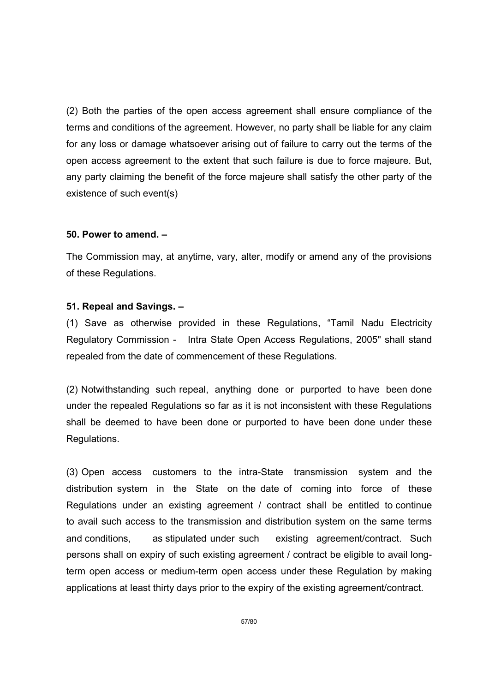(2) Both the parties of the open access agreement shall ensure compliance of the terms and conditions of the agreement. However, no party shall be liable for any claim for any loss or damage whatsoever arising out of failure to carry out the terms of the open access agreement to the extent that such failure is due to force majeure. But, any party claiming the benefit of the force majeure shall satisfy the other party of the existence of such event(s)

#### 50. Power to amend. –

The Commission may, at anytime, vary, alter, modify or amend any of the provisions of these Regulations.

#### 51. Repeal and Savings. –

(1) Save as otherwise provided in these Regulations, "Tamil Nadu Electricity Regulatory Commission - Intra State Open Access Regulations, 2005" shall stand repealed from the date of commencement of these Regulations.

(2) Notwithstanding such repeal, anything done or purported to have been done under the repealed Regulations so far as it is not inconsistent with these Regulations shall be deemed to have been done or purported to have been done under these Regulations.

(3) Open access customers to the intra-State transmission system and the distribution system in the State on the date of coming into force of these Regulations under an existing agreement / contract shall be entitled to continue to avail such access to the transmission and distribution system on the same terms and conditions, as stipulated under such existing agreement/contract. Such persons shall on expiry of such existing agreement / contract be eligible to avail longterm open access or medium-term open access under these Regulation by making applications at least thirty days prior to the expiry of the existing agreement/contract.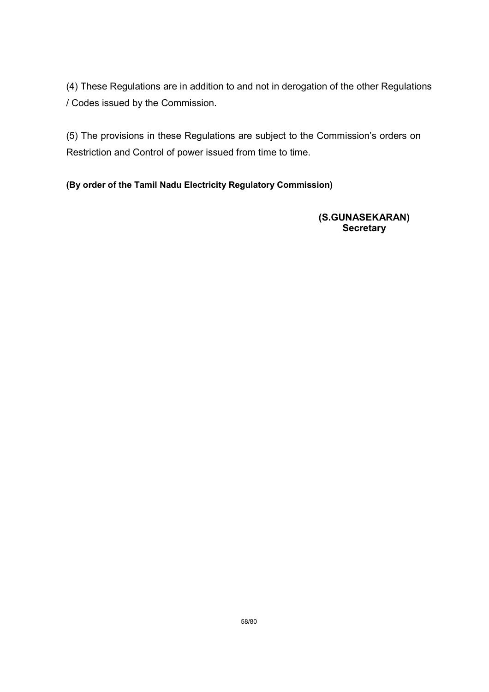(4) These Regulations are in addition to and not in derogation of the other Regulations / Codes issued by the Commission.

(5) The provisions in these Regulations are subject to the Commission's orders on Restriction and Control of power issued from time to time.

(By order of the Tamil Nadu Electricity Regulatory Commission)

 (S.GUNASEKARAN) **Secretary**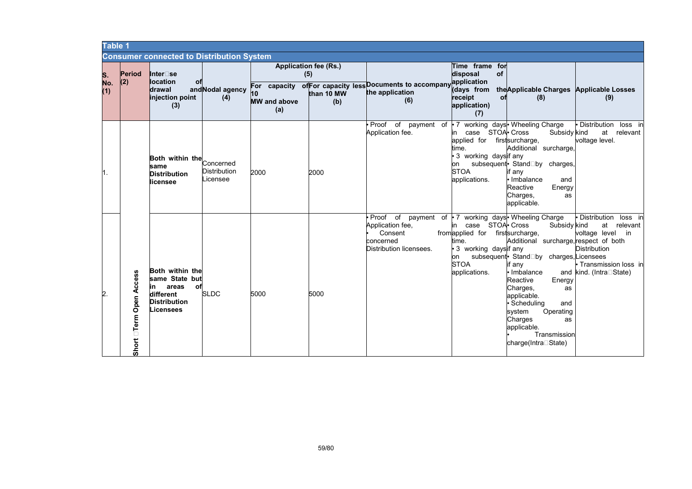| Table 1          |                                        |                                                                                                         |                                              |                                  |                                                   |                                                                                    |                                                                                                                                   |                                                                                                                                                                                                                                                                                                                                                       |                                                                                                                                             |
|------------------|----------------------------------------|---------------------------------------------------------------------------------------------------------|----------------------------------------------|----------------------------------|---------------------------------------------------|------------------------------------------------------------------------------------|-----------------------------------------------------------------------------------------------------------------------------------|-------------------------------------------------------------------------------------------------------------------------------------------------------------------------------------------------------------------------------------------------------------------------------------------------------------------------------------------------------|---------------------------------------------------------------------------------------------------------------------------------------------|
|                  |                                        | <b>Consumer connected to Distribution System</b>                                                        |                                              |                                  |                                                   |                                                                                    |                                                                                                                                   |                                                                                                                                                                                                                                                                                                                                                       |                                                                                                                                             |
| S.<br>No.<br>(1) | <b>Period</b><br>(2)                   | Inter⊟se<br><b>location</b><br>оf<br>ldrawal<br>injection point<br>(3)                                  | and Nodal agency<br>(4)                      | 10<br><b>MW</b> and above<br>(a) | Application fee (Rs.)<br>(5)<br>than 10 MW<br>(b) | For capacity of For capacity less Documents to accompany<br>the application<br>(6) | Time frame for<br>of<br>disposal<br>application<br>(days from<br>receipt<br>оf<br>application)<br>(7)                             | the Applicable Charges Applicable Losses<br>(8)                                                                                                                                                                                                                                                                                                       | (9)                                                                                                                                         |
| l1.              |                                        | Both within the<br>same<br><b>Distribution</b><br>licensee                                              | Concerned<br><b>Distribution</b><br>Licensee | 2000                             | 2000                                              | Proof of<br>Application fee.                                                       | case STOA Cross<br>in<br>applied for firstsurcharge,<br>time.<br>3 working daysif any<br>on<br><b>STOA</b><br>applications.       | payment of $\cdot$ 7 working days $\cdot$ Wheeling Charge<br>Subsidy kind<br>Additional surcharge,<br>subsequent StandRby charges<br>if any<br>· Imbalance<br>and<br>Reactive<br>Energy<br>Charges,<br>as<br>applicable.                                                                                                                              | • Distribution<br>loss in<br>at relevant<br>voltage level.                                                                                  |
| $\mathsf{2}$ .   | Access<br>Open<br>$\Box$ Term<br>Short | Both within the<br>same State but<br>areas<br>оf<br>in<br>different<br><b>Distribution</b><br>Licensees | <b>SLDC</b>                                  | 5000                             | 5000                                              | Proof of<br>Application fee,<br>Consent<br>concerned<br>Distribution licensees.    | case STOA Cross<br>in<br>from applied for first surcharge,<br>time.<br>3 working daysif any<br>on<br><b>STOA</b><br>applications. | payment of • 7 working days • Wheeling Charge<br>Subsidy kind<br>Additional surcharge, respect of both<br>subsequent StandRby charges, Licensees<br>if any<br>• Imbalance<br>Reactive<br>Energy<br>Charges,<br>as<br>applicable.<br>• Scheduling<br>and<br>system<br>Operating<br>Charges<br>as<br>applicable.<br>Transmission<br>charge(IntraRState) | • Distribution<br>loss in<br>at relevant<br>voltage level<br>in<br><b>Distribution</b><br>• Transmission loss in<br>and kind. (IntraRState) |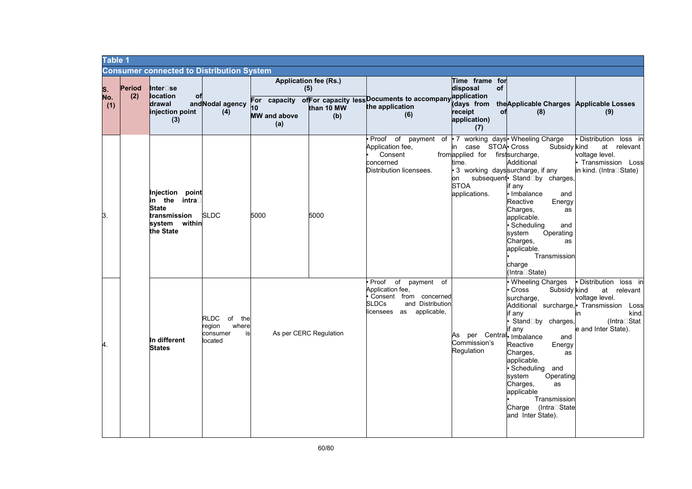| <b>Table 1</b>   |               |                                                                                               |                                                             |                                  |                                                          |                                                                                                                                                 |                                                                                                           |                                                                                                                                                                                                                                                                                                                |                                                                                                                                                          |
|------------------|---------------|-----------------------------------------------------------------------------------------------|-------------------------------------------------------------|----------------------------------|----------------------------------------------------------|-------------------------------------------------------------------------------------------------------------------------------------------------|-----------------------------------------------------------------------------------------------------------|----------------------------------------------------------------------------------------------------------------------------------------------------------------------------------------------------------------------------------------------------------------------------------------------------------------|----------------------------------------------------------------------------------------------------------------------------------------------------------|
|                  |               | <b>Consumer connected to Distribution System</b>                                              |                                                             |                                  |                                                          |                                                                                                                                                 |                                                                                                           |                                                                                                                                                                                                                                                                                                                |                                                                                                                                                          |
| S.<br>No.<br>(1) | Period<br>(2) | Inter⊟se<br><b>location</b><br>0f<br>drawal<br>injection point<br>(3)                         | and Nodal agency<br>(4)                                     | 10<br><b>MW</b> and above<br>(a) | <b>Application fee (Rs.)</b><br>(5)<br>than 10 MW<br>(b) | For capacity of For capacity less Documents to accompany<br>the application<br>(6)                                                              | Time frame for<br>disposal<br>of<br>application<br>(days from<br>receipt<br>оf<br>application)<br>(7)     | the Applicable Charges Applicable Losses<br>(8)                                                                                                                                                                                                                                                                | (9)                                                                                                                                                      |
| Β.               |               | Injection point<br>in the<br>intra⊟<br>State<br>transmission<br>within<br>svstem<br>the State | <b>SLDC</b>                                                 | 5000                             | 5000                                                     | Proof of payment of • 7 working days Wheeling Charge<br>Application fee,<br>Consent<br>concerned<br>Distribution licensees.                     | case STOA Cross<br>in<br>from applied for first surcharge,<br>time.<br>on<br><b>STOA</b><br>applications. | Subsidy kind<br>Additional<br>3 working dayssurcharge, if any<br>subsequent StandRby charges,<br>if any<br>• Imbalance<br>and<br>Reactive<br>Energy<br>Charges,<br>as<br>applicable.<br>· Scheduling<br>and<br>Operating<br>system<br>Charges,<br>as<br>applicable.<br>Transmission<br>charge<br>(IntraRState) | Distribution loss in<br>at relevant<br>voltage level.<br>Transmission Loss<br>in kind. (IntraRState)                                                     |
| 4.               |               | In different<br><b>States</b>                                                                 | RLDC of the<br>region<br>where<br>consumer<br>is<br>located |                                  | As per CERC Regulation                                   | o <sub>f</sub><br>Proof<br>payment<br>of<br>Application fee,<br>Consent from concerned<br>SLDCs<br>and Distribution<br>licensees as applicable, | As per Central Imbalance<br>Commission's<br>Regulation                                                    | . Wheeling Charges<br>Cross<br>Subsidy kind<br>surcharge,<br>if anv<br>StandRby charges,<br>if any<br>and<br>Reactive<br>Energy<br>Charges,<br>as<br>applicable.<br>· Scheduling and<br>svstem<br>Operating<br>Charges,<br>as<br>applicable<br>Transmission<br>Charge (IntraRState<br>and Inter State).        | Distribution<br>loss in<br>at relevant<br>voltage level.<br>Additional surcharge, Transmission Loss<br>kind.<br>in<br>(IntraRStat<br>e and Inter State). |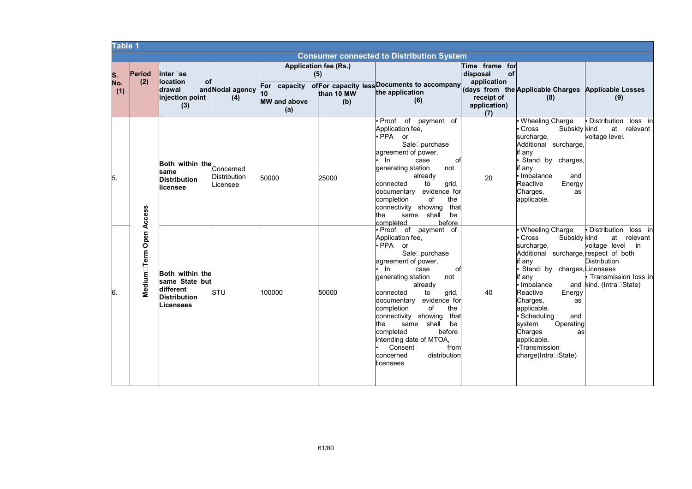| <b>Table 1</b>   |                         |                                                                                    |                                              |                                                  |                                                          |                                                                                                                                                                                                                                                                                                                                                                                                                   |                                                                                      |                                                                                                                                                                                                                                                                                                                                            |                                                                                                                                                |
|------------------|-------------------------|------------------------------------------------------------------------------------|----------------------------------------------|--------------------------------------------------|----------------------------------------------------------|-------------------------------------------------------------------------------------------------------------------------------------------------------------------------------------------------------------------------------------------------------------------------------------------------------------------------------------------------------------------------------------------------------------------|--------------------------------------------------------------------------------------|--------------------------------------------------------------------------------------------------------------------------------------------------------------------------------------------------------------------------------------------------------------------------------------------------------------------------------------------|------------------------------------------------------------------------------------------------------------------------------------------------|
|                  |                         |                                                                                    |                                              |                                                  |                                                          | <b>Consumer connected to Distribution System</b>                                                                                                                                                                                                                                                                                                                                                                  |                                                                                      |                                                                                                                                                                                                                                                                                                                                            |                                                                                                                                                |
| S.<br>No.<br>(1) | Period<br>(2)           | Inter□se<br><b>llocation</b><br>оf<br>drawal<br>injection point<br>(3)             | and Nodal agency<br>(4)                      | For capacity<br>10<br><b>MW</b> and above<br>(a) | <b>Application fee (Rs.)</b><br>(5)<br>than 10 MW<br>(b) | of For capacity less Documents to accompany<br>the application<br>(6)                                                                                                                                                                                                                                                                                                                                             | Time frame for<br>disposal<br>of<br>application<br>receipt of<br>application)<br>(7) | (days from the Applicable Charges Applicable Losses<br>(8)                                                                                                                                                                                                                                                                                 | (9)                                                                                                                                            |
| 5.               |                         | Both within the<br>same<br><b>Distribution</b><br>licensee                         | Concerned<br><b>Distribution</b><br>Licensee | 50000                                            | 25000                                                    | Proof of payment of<br>Application fee,<br>PPA or<br>SaleRpurchase<br>agreement of power,<br>In<br>case<br>оf<br>generating station<br>not<br>already<br>connected<br>to<br>grid,<br>documentary evidence for<br>completion<br>οf<br>the<br>that<br>connectivity showing<br>shall<br>be<br>the<br>same<br>completed<br>before                                                                                     | 20                                                                                   | <b>Wheeling Charge</b><br>Cross<br>Subsidy kind<br>surcharge,<br>Additional surcharge<br>if any<br>StandRby charges,<br>if any<br>Imbalance<br>and<br>Reactive<br>Energy<br>Charges,<br>as<br>applicable.                                                                                                                                  | Distribution<br>loss in<br>at relevant<br>voltage level.                                                                                       |
| 6.               | Medium⊟Term Open Access | Both within the<br>same State but<br>different<br><b>Distribution</b><br>Licensees | <b>STU</b>                                   | 100000                                           | 50000                                                    | Proof of payment of<br>Application fee,<br>PPA or<br>SaleRpurchase<br>agreement of power,<br>In<br>case<br>оf<br>generating station<br>not<br>already<br>to<br>connected<br>grid,<br>documentary evidence for<br>completion<br>of<br>the<br>connectivity showing<br>that<br>the<br>same shall<br>be<br>before<br>completed<br>intending date of MTOA,<br>Consent<br>from<br>distribution<br>concerned<br>icensees | 40                                                                                   | Wheeling Charge<br>Cross<br>Subsidy kind<br>surcharge,<br>Additional surcharge, respect of both<br>if any<br>StandRby charges, Licensees<br>if any<br>Imbalance<br>Reactive<br>Energy<br>Charges,<br>as<br>applicable.<br>Scheduling<br>and<br>Operating<br>system<br>Charges<br>as<br>applicable.<br>•Transmission<br>charge(IntraRState) | <b>Distribution</b><br>loss in<br>at relevant<br>voltage level<br>in<br><b>Distribution</b><br>Transmission loss in<br>and kind. (IntraRState) |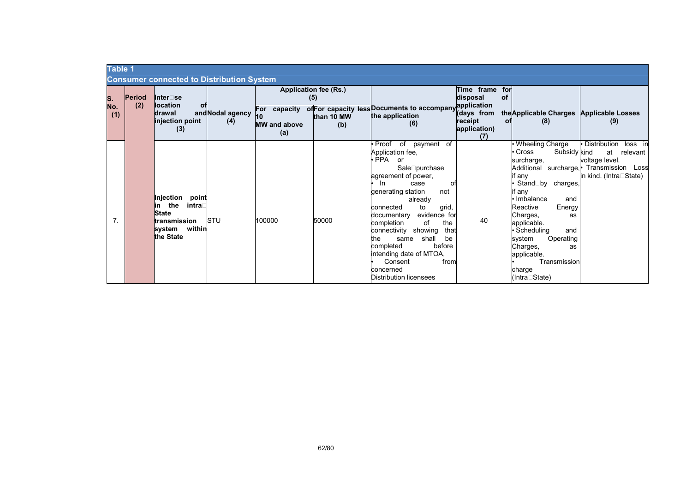|                  | <b>Table 1</b> |                      |                                                                                                             |                         |                                            |                                                   |                                                                                                                                                                                                                                                                                                                                                                                                                                              |                                                                                           |                                                                                                                                                                                                                                                                                                    |                                                                                                                                    |
|------------------|----------------|----------------------|-------------------------------------------------------------------------------------------------------------|-------------------------|--------------------------------------------|---------------------------------------------------|----------------------------------------------------------------------------------------------------------------------------------------------------------------------------------------------------------------------------------------------------------------------------------------------------------------------------------------------------------------------------------------------------------------------------------------------|-------------------------------------------------------------------------------------------|----------------------------------------------------------------------------------------------------------------------------------------------------------------------------------------------------------------------------------------------------------------------------------------------------|------------------------------------------------------------------------------------------------------------------------------------|
|                  |                |                      | <b>Consumer connected to Distribution System</b>                                                            |                         |                                            |                                                   |                                                                                                                                                                                                                                                                                                                                                                                                                                              |                                                                                           |                                                                                                                                                                                                                                                                                                    |                                                                                                                                    |
| S.<br>No.<br>(1) |                | <b>Period</b><br>(2) | Inter⊟se<br><b>location</b><br>оf<br><b>drawal</b><br>injection point<br>(3)                                | and Nodal agency<br>(4) | For capacity<br><b>MW</b> and above<br>(a) | Application fee (Rs.)<br>(5)<br>than 10 MW<br>(b) | of For capacity less Documents to accompany<br>the application<br>(6)                                                                                                                                                                                                                                                                                                                                                                        | Time frame for<br>disposal<br>application<br>(days from<br>receipt<br>application)<br>(7) | of<br>the Applicable Charges Applicable Losses<br>(8)<br>оf                                                                                                                                                                                                                                        | (9)                                                                                                                                |
|                  | 7.             |                      | Injection<br>point<br>the<br>intra⊺<br>lin<br><b>State</b><br>transmission<br>within<br>svstem<br>the State | STU                     | 100000                                     | 50000                                             | of<br>• Proof<br>of payment<br>Application fee,<br>$\bullet$ PPA<br>or<br>SaleRpurchase<br>agreement of power,<br>- In<br>case<br>O1<br>generating station<br>not<br>already<br>to<br>connected<br>grid,<br>evidence for<br>documentary<br>completion<br>of<br>the<br>connectivity showing<br>that<br>shall<br>the<br>be<br>same<br>completed<br>before<br>intending date of MTOA,<br>Consent<br>from<br>concerned<br>Distribution licensees | 40                                                                                        | Wheeling Charge<br>Cross<br>Subsidy kind<br>surcharge,<br>if any<br>StandRby charges,<br>if any<br>Imbalance<br>and<br>Energy<br>Reactive<br>Charges,<br>as<br>applicable.<br>Scheduling<br>and<br>Operating<br>system<br>Charges,<br>as<br>applicable.<br>Transmission<br>charge<br>(IntraRState) | • Distribution<br>loss in<br>at<br>relevant<br>voltage level.<br>Additional surcharge, Transmission Loss<br>in kind. (IntraRState) |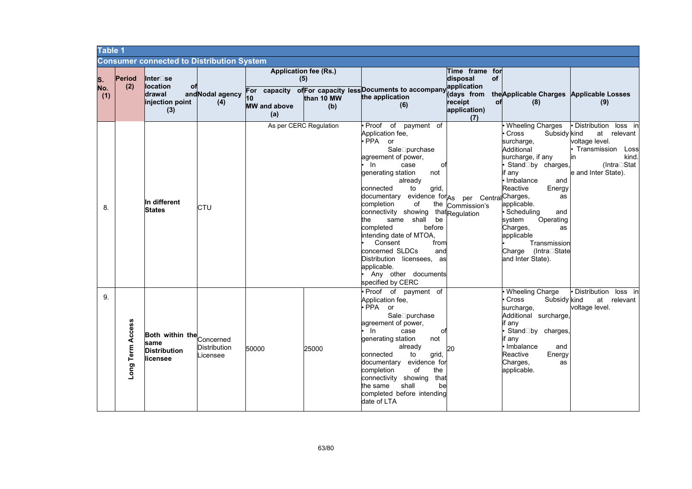| <b>Table 1</b>   |                     |                                                                       |                                              |                                  |                                                          |                                                                                                                                                                                                                                                                                                                                                                                                                                                                                                                          |                                                                                                      |                                                                                                                                                                                                                                                                                                                                           |                                                                                                                                       |
|------------------|---------------------|-----------------------------------------------------------------------|----------------------------------------------|----------------------------------|----------------------------------------------------------|--------------------------------------------------------------------------------------------------------------------------------------------------------------------------------------------------------------------------------------------------------------------------------------------------------------------------------------------------------------------------------------------------------------------------------------------------------------------------------------------------------------------------|------------------------------------------------------------------------------------------------------|-------------------------------------------------------------------------------------------------------------------------------------------------------------------------------------------------------------------------------------------------------------------------------------------------------------------------------------------|---------------------------------------------------------------------------------------------------------------------------------------|
|                  |                     | <b>Consumer connected to Distribution System</b>                      |                                              |                                  |                                                          |                                                                                                                                                                                                                                                                                                                                                                                                                                                                                                                          |                                                                                                      |                                                                                                                                                                                                                                                                                                                                           |                                                                                                                                       |
| S.<br>No.<br>(1) | Period<br>(2)       | Inter⊡se<br><b>location</b><br>оf<br>drawal<br>injection point<br>(3) | and Nodal agency<br>(4)                      | 10<br><b>MW</b> and above<br>(a) | <b>Application fee (Rs.)</b><br>(5)<br>than 10 MW<br>(b) | For capacity of For capacity less Documents to accompany<br>the application<br>(6)                                                                                                                                                                                                                                                                                                                                                                                                                                       | Time frame for<br>disposal<br>of<br>application<br>days from<br>receipt<br>οf<br>application)<br>(7) | the Applicable Charges Applicable Losses<br>(8)                                                                                                                                                                                                                                                                                           | (9)                                                                                                                                   |
| 8.               |                     | In different<br><b>States</b>                                         | CTU                                          |                                  | As per CERC Regulation                                   | Proof of payment<br>of<br>Application fee,<br>PPA or<br>SaleRpurchase<br>agreement of power,<br>In.<br>case<br>οt<br>generating station<br>not<br>already<br>connected<br>to<br>grid,<br>evidence for <sub>As</sub><br>documentary<br>completion<br>οf<br>the<br>connectivity showing that Regulation<br>same shall<br>be<br>the<br>completed<br>before<br>intending date of MTOA,<br>Consent<br>from<br>concerned SLDCs<br>and<br>Distribution licensees, as<br>applicable.<br>Any other documents<br>specified by CERC | per Central Charges,<br>Commission's                                                                 | <b>Wheeling Charges</b><br>Cross<br>Subsidy kind<br>surcharge,<br>Additional<br>surcharge, if any<br>StandRby charges,<br>if anv<br>Imbalance<br>and<br>Reactive<br>Energy<br>as<br>applicable.<br>· Scheduling<br>and<br>Operating<br>system<br>Charges,<br>as<br>applicable<br>Transmission<br>Charge (IntraRState<br>and Inter State). | • Distribution<br>loss in<br>at relevant<br>voltage level.<br>Transmission Loss<br>kind.<br>in<br>(IntraRStat)<br>e and Inter State). |
| 9.               | Access<br>Long Term | Both within the<br>same<br><b>Distribution</b><br>llicensee           | Concerned<br><b>Distribution</b><br>Licensee | 50000                            | 25000                                                    | Proof of payment of<br>Application fee,<br>PPA or<br>SaleRpurchase<br>agreement of power,<br>In.<br>case<br>оf<br>not<br>generating station<br>already<br>connected<br>to<br>grid,<br>evidence for<br>documentary<br>completion<br>of<br>the<br>connectivity showing that<br>the same<br>shall<br>bel<br>completed before intending<br>date of LTA                                                                                                                                                                       | 20                                                                                                   | Wheeling Charge<br>Cross<br>Subsidy kind<br>surcharge,<br>Additional surcharge,<br>if any<br>StandRby charges,<br>if anv<br>Imbalance<br>and<br>Reactive<br>Energy<br>Charges,<br>as<br>applicable.                                                                                                                                       | • Distribution<br>loss in<br>at relevant<br>voltage level.                                                                            |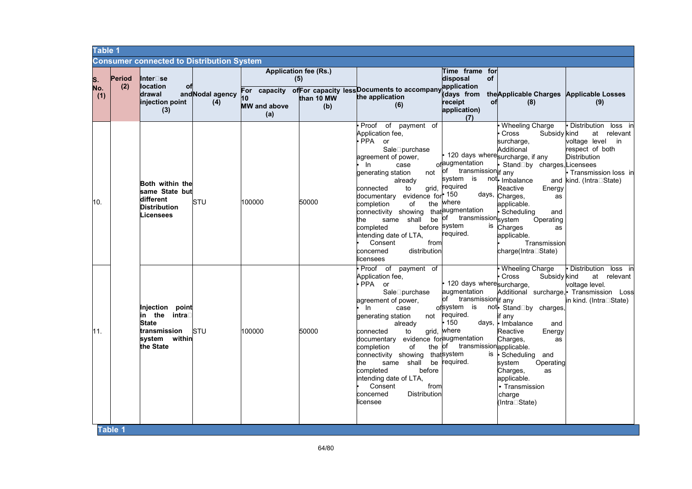|                  | <b>Table 1</b> |                                                                                                            |                         |                                  |                                                          |                                                                                                                                                                                                                                                                                                                                                                                                                    |                                                                                                                                                                                                                |                                                                                                                                                                                                                                                                                                                                         |                                                                                                                                                                  |
|------------------|----------------|------------------------------------------------------------------------------------------------------------|-------------------------|----------------------------------|----------------------------------------------------------|--------------------------------------------------------------------------------------------------------------------------------------------------------------------------------------------------------------------------------------------------------------------------------------------------------------------------------------------------------------------------------------------------------------------|----------------------------------------------------------------------------------------------------------------------------------------------------------------------------------------------------------------|-----------------------------------------------------------------------------------------------------------------------------------------------------------------------------------------------------------------------------------------------------------------------------------------------------------------------------------------|------------------------------------------------------------------------------------------------------------------------------------------------------------------|
|                  |                | <b>Consumer connected to Distribution System</b>                                                           |                         |                                  |                                                          |                                                                                                                                                                                                                                                                                                                                                                                                                    |                                                                                                                                                                                                                |                                                                                                                                                                                                                                                                                                                                         |                                                                                                                                                                  |
| S.<br>No.<br>(1) | Period<br>(2)  | Inter⊟se<br><b>location</b><br>оf<br>drawal<br>injection point<br>(3)                                      | and Nodal agency<br>(4) | 10<br><b>MW</b> and above<br>(a) | <b>Application fee (Rs.)</b><br>(5)<br>than 10 MW<br>(b) | For capacity of For capacity less Documents to accompany<br>the application<br>(6)                                                                                                                                                                                                                                                                                                                                 | Time frame for<br>disposal<br>of<br>vapplication<br>days from<br>receipt<br>оf<br>application)<br>(7)                                                                                                          | the Applicable Charges Applicable Losses<br>(8)                                                                                                                                                                                                                                                                                         | (9)                                                                                                                                                              |
| 10.              |                | Both within the<br>same State but<br>different<br><b>Distribution</b><br>Licensees                         | STU                     | 100000                           | 50000                                                    | · Proof of payment of<br>Application fee,<br>· PPA or<br>SaleRpurchase<br>agreement of power,<br>In<br>case<br>not<br>generating station<br>already<br>connected<br>to<br>evidence for <sup>• 150</sup><br>documentary<br>completion<br>of<br>connectivity showing<br>same shall<br>be<br>the<br>before system<br>completed<br>intending date of LTA,<br>Consent<br>from<br>concerned<br>distribution<br>licensees | ofaugmentation<br>of transmission if any<br>system<br>grid, required<br>the where<br>thataugmentation<br>of transmission system<br>is<br>required.                                                             | Wheeling Charge<br>Cross<br>Subsidy kind<br>surcharge,<br>Additional<br>120 days wheresurcharge, if any<br>StandRby charges, Licensees<br>is not Imbalance<br>Reactive<br>Energy<br>days, Charges,<br>as<br>applicable.<br>Scheduling<br>and<br>Operating<br>Charges<br><b>as</b><br>applicable.<br>Transmission<br>charge(IntraRState) | · Distribution loss in<br>at<br>relevant<br>voltage level<br>in i<br>respect of both<br><b>Distribution</b><br>• Transmission loss in<br>and kind. (IntraRState) |
| 11.              |                | Injection point<br>in the intra <b></b> ⊺<br><b>State</b><br>transmission<br>system<br>within<br>the State | <b>STU</b>              | 100000                           | 50000                                                    | • Proof of payment of<br>Application fee,<br>· PPA or<br>SaleRpurchase<br>agreement of power,<br>In<br>case<br>generating station<br>not<br>already<br>connected<br>to<br>documentary<br>completion<br>of<br>connectivity showing<br>the<br>same shall<br>completed<br>before<br>intending date of LTA,<br>Consent<br>from<br>concerned<br>Distribution<br>licensee                                                | 120 days wheresurcharge,<br>augmentation<br>of transmission if any<br>ofsystem<br>required.<br>150<br>grid, where<br>evidence foraugmentation<br>the of transmission applicable.<br>thatsystem<br>be required. | Wheeling Charge<br>Cross<br>Subsidy kind<br>is not StandRby charges,<br>if anv<br>days, I Imbalance<br>and<br>Reactive<br>Energy<br>Charges,<br>as<br>is • Scheduling<br>and<br>system<br>Operating<br>Charges,<br>as<br>applicable.<br>• Transmission<br>charge<br>(IntraRState)                                                       | • Distribution<br>loss in<br>at relevant<br>voltage level.<br>Additional surcharge, Transmission Loss<br>in kind. (IntraRState)                                  |
|                  | Table 1        |                                                                                                            |                         |                                  |                                                          |                                                                                                                                                                                                                                                                                                                                                                                                                    |                                                                                                                                                                                                                |                                                                                                                                                                                                                                                                                                                                         |                                                                                                                                                                  |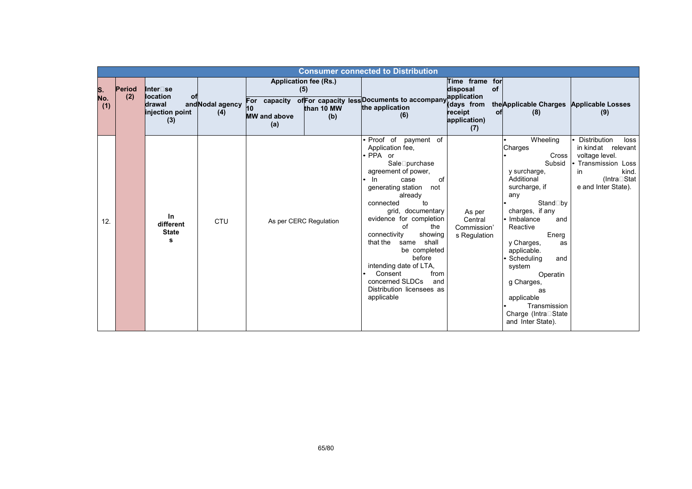|                  | <b>Consumer connected to Distribution</b> |                                                                       |                         |                                                  |                                                          |                                                                                                                                                                                                                                                                                                                                                                                                                                               |                                                                                                       |                                                                                                                                                                                                                                                                                                                                                     |                                                                                                                                               |  |
|------------------|-------------------------------------------|-----------------------------------------------------------------------|-------------------------|--------------------------------------------------|----------------------------------------------------------|-----------------------------------------------------------------------------------------------------------------------------------------------------------------------------------------------------------------------------------------------------------------------------------------------------------------------------------------------------------------------------------------------------------------------------------------------|-------------------------------------------------------------------------------------------------------|-----------------------------------------------------------------------------------------------------------------------------------------------------------------------------------------------------------------------------------------------------------------------------------------------------------------------------------------------------|-----------------------------------------------------------------------------------------------------------------------------------------------|--|
| S.<br>No.<br>(1) | Period<br>(2)                             | Inter⊡se<br><b>location</b><br>оf<br>drawal<br>injection point<br>(3) | and Nodal agency<br>(4) | For capacity<br>10<br><b>MW</b> and above<br>(a) | <b>Application fee (Rs.)</b><br>(5)<br>than 10 MW<br>(b) | of For capacity less Documents to accompany<br>the application<br>(6)                                                                                                                                                                                                                                                                                                                                                                         | Time frame for<br>of<br>disposal<br>application<br>(days from<br>receipt<br>οf<br>application)<br>(7) | the Applicable Charges Applicable Losses<br>(8)                                                                                                                                                                                                                                                                                                     | (9)                                                                                                                                           |  |
| 12.              |                                           | In<br>different<br><b>State</b><br>s                                  | CTU                     |                                                  | As per CERC Regulation                                   | Proof of payment of<br>Application fee,<br>• PPA or<br>SaleRpurchase<br>agreement of power,<br>- In<br>case<br>οf<br>generating station<br>not<br>already<br>connected<br>to<br>grid, documentary<br>evidence for completion<br>of<br>the<br>connectivity<br>showing<br>that the<br>shall<br>same<br>be completed<br>before<br>intending date of LTA,<br>Consent<br>from<br>concerned SLDCs<br>and<br>Distribution licensees as<br>applicable | As per<br>Central<br>Commission'<br>s Regulation                                                      | Wheeling<br>Charges<br>Cross<br>Subsid<br>y surcharge,<br>Additional<br>surcharge, if<br>any<br>StandRby<br>charges, if any<br>• Imbalance<br>and<br>Reactive<br>Energ<br>y Charges,<br>as<br>applicable.<br>Scheduling<br>and<br>system<br>Operatin<br>g Charges,<br>as<br>applicable<br>Transmission<br>Charge (IntraRState)<br>and Inter State). | <b>Distribution</b><br>loss<br>in kindat relevant<br>voltage level.<br>Transmission Loss<br>kind.<br>in<br>(IntraRStat<br>e and Inter State). |  |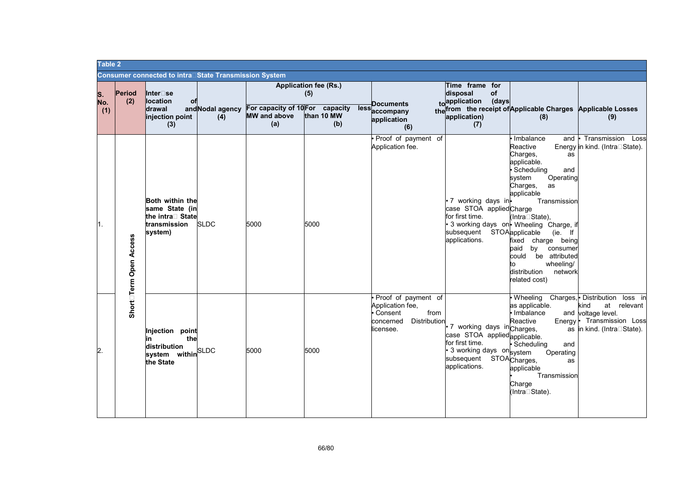|                  | Table 2                |                                                                                  |                         |                                                               |                                                          |                                                                                                      |                                                                                                                                           |                                                                                                                                                                                                                                                                                                                                                                          |                                                                                                                                                   |
|------------------|------------------------|----------------------------------------------------------------------------------|-------------------------|---------------------------------------------------------------|----------------------------------------------------------|------------------------------------------------------------------------------------------------------|-------------------------------------------------------------------------------------------------------------------------------------------|--------------------------------------------------------------------------------------------------------------------------------------------------------------------------------------------------------------------------------------------------------------------------------------------------------------------------------------------------------------------------|---------------------------------------------------------------------------------------------------------------------------------------------------|
|                  |                        | Consumer connected to intra⊡State Transmission System                            |                         |                                                               |                                                          |                                                                                                      |                                                                                                                                           |                                                                                                                                                                                                                                                                                                                                                                          |                                                                                                                                                   |
| S.<br>No.<br>(1) | Period<br>(2)          | Inter□se<br><b>location</b><br>оf<br>drawal<br>injection point<br>(3)            | and Nodal agency<br>(4) | For capacity of 10 For capacity<br><b>MW</b> and above<br>(a) | <b>Application fee (Rs.)</b><br>(5)<br>than 10 MW<br>(b) | Documents<br>lessaccompany<br>application<br>(6)                                                     | Time frame for<br>disposal<br>of<br>to application (days<br>application)<br>(7)                                                           | the from the receipt of Applicable Charges Applicable Losses<br>(8)                                                                                                                                                                                                                                                                                                      | (9)                                                                                                                                               |
| 1.               | Short⊡Term Open Access | Both within the<br>same State (in<br>the intra□ State<br>transmission<br>system) | <b>SLDC</b>             | 5000                                                          | 5000                                                     | Proof of payment of<br>Application fee.                                                              | · 7 working days in-<br>case STOA applied Charge<br>for first time.<br>subsequent STOAapplicable<br>applications.                         | Imbalance<br>and<br>Reactive<br>Charges,<br>as<br>applicable.<br>· Scheduling<br>and<br>Operating<br>system<br>Charges,<br>as<br>applicable<br>Transmission<br>(IntraRState),<br>• 3 working days on Wheeling Charge, if<br>$(ie.$ If<br>fixed charge being<br>paid<br>by<br>consumer<br>be attributed<br>could<br>wheeling/<br>distribution<br>network<br>related cost) | Transmission<br>Loss<br>Energy in kind. (IntraRState).                                                                                            |
| 2.               |                        | Injection point<br>the<br>in<br>distribution<br>system within SLDC<br>the State  |                         | 5000                                                          | 5000                                                     | Proof of payment of<br>Application fee,<br>Consent<br>from<br>Distribution<br>concerned<br>licensee. | 7 working days incharges,<br>case STOA appliedapplicable.<br>for first time.<br>• 3 working days on system<br>subsequent<br>applications. | as applicable.<br>· Imbalance<br>Reactive<br>· Scheduling<br>and<br>Operating<br>STOA <sub>Charges,</sub><br>as<br>applicable<br>Transmission<br>Charge<br>(IntraRState).                                                                                                                                                                                                | . Wheeling Charges, Distribution loss in<br>at relevant<br>kind<br>and voltage level.<br>Energy • Transmission Loss<br>as in kind. (IntraRState). |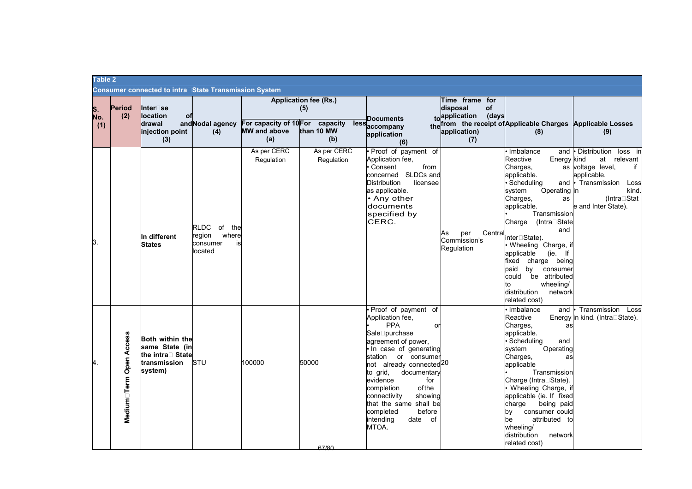|                  | Table 2                 |                                                                                         |                                                                |                                 |                                     |                                                                                                                                                                                                                                                                                                                                                                         |                                                                   |                                                                                                                                                                                                                                                                                                                                                                                                                     |                                                                                                                                                             |
|------------------|-------------------------|-----------------------------------------------------------------------------------------|----------------------------------------------------------------|---------------------------------|-------------------------------------|-------------------------------------------------------------------------------------------------------------------------------------------------------------------------------------------------------------------------------------------------------------------------------------------------------------------------------------------------------------------------|-------------------------------------------------------------------|---------------------------------------------------------------------------------------------------------------------------------------------------------------------------------------------------------------------------------------------------------------------------------------------------------------------------------------------------------------------------------------------------------------------|-------------------------------------------------------------------------------------------------------------------------------------------------------------|
|                  |                         | <b>Consumer connected to intra</b> □State Transmission System                           |                                                                |                                 |                                     |                                                                                                                                                                                                                                                                                                                                                                         |                                                                   |                                                                                                                                                                                                                                                                                                                                                                                                                     |                                                                                                                                                             |
| S.<br>No.<br>(1) | Period<br>(2)           | Inter□se<br><b>location</b><br>оf<br>drawal                                             | and Nodal agency                                               | For capacity of 10 For capacity | <b>Application fee (Rs.)</b><br>(5) | <b>Documents</b><br>lessaccompany                                                                                                                                                                                                                                                                                                                                       | Time frame for<br>disposal<br><b>of</b><br>toapplication<br>(days | the from the receipt of Applicable Charges Applicable Losses                                                                                                                                                                                                                                                                                                                                                        |                                                                                                                                                             |
|                  |                         | injection point<br>(3)                                                                  | (4)                                                            | <b>MW</b> and above<br>(a)      | than 10 MW<br>(b)                   | application<br>(6)                                                                                                                                                                                                                                                                                                                                                      | application)<br>(7)                                               | (8)                                                                                                                                                                                                                                                                                                                                                                                                                 | (9)                                                                                                                                                         |
| Β.               |                         | In different<br><b>States</b>                                                           | RLDC of<br>the<br>where<br>region<br>consumer<br>is<br>located | As per CERC<br>Regulation       | As per CERC<br>Regulation           | Proof of payment of<br>Application fee,<br>Consent<br>from<br>concerned SLDCs and<br><b>Distribution</b><br>licensee<br>as applicable.<br>• Any other<br>documents<br>specified by<br>CERC.                                                                                                                                                                             | Central<br>per<br>As<br>Commission's<br>Regulation                | • Imbalance<br>and<br>Reactive<br>Energy kind<br>Charges,<br>applicable.<br>· Scheduling<br>Operating in<br>system<br>Charges,<br>as<br>applicable.<br>Transmission<br>(IntraRState<br>Charge<br>and<br>interRState).<br>• Wheeling Charge, if<br>(ie. If<br>applicable<br>fixed<br>charge being<br>paid<br>by<br>consumer<br>could<br>be attributed<br>wheeling/<br>to<br>distribution<br>network<br>related cost) | Distribution loss in<br>at relevant<br>as voltage level,<br>if<br>applicable.<br>and • Transmission<br>Loss<br>kind.<br>(IntraRStat)<br>e and Inter State). |
| 4.               | Medium⊡Term Open Access | <b>Both within the</b><br>same State (in<br>the intra⊟ State<br>transmission<br>system) | <b>ISTU</b>                                                    | 100000                          | 50000<br>67/80                      | Proof of payment of<br>Application fee,<br>PPA<br>or<br>SaleRpurchase<br>agreement of power,<br>. In case of generating<br>station or consumer<br>not already connected <sup>20</sup><br>to grid,<br>documentary<br>evidence<br>for<br>ofthe<br>completion<br>connectivity<br>showing<br>that the same shall be<br>before<br>completed<br>intending<br>date of<br>MTOA. |                                                                   | l• Imbalance<br>and<br>Reactive<br>Charges,<br>as<br>applicable.<br>· Scheduling<br>and<br>system<br>Operating<br>Charges,<br>as<br>applicable<br>Transmission<br>Charge (IntraRState).<br>Wheeling Charge, if<br>applicable (ie. If fixed<br>charge<br>being paid<br>by<br>consumer could<br>attributed to<br>be<br>wheeling/<br>distribution<br>network<br>related cost)                                          | Transmission<br>Loss<br>Energy in kind. (IntraRState).                                                                                                      |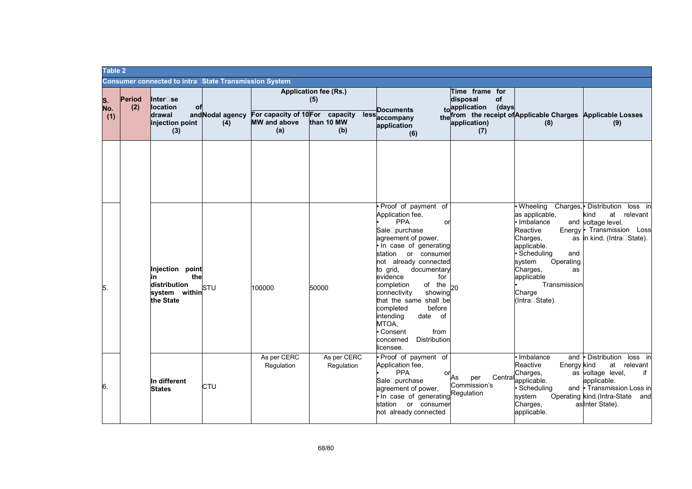| Table 2          |               |                                                                                |                         |                                                               |                                                          |                                                                                                                                                                                                                                                                                                                                                                                                                                |                                                                                 |                                                                                                                                                                                                            |                                                                                                                                                                         |
|------------------|---------------|--------------------------------------------------------------------------------|-------------------------|---------------------------------------------------------------|----------------------------------------------------------|--------------------------------------------------------------------------------------------------------------------------------------------------------------------------------------------------------------------------------------------------------------------------------------------------------------------------------------------------------------------------------------------------------------------------------|---------------------------------------------------------------------------------|------------------------------------------------------------------------------------------------------------------------------------------------------------------------------------------------------------|-------------------------------------------------------------------------------------------------------------------------------------------------------------------------|
|                  |               | <b>Consumer connected to intra</b> □State Transmission System                  |                         |                                                               |                                                          |                                                                                                                                                                                                                                                                                                                                                                                                                                |                                                                                 |                                                                                                                                                                                                            |                                                                                                                                                                         |
| S.<br>No.<br>(1) | Period<br>(2) | Inter□se<br><b>location</b><br>of<br>drawal<br>injection point<br>(3)          | and Nodal agency<br>(4) | For capacity of 10 For capacity<br><b>MW</b> and above<br>(a) | <b>Application fee (Rs.)</b><br>(5)<br>than 10 MW<br>(b) | <b>Documents</b><br>lessaccompany<br>application<br>(6)                                                                                                                                                                                                                                                                                                                                                                        | Time frame for<br>of<br>disposal<br>to application (days<br>application)<br>(7) | the from the receipt of Applicable Charges Applicable Losses<br>(8)                                                                                                                                        | (9)                                                                                                                                                                     |
| 5.               |               | Injection point<br>the<br>in<br>distribution<br>system within STU<br>the State |                         | 100000                                                        | 50000                                                    | Proof of payment of<br>Application fee,<br><b>PPA</b><br>or<br>SaleRpurchase<br>agreement of power,<br>. In case of generating<br>station or consumer<br>not already connected<br>to grid,<br>documentary<br>evidence<br>for<br>completion<br>of the<br>showing<br>connectivity<br>that the same shall be<br>completed<br>before<br>intending<br>date of<br>MTOA,<br>Consent<br>from<br>Distribution<br>concerned<br>licensee. | 20                                                                              | · Wheeling<br>as applicable,<br>Imbalance<br>Reactive<br>Charges,<br>applicable.<br>· Scheduling<br>and<br>Operating<br>svstem<br>Charges,<br>as<br>applicable<br>Transmission<br>Charge<br>(IntraRState). | Charges, Distribution<br>loss in<br>kind<br>at relevant<br>and voltage level.<br>Energy • Transmission<br>Loss<br>as in kind. (IntraRState).                            |
| 6.               |               | In different<br><b>States</b>                                                  | CTU                     | As per CERC<br>Regulation                                     | As per CERC<br>Regulation                                | Proof of payment of<br>Application fee,<br><b>PPA</b><br>or<br>SaleRpurchase<br>agreement of power,<br>In case of generating<br>station or consumer<br>not already connected                                                                                                                                                                                                                                                   | Central<br>As<br>per<br>Commission's<br>Regulation                              | and<br>Imbalance<br>Reactive<br>Energy kind<br>Charges,<br>applicable.<br>Scheduling<br>system<br>Charges,<br>applicable.                                                                                  | • Distribution<br>loss in<br>at relevant<br>as voltage level,<br>if<br>applicable.<br>and • Transmission Loss in<br>Operating kind.(Intra-State and<br>as Inter State). |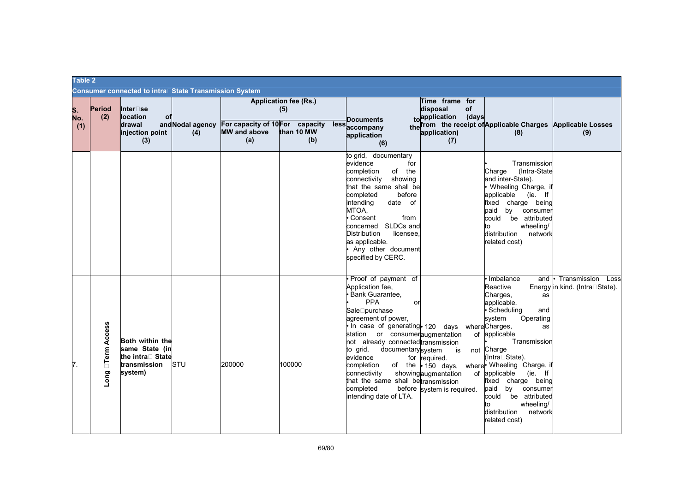| Table 2          |                            |                                                                                         |                         |                                                               |                                                          |                                                                                                                                                                                                                                                                                                                                                                                           |                                                                                                      |                                                                                                                                                                                                                                                                                                                                                                                                    |                                                        |
|------------------|----------------------------|-----------------------------------------------------------------------------------------|-------------------------|---------------------------------------------------------------|----------------------------------------------------------|-------------------------------------------------------------------------------------------------------------------------------------------------------------------------------------------------------------------------------------------------------------------------------------------------------------------------------------------------------------------------------------------|------------------------------------------------------------------------------------------------------|----------------------------------------------------------------------------------------------------------------------------------------------------------------------------------------------------------------------------------------------------------------------------------------------------------------------------------------------------------------------------------------------------|--------------------------------------------------------|
|                  |                            | Consumer connected to intra⊡State Transmission System                                   |                         |                                                               |                                                          |                                                                                                                                                                                                                                                                                                                                                                                           |                                                                                                      |                                                                                                                                                                                                                                                                                                                                                                                                    |                                                        |
| S.<br>No.<br>(1) | Period<br>(2)              | Inter□se<br>location<br>of<br><b>drawal</b><br>injection point<br>(3)                   | and Nodal agency<br>(4) | For capacity of 10 For capacity<br><b>MW</b> and above<br>(a) | <b>Application fee (Rs.)</b><br>(5)<br>than 10 MW<br>(b) | <b>Documents</b><br>lessaccompany<br>application<br>(6)                                                                                                                                                                                                                                                                                                                                   | Time frame for<br>disposal<br>of<br>(days<br>toapplication<br>application)<br>(7)                    | the from the receipt of Applicable Charges Applicable Losses<br>(8)                                                                                                                                                                                                                                                                                                                                | (9)                                                    |
|                  |                            |                                                                                         |                         |                                                               |                                                          | to grid, documentary<br>evidence<br>for<br>completion<br>of the<br>showing<br>connectivity<br>that the same shall be<br>completed<br>before<br>intending<br>date of<br>MTOA,<br>Consent<br>from<br>concerned SLDCs and<br><b>Distribution</b><br>licensee.<br>as applicable.<br>Any other document<br>specified by CERC.                                                                  |                                                                                                      | Transmission<br>(Intra-State<br>Charge<br>and inter-State).<br>Wheeling Charge, if<br>applicable (ie. If<br>fixed charge being<br>paid<br>by<br>consumer<br>could<br>be attributed<br>wheeling/<br>tο<br>distribution<br>network<br>related cost)                                                                                                                                                  |                                                        |
| 7.               | <b>Term Access</b><br>Long | <b>Both within the</b><br>same State (in<br>the intra□ State<br>transmission<br>system) | <b>STU</b>              | 200000                                                        | 100000                                                   | Proof of payment of<br>Application fee,<br>Bank Guarantee,<br><b>PPA</b><br>or<br>SaleRpurchase<br>agreement of power,<br>In case of generating 120 days<br>station or consumeraugmentation<br>not already connected transmission<br>to grid,<br>documentarysystem<br>evidence<br>completion<br>connectivity<br>that the same shall betransmission<br>completed<br>intending date of LTA. | is<br>for required.<br>of the $\cdot$ 150 days,<br>showingaugmentation<br>before system is required. | Imbalance<br>and<br>Reactive<br>Charges,<br>as<br>applicable.<br>· Scheduling<br>and<br>Operating<br>system<br>whereCharges,<br>as<br>of applicable<br>Transmission<br>not Charge<br>(IntraRState).<br>where Wheeling Charge, if<br>(ie. If<br>of applicable<br>fixed charge being<br>by consumer<br>paid<br>be attributed<br>could<br>wheeling/<br>to<br>distribution<br>network<br>related cost) | Transmission<br>Loss<br>Energy in kind. (IntraRState). |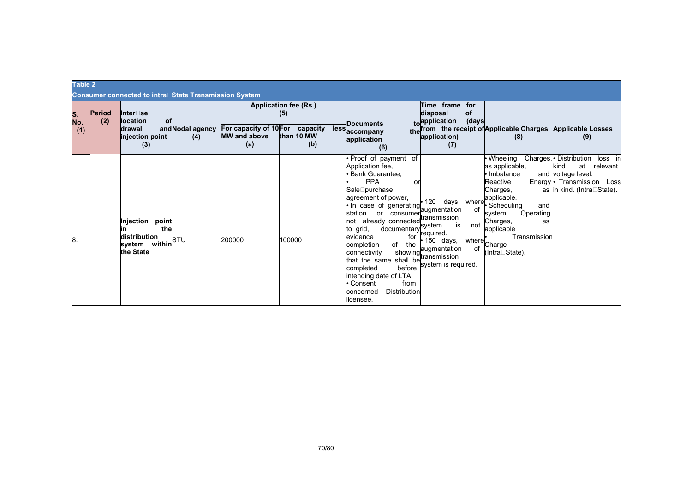|    |            | Table 2       |                                                                                            |                         |                                                               |                                                   |  |                                                                                                                                                                                                                                                                                                                                                                                                                                                                                  |    |                                                                                                                                                              |                                                                                                                                                                                                                     |                                                                                                                                             |
|----|------------|---------------|--------------------------------------------------------------------------------------------|-------------------------|---------------------------------------------------------------|---------------------------------------------------|--|----------------------------------------------------------------------------------------------------------------------------------------------------------------------------------------------------------------------------------------------------------------------------------------------------------------------------------------------------------------------------------------------------------------------------------------------------------------------------------|----|--------------------------------------------------------------------------------------------------------------------------------------------------------------|---------------------------------------------------------------------------------------------------------------------------------------------------------------------------------------------------------------------|---------------------------------------------------------------------------------------------------------------------------------------------|
|    |            |               | <b>Consumer connected to intra</b> □State Transmission System                              |                         |                                                               |                                                   |  |                                                                                                                                                                                                                                                                                                                                                                                                                                                                                  |    |                                                                                                                                                              |                                                                                                                                                                                                                     |                                                                                                                                             |
| S. | No.<br>(1) | Period<br>(2) | Inter□se<br><b>location</b><br>оf<br>drawal<br>injection point<br>(3)                      | and Nodal agency<br>(4) | For capacity of 10 For capacity<br><b>MW</b> and above<br>(a) | Application fee (Rs.)<br>(5)<br>than 10 MW<br>(b) |  | <b>Documents</b><br>lessaccompany<br>application<br>(6)                                                                                                                                                                                                                                                                                                                                                                                                                          |    | Time frame for<br>of<br>disposal<br>toapplication<br>(days<br>application)<br>(7)                                                                            | the from the receipt of Applicable Charges Applicable Losses<br>(8)                                                                                                                                                 | (9)                                                                                                                                         |
| 8. |            |               | Injection<br>point<br>the<br>distribution<br>system within<br>he State within<br>the State |                         | 200000                                                        | 100000                                            |  | Proof of payment of<br>Application fee,<br>Bank Guarantee,<br><b>PPA</b><br>SaleRpurchase<br>agreement of power,<br>· In case of generating<br>station or consumer <sup>laugmeniam</sup><br>not already connected <sub>evetem</sub><br>documentary system<br>to grid,<br>evidence<br>for<br>of<br>completion<br>the<br>connectivity<br>shall be<br>that the same<br>before<br>completed<br>intending date of LTA,<br>from<br>• Consent<br>Distribution<br>concerned<br>licensee. | or | 120<br>days<br>where<br>augmentation<br>of<br>is<br>not<br>required.<br>150 days,<br>showing<br>showing<br>sholl betransmission<br>οf<br>system is required. | <b>Wheeling</b><br>as applicable,<br>Imbalance<br>Reactive<br>Charges,<br>applicable.<br>Scheduling<br>and<br>Operating<br>system<br>Charges,<br>as<br>applicable<br>Transmission<br>where Charge<br>(IntraRState). | Charges, • Distribution<br>loss in<br>at relevant<br>kind<br>and voltage level.<br>Energy • Transmission Loss<br>as in kind. (IntraRState). |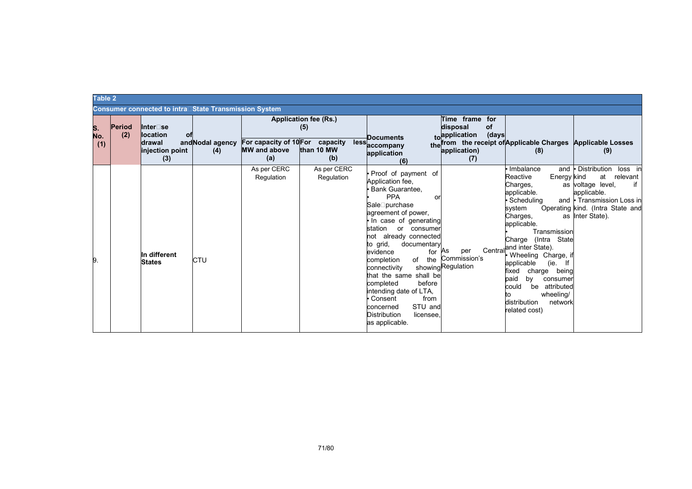|                  | Table 2                                                       |                                                                |                         |                                                               |                                                                  |                                                                                                                                                                                                                                                                                                                                                                                                                                                                        |                                                                                          |                                                                                                                                                                                                                                                                                                                                                                                                |                                                                                                                                                                           |  |
|------------------|---------------------------------------------------------------|----------------------------------------------------------------|-------------------------|---------------------------------------------------------------|------------------------------------------------------------------|------------------------------------------------------------------------------------------------------------------------------------------------------------------------------------------------------------------------------------------------------------------------------------------------------------------------------------------------------------------------------------------------------------------------------------------------------------------------|------------------------------------------------------------------------------------------|------------------------------------------------------------------------------------------------------------------------------------------------------------------------------------------------------------------------------------------------------------------------------------------------------------------------------------------------------------------------------------------------|---------------------------------------------------------------------------------------------------------------------------------------------------------------------------|--|
|                  | <b>Consumer connected to intra</b> □State Transmission System |                                                                |                         |                                                               |                                                                  |                                                                                                                                                                                                                                                                                                                                                                                                                                                                        |                                                                                          |                                                                                                                                                                                                                                                                                                                                                                                                |                                                                                                                                                                           |  |
| S.<br>No.<br>(1) | Period<br>(2)                                                 | Inter⊟se<br>location<br>оf<br>drawal<br>injection point<br>(3) | and Nodal agency<br>(4) | For capacity of 10 For capacity<br><b>MW</b> and above<br>(a) | <b>Application fee (Rs.)</b><br>(5)<br>less<br>than 10 MW<br>(b) | <b>Documents</b><br>accompany<br>application<br>(6)                                                                                                                                                                                                                                                                                                                                                                                                                    | Time frame for<br>disposal<br><b>of</b><br>(days<br>toapplication<br>application)<br>(7) | the from the receipt of Applicable Charges Applicable Losses<br>(8)                                                                                                                                                                                                                                                                                                                            | (9)                                                                                                                                                                       |  |
| 9.               |                                                               | In different<br><b>States</b>                                  | CTU                     | As per CERC<br>Regulation                                     | As per CERC<br>Regulation                                        | Proof of payment of<br>Application fee,<br>Bank Guarantee,<br><b>PPA</b><br>or<br>SaleRpurchase<br>agreement of power,<br>In case of generating<br>station<br>or consumer<br>not already connected<br>to grid,<br>documentary<br>evidence<br>for<br>the<br>completion<br>of<br>connectivity<br>that the same shall be<br>completed<br>before<br>intending date of LTA,<br>Consent<br>from<br>STU and<br>concerned<br><b>Distribution</b><br>licensee<br>as applicable. | As<br>per<br>Commission's<br>showingRegulation                                           | Imbalance<br>and<br>Reactive<br>Energy kind<br>Charges,<br>applicable.<br>Scheduling<br>svstem<br>Charges,<br>applicable.<br>Transmission<br>(Intra State<br>Charge<br>Central <sup>and</sup> inter State).<br>Wheeling Charge, if<br>applicable<br>(ie.<br>charge being<br>fixed<br>paid<br>by<br>consumer<br>be attributed<br>could<br>wheeling/<br>distribution<br>network<br>related cost) | Distribution<br>loss in<br>at<br>relevant<br>as voltage level,<br>if<br>applicable.<br>and • Transmission Loss in<br>Operating kind. (Intra State and<br>as Inter State). |  |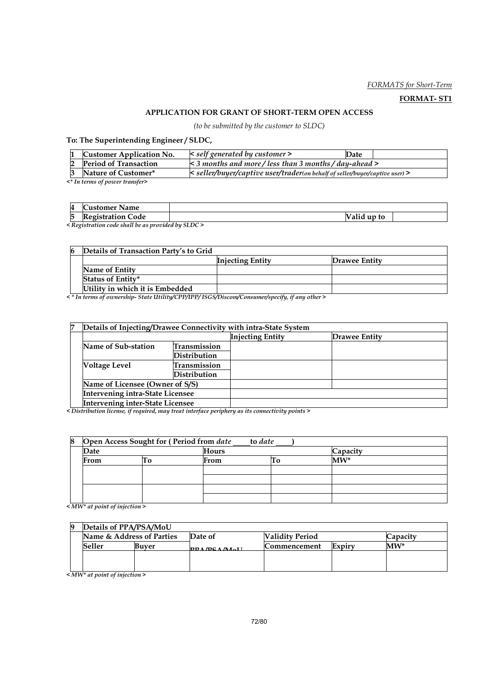#### FORMATS for Short-Term

#### FORMAT- ST1

#### APPLICATION FOR GRANT OF SHORT-TERM OPEN ACCESS

(to be submitted by the customer to SLDC)

To: The Superintending Engineer / SLDC,

| <b>Customer Application No.</b> | $\leq$ self generated by customer $\geq$                                     | Date |  |  |  |  |  |
|---------------------------------|------------------------------------------------------------------------------|------|--|--|--|--|--|
| <b>Period of Transaction</b>    | $\leq$ 3 months and more/less than 3 months/day-ahead $>$                    |      |  |  |  |  |  |
| Nature of Customer*             | < seller/buyer/captive user/trader(on behalf of seller/buyer/captive user) > |      |  |  |  |  |  |
|                                 |                                                                              |      |  |  |  |  |  |

<\* In terms of power transfer>

| 4      | ∽<br>'11stomer<br>Name                                                                                               |                                        |
|--------|----------------------------------------------------------------------------------------------------------------------|----------------------------------------|
| −<br>b | D<br>lode<br>. <eo1strat10r< th=""><th><math>\cdot</math> <math>\cdot</math><br/>up to<br/>'alıd</th></eo1strat10r<> | $\cdot$ $\cdot$<br>up to<br>'alıd      |
|        | 11.1<br>$\sim$ $\sim$ $\sim$<br>$\sim$ $\sim$                                                                        | $\alpha$ $\alpha$ $\alpha$<br>$\cdots$ |

< Registration code shall be as provided by SLDC >

| 6 | Details of Transaction Party's to Grid |                         |               |  |  |
|---|----------------------------------------|-------------------------|---------------|--|--|
|   |                                        | <b>Injecting Entity</b> | Drawee Entity |  |  |
|   | Name of Entity                         |                         |               |  |  |
|   | <b>Status of Entity*</b>               |                         |               |  |  |
|   | Utility in which it is Embedded        |                         |               |  |  |

< \* In terms of ownership- State Utility/CPP/IPP/ ISGS/Discom/Consumer/specify, if any other >

| 7 | Details of Injecting/Drawee Connectivity with intra-State System |              |                         |               |  |  |
|---|------------------------------------------------------------------|--------------|-------------------------|---------------|--|--|
|   |                                                                  |              | <b>Injecting Entity</b> | Drawee Entity |  |  |
|   | Name of Sub-station                                              | Transmission |                         |               |  |  |
|   |                                                                  | Distribution |                         |               |  |  |
|   | <b>Voltage Level</b>                                             | Transmission |                         |               |  |  |
|   |                                                                  | Distribution |                         |               |  |  |
|   | Name of Licensee (Owner of S/S)                                  |              |                         |               |  |  |
|   | <b>Intervening intra-State Licensee</b>                          |              |                         |               |  |  |
|   | <b>Intervening inter-State Licensee</b>                          |              |                         |               |  |  |

< Distribution license, if required, may treat interface periphery as its connectivity points >

| 8 | Open Access Sought for (Period from date<br>to date |  |       |  |          |  |  |
|---|-----------------------------------------------------|--|-------|--|----------|--|--|
|   | Date                                                |  | Hours |  | Capacity |  |  |
|   | From<br>LΟ                                          |  | From  |  | $MW^*$   |  |  |
|   |                                                     |  |       |  |          |  |  |
|   |                                                     |  |       |  |          |  |  |
|   |                                                     |  |       |  |          |  |  |
|   |                                                     |  |       |  |          |  |  |

< MW\* at point of injection >

|                           | Details of PPA/PSA/MoU |         |                        |              |          |        |  |
|---------------------------|------------------------|---------|------------------------|--------------|----------|--------|--|
| Name & Address of Parties |                        | Date of | <b>Validity Period</b> |              | Capacity |        |  |
|                           | Seller                 | Buver   | <b>DDA/DCA/MALI</b>    | Commencement | Expiry   | $MW^*$ |  |
|                           |                        |         |                        |              |          |        |  |
|                           |                        |         |                        |              |          |        |  |

 $\leq$  MW\* at point of injection >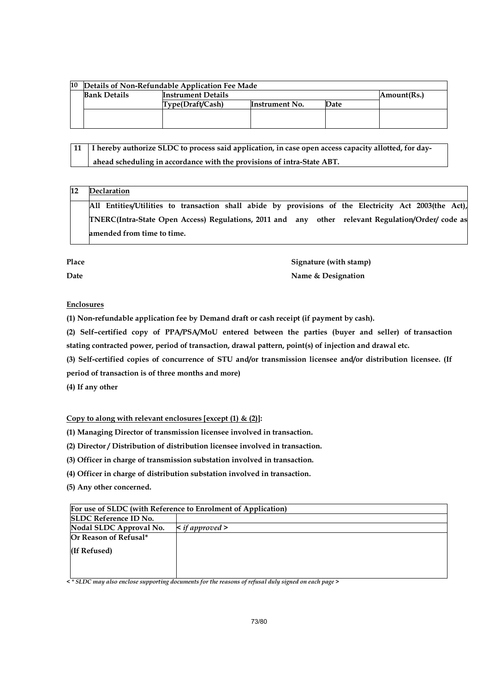| 10 | Details of Non-Refundable Application Fee Made |                           |                |      |             |
|----|------------------------------------------------|---------------------------|----------------|------|-------------|
|    | <b>Bank Details</b>                            | <b>Instrument Details</b> |                |      | Amount(Rs.) |
|    |                                                | Type(Draft/Cash)          | Instrument No. | Date |             |
|    |                                                |                           |                |      |             |
|    |                                                |                           |                |      |             |

 11 I hereby authorize SLDC to process said application, in case open access capacity allotted, for day ahead scheduling in accordance with the provisions of intra-State ABT.

# 12 Declaration

All Entities/Utilities to transaction shall abide by provisions of the Electricity Act 2003(the Act), TNERC(Intra-State Open Access) Regulations, 2011 and any other relevant Regulation/Order/ code as amended from time to time.

Place Signature (with stamp) Date **Name & Designation** 

# Enclosures

(1) Non-refundable application fee by Demand draft or cash receipt (if payment by cash).

(2) Self–certified copy of PPA/PSA/MoU entered between the parties (buyer and seller) of transaction stating contracted power, period of transaction, drawal pattern, point(s) of injection and drawal etc.

(3) Self-certified copies of concurrence of STU and/or transmission licensee and/or distribution licensee. (If

period of transaction is of three months and more)

(4) If any other

# Copy to along with relevant enclosures [except  $(1)$  &  $(2)$ ]:

(1) Managing Director of transmission licensee involved in transaction.

(2) Director / Distribution of distribution licensee involved in transaction.

(3) Officer in charge of transmission substation involved in transaction.

(4) Officer in charge of distribution substation involved in transaction.

(5) Any other concerned.

| For use of SLDC (with Reference to Enrolment of Application) |                           |  |
|--------------------------------------------------------------|---------------------------|--|
| <b>SLDC</b> Reference ID No.                                 |                           |  |
| Nodal SLDC Approval No.                                      | $\leq$ if approved $\geq$ |  |
| Or Reason of Refusal*                                        |                           |  |
| (If Refused)                                                 |                           |  |
|                                                              |                           |  |
|                                                              |                           |  |

 $\prec$  \* SLDC may also enclose supporting documents for the reasons of refusal duly signed on each page >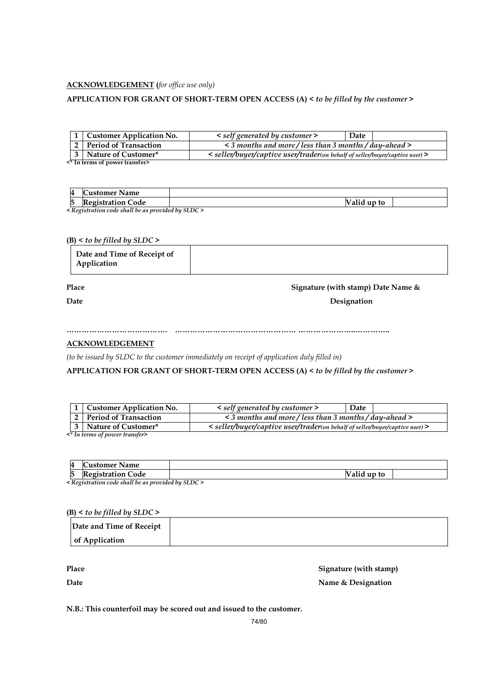#### **ACKNOWLEDGEMENT** (for office use only)

#### APPLICATION FOR GRANT OF SHORT-TERM OPEN ACCESS (A) < to be filled by the customer >

|                                          | 1 Customer Application No.                                                                              | < self generated by customer >                            | Date |
|------------------------------------------|---------------------------------------------------------------------------------------------------------|-----------------------------------------------------------|------|
|                                          | 2 Period of Transaction                                                                                 | $\leq$ 3 months and more/less than 3 months/day-ahead $>$ |      |
|                                          | 3   Nature of Customer*<br>< seller/buyer/captive user/trader(on behalf of seller/buyer/captive user) > |                                                           |      |
| <sup>*</sup> In terms of power transfer> |                                                                                                         |                                                           |      |

<\* In terms of power transfer>

| 4<br>∽<br>'uctomor<br>Name               |                   |  |
|------------------------------------------|-------------------|--|
| . .<br>∽<br>ode<br>$\sim$<br>$\sim$<br>b | to<br>ullu        |  |
| $-1$                                     | $\cdots$ $\cdots$ |  |

< Registration code shall be as provided by SLDC >

#### $(B)$  < to be filled by SLDC >

|--|

# Place Signature (with stamp) Date Name &

Date Designation

…………………………………. ………………………………………… …………………..…………..

# ACKNOWLEDGEMENT

(to be issued by SLDC to the customer immediately on receipt of application duly filled in)

APPLICATION FOR GRANT OF SHORT-TERM OPEN ACCESS (A) < to be filled by the customer >

| 1   Customer Application No.                                                                          | < self generated by customer >                    | Date |  |  |
|-------------------------------------------------------------------------------------------------------|---------------------------------------------------|------|--|--|
| 2 Period of Transaction                                                                               | <3 months and more/less than 3 months/day-ahead > |      |  |  |
| 3 Nature of Customer*<br>< seller/buyer/captive user/trader(on behalf of seller/buyer/captive user) > |                                                   |      |  |  |
| <* In terms of nozner transfer>                                                                       |                                                   |      |  |  |

 $^{\star}$  In terms of power transfer

| $\boldsymbol{\Lambda}$<br><b>Name</b><br>'11stomer<br>œ                                                                                                                                                                                                                                                                            |              |  |  |  |
|------------------------------------------------------------------------------------------------------------------------------------------------------------------------------------------------------------------------------------------------------------------------------------------------------------------------------------|--------------|--|--|--|
| --<br>R<br>lode<br>711.OB<br>ັ                                                                                                                                                                                                                                                                                                     | up to<br>anu |  |  |  |
| $\mathbf{1}$ $\mathbf{1}$ $\mathbf{1}$ $\mathbf{1}$ $\mathbf{1}$ $\mathbf{1}$ $\mathbf{1}$ $\mathbf{1}$ $\mathbf{1}$ $\mathbf{1}$ $\mathbf{1}$ $\mathbf{1}$ $\mathbf{1}$ $\mathbf{1}$ $\mathbf{1}$ $\mathbf{1}$ $\mathbf{1}$ $\mathbf{1}$ $\mathbf{1}$ $\mathbf{1}$ $\mathbf{1}$ $\mathbf{1}$ $\mathbf{1}$ $\mathbf{1}$ $\mathbf{$ |              |  |  |  |

< Registration code shall be as provided by SLDC >

 $(B)$  < to be filled by SLDC >

| Date and Time of Receipt |  |
|--------------------------|--|
| of Application           |  |

Place Signature (with stamp) Date **Name & Designation** 

N.B.: This counterfoil may be scored out and issued to the customer.

74/80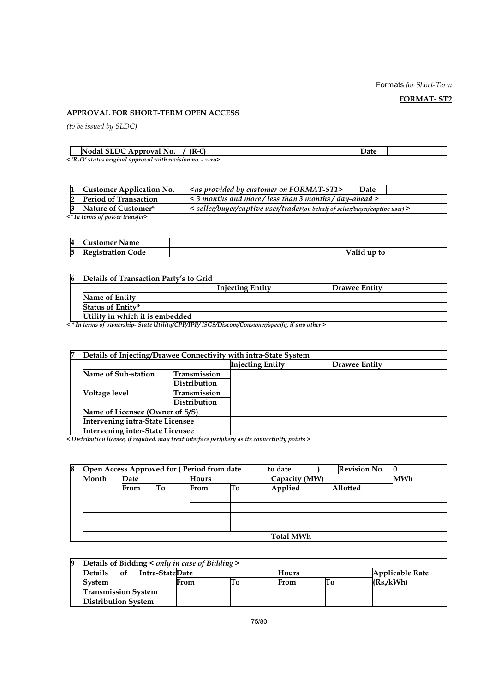## Formats for Short-Term

FORMAT- ST2

# APPROVAL FOR SHORT-TERM OPEN ACCESS

(to be issued by SLDC)

| IN<br>м<br>rova<br>NO.<br>ADDI                          | $\overline{\phantom{a}}$<br>U |  |
|---------------------------------------------------------|-------------------------------|--|
| $\sim$ D $O$ states original annuaral suith register up | $\sim$ $\sim$                 |  |

< 'R-O' states original approval with revision no. - zero>

| <b>Customer Application No.</b> | $\leq$ as provided by customer on FORMAT-ST1>                                    | Date |  |  |
|---------------------------------|----------------------------------------------------------------------------------|------|--|--|
| <b>Period of Transaction</b>    | $\leq$ 3 months and more / less than 3 months / day-ahead >                      |      |  |  |
| Nature of Customer*             | $\le$ seller/buyer/captive user/trader(on behalf of seller/buyer/captive user) > |      |  |  |
| <* In terms of power transfer>  |                                                                                  |      |  |  |

| 4 | $\overline{\phantom{a}}$<br>ustomer<br><b>Name</b> |              |  |
|---|----------------------------------------------------|--------------|--|
| 5 | m<br>Code<br>41strat10n (<br>00                    | alid up to / |  |

| 6 | Details of Transaction Party's to Grid |                         |                      |  |
|---|----------------------------------------|-------------------------|----------------------|--|
|   |                                        | <b>Injecting Entity</b> | <b>Drawee Entity</b> |  |
|   | Name of Entity                         |                         |                      |  |
|   | <b>Status of Entity*</b>               |                         |                      |  |
|   | Utility in which it is embedded        |                         |                      |  |

< \* In terms of ownership- State Utility/CPP/IPP/ ISGS/Discom/Consumer/specify, if any other >

| 7 | Details of Injecting/Drawee Connectivity with intra-State System |              |                         |               |  |  |  |  |
|---|------------------------------------------------------------------|--------------|-------------------------|---------------|--|--|--|--|
|   |                                                                  |              | <b>Injecting Entity</b> | Drawee Entity |  |  |  |  |
|   | Name of Sub-station                                              | Transmission |                         |               |  |  |  |  |
|   |                                                                  | Distribution |                         |               |  |  |  |  |
|   | Voltage level                                                    | Transmission |                         |               |  |  |  |  |
|   |                                                                  | Distribution |                         |               |  |  |  |  |
|   | Name of Licensee (Owner of S/S)                                  |              |                         |               |  |  |  |  |
|   | Intervening intra-State Licensee                                 |              |                         |               |  |  |  |  |
|   | Intervening inter-State Licensee                                 |              |                         |               |  |  |  |  |

< Distribution license, if required, may treat interface periphery as its connectivity points >

| 8 | <b>Revision No.</b><br>Open Access Approved for (Period from date<br>to date |      |       |      |               |                  |            |  |
|---|------------------------------------------------------------------------------|------|-------|------|---------------|------------------|------------|--|
|   | Month<br>Date                                                                |      | Hours |      | Capacity (MW) |                  | <b>MWh</b> |  |
|   |                                                                              | From | Тo    | From | Tо            | Applied          | Allotted   |  |
|   |                                                                              |      |       |      |               |                  |            |  |
|   |                                                                              |      |       |      |               |                  |            |  |
|   |                                                                              |      |       |      |               |                  |            |  |
|   |                                                                              |      |       |      |               |                  |            |  |
|   |                                                                              |      |       |      |               | <b>Total MWh</b> |            |  |

| 9 | Details of Bidding $\leq$ only in case of Bidding $\geq$ |      |  |       |    |                        |  |  |  |  |  |
|---|----------------------------------------------------------|------|--|-------|----|------------------------|--|--|--|--|--|
|   | Intra-StateDate<br><b>Details</b><br>of                  |      |  | Hours |    | <b>Applicable Rate</b> |  |  |  |  |  |
|   | <b>System</b>                                            | From |  | From  | 10 | (Rs.KWh)               |  |  |  |  |  |
|   | <b>Transmission System</b>                               |      |  |       |    |                        |  |  |  |  |  |
|   | <b>Distribution System</b>                               |      |  |       |    |                        |  |  |  |  |  |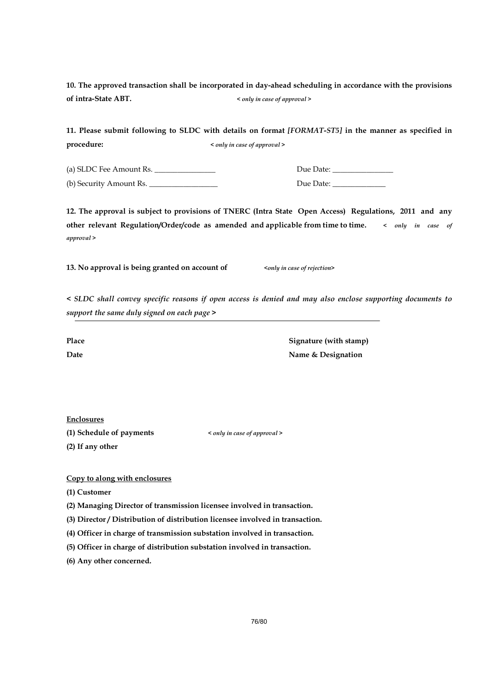10. The approved transaction shall be incorporated in day-ahead scheduling in accordance with the provisions of intra-State ABT. < only in case of approval >

11. Please submit following to SLDC with details on format [FORMAT-ST5] in the manner as specified in procedure:  $\langle \text{only in case of approval} \rangle$ 

(a) SLDC Fee Amount Rs. \_\_\_\_\_\_\_\_\_\_\_\_\_\_\_\_ Due Date: \_\_\_\_\_\_\_\_\_\_\_\_\_\_\_\_

(b) Security Amount Rs. \_\_\_\_\_\_\_\_\_\_\_\_\_\_\_\_\_\_ Due Date: \_\_\_\_\_\_\_\_\_\_\_\_\_\_

12. The approval is subject to provisions of TNERC (Intra State Open Access) Regulations, 2011 and any other relevant Regulation/Order/code as amended and applicable from time to time. < only in case of approval >

13. No approval is being granted on account of  $\left\langle \text{only in case of rejection} \right\rangle$ 

< SLDC shall convey specific reasons if open access is denied and may also enclose supporting documents to support the same duly signed on each page >

Place Signature (with stamp) Date Name & Designation

Enclosures

(1) Schedule of payments < only in case of approval > (2) If any other

Copy to along with enclosures

(1) Customer

(2) Managing Director of transmission licensee involved in transaction.

(3) Director / Distribution of distribution licensee involved in transaction.

(4) Officer in charge of transmission substation involved in transaction.

(5) Officer in charge of distribution substation involved in transaction.

(6) Any other concerned.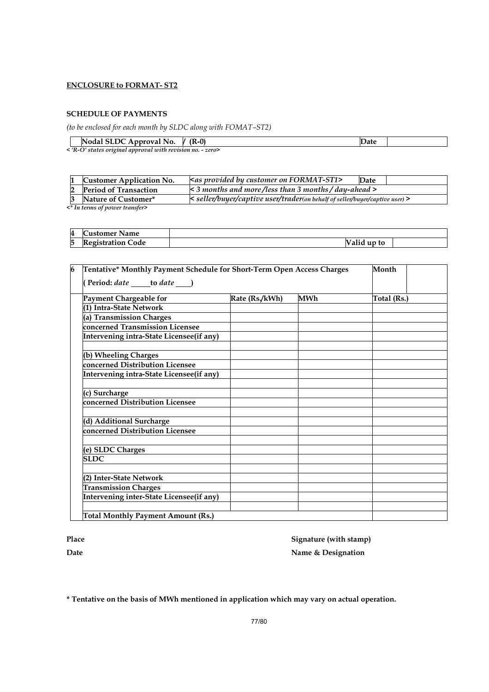# ENCLOSURE to FORMAT- ST2

#### SCHEDULE OF PAYMENTS

(to be enclosed for each month by SLDC along with FOMAT–ST2)

| Nodal SLDC Approval No.                                    | $V$ (R-0) |  |
|------------------------------------------------------------|-----------|--|
| < 'R-O' states original approval with revision no. - zero> |           |  |

| <b>Period of Transaction</b><br>$\leq$ 3 months and more/less than 3 months/day-ahead $>$           |  |
|-----------------------------------------------------------------------------------------------------|--|
|                                                                                                     |  |
| < seller/buyer/captive user/trader(on behalf of seller/buyer/captive user) ><br>Nature of Customer* |  |

<\* In terms of power transfer>

| 4 | ustomer Name          |                       |  |
|---|-----------------------|-----------------------|--|
| 5 | .'ode<br>'egistration | up to<br>--<br>' allu |  |

| 6                                         | Tentative* Monthly Payment Schedule for Short-Term Open Access Charges<br>Month |     |             |  |  |  |  |  |
|-------------------------------------------|---------------------------------------------------------------------------------|-----|-------------|--|--|--|--|--|
| Period: date ______ to date _____)        |                                                                                 |     |             |  |  |  |  |  |
| Payment Chargeable for                    | Rate (Rs./kWh)                                                                  | MWh | Total (Rs.) |  |  |  |  |  |
| (1) Intra-State Network                   |                                                                                 |     |             |  |  |  |  |  |
| (a) Transmission Charges                  |                                                                                 |     |             |  |  |  |  |  |
| concerned Transmission Licensee           |                                                                                 |     |             |  |  |  |  |  |
| Intervening intra-State Licensee(if any)  |                                                                                 |     |             |  |  |  |  |  |
|                                           |                                                                                 |     |             |  |  |  |  |  |
| (b) Wheeling Charges                      |                                                                                 |     |             |  |  |  |  |  |
| concerned Distribution Licensee           |                                                                                 |     |             |  |  |  |  |  |
| Intervening intra-State Licensee(if any)  |                                                                                 |     |             |  |  |  |  |  |
|                                           |                                                                                 |     |             |  |  |  |  |  |
| (c) Surcharge                             |                                                                                 |     |             |  |  |  |  |  |
| concerned Distribution Licensee           |                                                                                 |     |             |  |  |  |  |  |
|                                           |                                                                                 |     |             |  |  |  |  |  |
| (d) Additional Surcharge                  |                                                                                 |     |             |  |  |  |  |  |
| concerned Distribution Licensee           |                                                                                 |     |             |  |  |  |  |  |
|                                           |                                                                                 |     |             |  |  |  |  |  |
| (e) SLDC Charges                          |                                                                                 |     |             |  |  |  |  |  |
| <b>SLDC</b>                               |                                                                                 |     |             |  |  |  |  |  |
|                                           |                                                                                 |     |             |  |  |  |  |  |
| (2) Inter-State Network                   |                                                                                 |     |             |  |  |  |  |  |
| <b>Transmission Charges</b>               |                                                                                 |     |             |  |  |  |  |  |
| Intervening inter-State Licensee(if any)  |                                                                                 |     |             |  |  |  |  |  |
|                                           |                                                                                 |     |             |  |  |  |  |  |
| <b>Total Monthly Payment Amount (Rs.)</b> |                                                                                 |     |             |  |  |  |  |  |

Place Signature (with stamp) Date Name & Designation

\* Tentative on the basis of MWh mentioned in application which may vary on actual operation.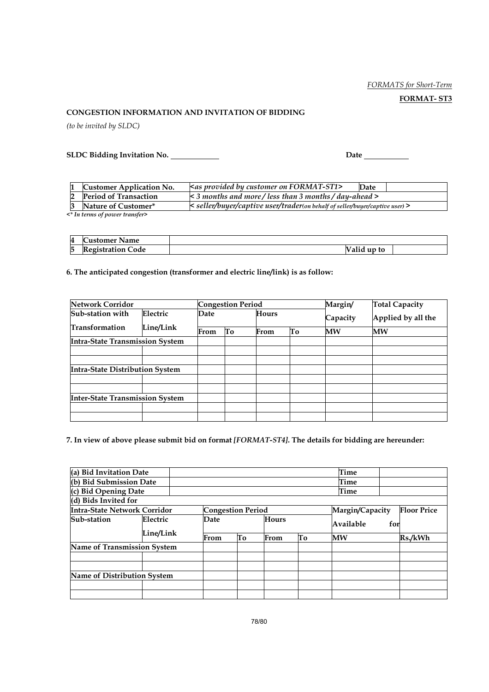# FORMATS for Short-Term

FORMAT- ST3

#### CONGESTION INFORMATION AND INVITATION OF BIDDING

(to be invited by SLDC)

SLDC Bidding Invitation No. Date

|                                 | <b>Customer Application No.</b> | <as by="" customer="" format-st1="" on="" provided=""></as>                  | Date |  |  |  |
|---------------------------------|---------------------------------|------------------------------------------------------------------------------|------|--|--|--|
|                                 | <b>Period of Transaction</b>    | $\leq$ 3 months and more / less than 3 months / day-ahead >                  |      |  |  |  |
|                                 | Nature of Customer*             | < seller/buyer/captive user/trader(on behalf of seller/buyer/captive user) > |      |  |  |  |
| e* In torme of noznor trancfor> |                                 |                                                                              |      |  |  |  |

 $\overline{\mathcal{F}^*}$  In terms of power transfer

| 4      | $\sim$<br>ustomer<br>Name           |                                    |  |
|--------|-------------------------------------|------------------------------------|--|
| −<br>b | . .<br>.'ode<br><b>kegistration</b> | $\cdot$ $\cdot$<br>up to<br>" allu |  |

# 6. The anticipated congestion (transformer and electric line/link) is as follow:

| <b>Network Corridor</b>                |                           | <b>Congestion Period</b> |    |          | Margin/            | <b>Total Capacity</b> |    |
|----------------------------------------|---------------------------|--------------------------|----|----------|--------------------|-----------------------|----|
| Sub-station with                       | Electric<br>Hours<br>Date |                          |    | Capacity | Applied by all the |                       |    |
| <b>Transformation</b>                  | Line/Link                 | From                     | To | From     | To                 | MW                    | MW |
| <b>Intra-State Transmission System</b> |                           |                          |    |          |                    |                       |    |
|                                        |                           |                          |    |          |                    |                       |    |
|                                        |                           |                          |    |          |                    |                       |    |
| <b>Intra-State Distribution System</b> |                           |                          |    |          |                    |                       |    |
|                                        |                           |                          |    |          |                    |                       |    |
|                                        |                           |                          |    |          |                    |                       |    |
| <b>Inter-State Transmission System</b> |                           |                          |    |          |                    |                       |    |
|                                        |                           |                          |    |          |                    |                       |    |
|                                        |                           |                          |    |          |                    |                       |    |

7. In view of above please submit bid on format [FORMAT-ST4]. The details for bidding are hereunder:

| (a) Bid Invitation Date             |           |  |                          |    |              |      | Time            |     |                    |
|-------------------------------------|-----------|--|--------------------------|----|--------------|------|-----------------|-----|--------------------|
| (b) Bid Submission Date             |           |  |                          |    |              | Time |                 |     |                    |
| (c) Bid Opening Date                |           |  |                          |    |              |      | Time            |     |                    |
| (d) Bids Invited for                |           |  |                          |    |              |      |                 |     |                    |
| <b>Intra-State Network Corridor</b> |           |  | <b>Congestion Period</b> |    |              |      | Margin/Capacity |     | <b>Floor Price</b> |
| Sub-station<br>Electric             |           |  | Date                     |    | <b>Hours</b> |      | Available       | for |                    |
|                                     | Line/Link |  | From                     | Tо | From         | Tо   | MW              |     | Rs./kWh            |
| <b>Name of Transmission System</b>  |           |  |                          |    |              |      |                 |     |                    |
|                                     |           |  |                          |    |              |      |                 |     |                    |
|                                     |           |  |                          |    |              |      |                 |     |                    |
| Name of Distribution System         |           |  |                          |    |              |      |                 |     |                    |
|                                     |           |  |                          |    |              |      |                 |     |                    |
|                                     |           |  |                          |    |              |      |                 |     |                    |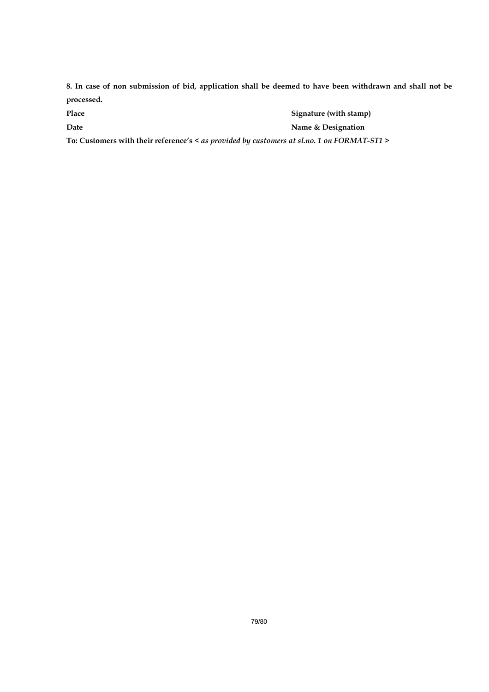8. In case of non submission of bid, application shall be deemed to have been withdrawn and shall not be processed.

Place Signature (with stamp) Date **Name & Designation** 

To: Customers with their reference's < as provided by customers at sl.no. 1 on FORMAT-ST1 >